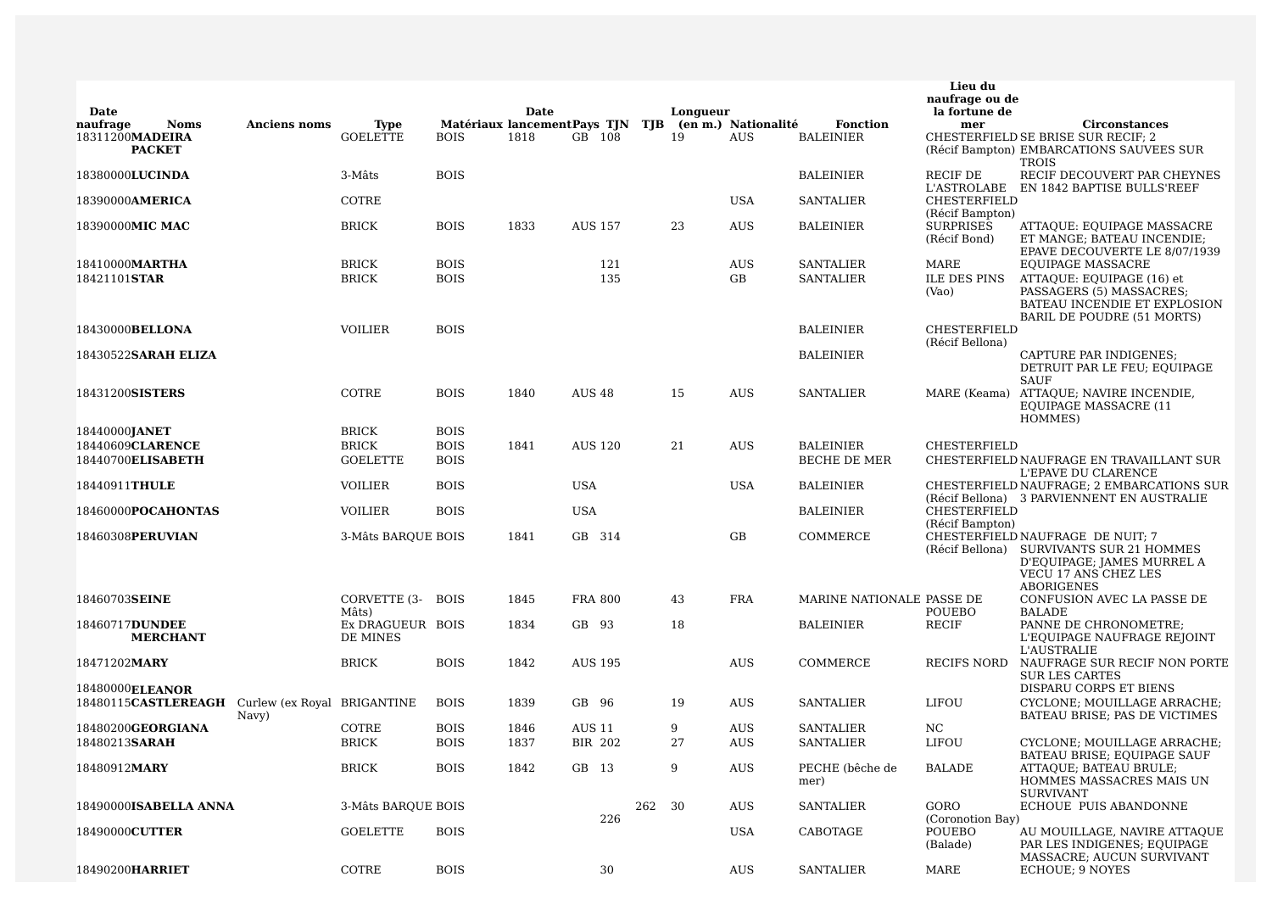|                         |                       |                             |                              |             | Date |                                  |        |          |                     |                           | Lieu du<br>naufrage ou de              |                                                                                                                                         |
|-------------------------|-----------------------|-----------------------------|------------------------------|-------------|------|----------------------------------|--------|----------|---------------------|---------------------------|----------------------------------------|-----------------------------------------------------------------------------------------------------------------------------------------|
| Date<br>naufrage        | <b>Noms</b>           | <b>Anciens noms</b>         | <b>Type</b>                  |             |      | Matériaux lancement Pays TJN TJB |        | Longueur | (en m.) Nationalité | <b>Fonction</b>           | la fortune de<br>mer                   | <b>Circonstances</b>                                                                                                                    |
| 18311200MADEIRA         | <b>PACKET</b>         |                             | <b>GOELETTE</b>              | <b>BOIS</b> | 1818 | GB 108                           |        | 19       | <b>AUS</b>          | <b>BALEINIER</b>          |                                        | CHESTERFIELD SE BRISE SUR RECIF; 2<br>(Récif Bampton) EMBARCATIONS SAUVEES SUR                                                          |
| 18380000LUCINDA         |                       |                             | 3-Mâts                       | <b>BOIS</b> |      |                                  |        |          |                     | <b>BALEINIER</b>          | <b>RECIF DE</b>                        | <b>TROIS</b><br>RECIF DECOUVERT PAR CHEYNES<br>L'ASTROLABE EN 1842 BAPTISE BULLS'REEF                                                   |
| 18390000AMERICA         |                       |                             | COTRE                        |             |      |                                  |        |          | <b>USA</b>          | <b>SANTALIER</b>          | CHESTERFIELD<br>(Récif Bampton)        |                                                                                                                                         |
| 18390000MIC MAC         |                       |                             | <b>BRICK</b>                 | <b>BOIS</b> | 1833 | <b>AUS 157</b>                   |        | 23       | <b>AUS</b>          | <b>BALEINIER</b>          | <b>SURPRISES</b><br>(Récif Bond)       | ATTAQUE: EQUIPAGE MASSACRE<br>ET MANGE; BATEAU INCENDIE;<br>EPAVE DECOUVERTE LE 8/07/1939                                               |
| 18410000MARTHA          |                       |                             | <b>BRICK</b>                 | <b>BOIS</b> |      | 121                              |        |          | <b>AUS</b>          | <b>SANTALIER</b>          | MARE                                   | <b>EQUIPAGE MASSACRE</b>                                                                                                                |
| 18421101STAR            |                       |                             | <b>BRICK</b>                 | <b>BOIS</b> |      | 135                              |        |          | GB                  | <b>SANTALIER</b>          | <b>ILE DES PINS</b><br>(Vao)           | ATTAQUE: EQUIPAGE (16) et<br>PASSAGERS (5) MASSACRES;<br>BATEAU INCENDIE ET EXPLOSION<br>BARIL DE POUDRE (51 MORTS)                     |
| 18430000BELLONA         |                       |                             | VOILIER                      | <b>BOIS</b> |      |                                  |        |          |                     | <b>BALEINIER</b>          | CHESTERFIELD<br>(Récif Bellona)        |                                                                                                                                         |
| 18430522SARAH ELIZA     |                       |                             |                              |             |      |                                  |        |          |                     | <b>BALEINIER</b>          |                                        | CAPTURE PAR INDIGENES;<br>DETRUIT PAR LE FEU; EQUIPAGE<br><b>SAUF</b>                                                                   |
| 18431200SISTERS         |                       |                             | COTRE                        | <b>BOIS</b> | 1840 | <b>AUS 48</b>                    |        | 15       | <b>AUS</b>          | <b>SANTALIER</b>          |                                        | MARE (Keama) ATTAQUE; NAVIRE INCENDIE,<br><b>EQUIPAGE MASSACRE (11</b><br>HOMMES)                                                       |
| 18440000JANET           |                       |                             | <b>BRICK</b>                 | <b>BOIS</b> |      |                                  |        |          |                     |                           |                                        |                                                                                                                                         |
| 18440609CLARENCE        |                       |                             | <b>BRICK</b>                 | <b>BOIS</b> | 1841 | <b>AUS 120</b>                   |        | 21       | AUS                 | <b>BALEINIER</b>          | <b>CHESTERFIELD</b>                    |                                                                                                                                         |
| 18440700ELISABETH       |                       |                             | <b>GOELETTE</b>              | <b>BOIS</b> |      |                                  |        |          |                     | BECHE DE MER              |                                        | CHESTERFIELD NAUFRAGE EN TRAVAILLANT SUR<br>L'EPAVE DU CLARENCE                                                                         |
| 18440911THULE           |                       |                             | <b>VOILIER</b>               | <b>BOIS</b> |      | <b>USA</b>                       |        |          | <b>USA</b>          | <b>BALEINIER</b>          |                                        | CHESTERFIELD NAUFRAGE; 2 EMBARCATIONS SUR<br>(Récif Bellona) 3 PARVIENNENT EN AUSTRALIE                                                 |
| 18460000POCAHONTAS      |                       |                             | VOILIER                      | <b>BOIS</b> |      | <b>USA</b>                       |        |          |                     | <b>BALEINIER</b>          | CHESTERFIELD<br>(Récif Bampton)        |                                                                                                                                         |
| 18460308PERUVIAN        |                       |                             | 3-Mâts BARQUE BOIS           |             | 1841 | GB 314                           |        |          | GB                  | COMMERCE                  | (Récif Bellona)                        | CHESTERFIELD NAUFRAGE DE NUIT; 7<br>SURVIVANTS SUR 21 HOMMES<br>D'EQUIPAGE; JAMES MURREL A<br>VECU 17 ANS CHEZ LES<br><b>ABORIGENES</b> |
| 18460703SEINE           |                       |                             | CORVETTE (3- BOIS<br>Mâts)   |             | 1845 | <b>FRA 800</b>                   |        | 43       | <b>FRA</b>          | MARINE NATIONALE PASSE DE | POUEBO                                 | CONFUSION AVEC LA PASSE DE<br><b>BALADE</b>                                                                                             |
| 18460717DUNDEE          | <b>MERCHANT</b>       |                             | Ex DRAGUEUR BOIS<br>DE MINES |             | 1834 | GB 93                            |        | 18       |                     | <b>BALEINIER</b>          | RECIF                                  | PANNE DE CHRONOMETRE;<br>L'EQUIPAGE NAUFRAGE REJOINT<br>L'AUSTRALIE                                                                     |
| 18471202MARY            |                       |                             | <b>BRICK</b>                 | <b>BOIS</b> | 1842 | <b>AUS 195</b>                   |        |          | AUS                 | COMMERCE                  | RECIFS NORD                            | NAUFRAGE SUR RECIF NON PORTE<br><b>SUR LES CARTES</b>                                                                                   |
| 18480000 <b>ELEANOR</b> | 18480115CASTLEREAGH   | Curlew (ex Royal BRIGANTINE |                              | <b>BOIS</b> | 1839 | GB 96                            |        | 19       | <b>AUS</b>          | <b>SANTALIER</b>          | LIFOU                                  | DISPARU CORPS ET BIENS<br>CYCLONE; MOUILLAGE ARRACHE;                                                                                   |
| 18480200GEORGIANA       |                       | Navy)                       | COTRE                        | <b>BOIS</b> | 1846 | <b>AUS 11</b>                    |        | 9        | AUS                 | <b>SANTALIER</b>          | NC.                                    | BATEAU BRISE; PAS DE VICTIMES                                                                                                           |
| 18480213SARAH           |                       |                             | <b>BRICK</b>                 | <b>BOIS</b> | 1837 | <b>BIR 202</b>                   |        | 27       | <b>AUS</b>          | <b>SANTALIER</b>          | LIFOU                                  | CYCLONE; MOUILLAGE ARRACHE;                                                                                                             |
|                         |                       |                             |                              |             |      |                                  |        |          |                     |                           |                                        | <b>BATEAU BRISE; EQUIPAGE SAUF</b>                                                                                                      |
| 18480912MARY            |                       |                             | <b>BRICK</b>                 | <b>BOIS</b> | 1842 | GB 13                            |        | 9        | AUS                 | PECHE (bêche de<br>mer)   | <b>BALADE</b>                          | ATTAQUE; BATEAU BRULE;<br>HOMMES MASSACRES MAIS UN<br><b>SURVIVANT</b>                                                                  |
|                         | 18490000ISABELLA ANNA |                             | 3-Mâts BARQUE BOIS           |             |      |                                  | 262 30 |          | AUS                 | <b>SANTALIER</b>          | GORO                                   | ECHOUE PUIS ABANDONNE                                                                                                                   |
| 18490000CUTTER          |                       |                             | <b>GOELETTE</b>              | <b>BOIS</b> |      | 226                              |        |          | <b>USA</b>          | CABOTAGE                  | (Coronotion Bay)<br>POUEBO<br>(Balade) | AU MOUILLAGE, NAVIRE ATTAQUE<br>PAR LES INDIGENES; EQUIPAGE<br>MASSACRE; AUCUN SURVIVANT                                                |
| 18490200HARRIET         |                       |                             | COTRE                        | <b>BOIS</b> |      | 30                               |        |          | AUS                 | <b>SANTALIER</b>          | MARE                                   | ECHOUE; 9 NOYES                                                                                                                         |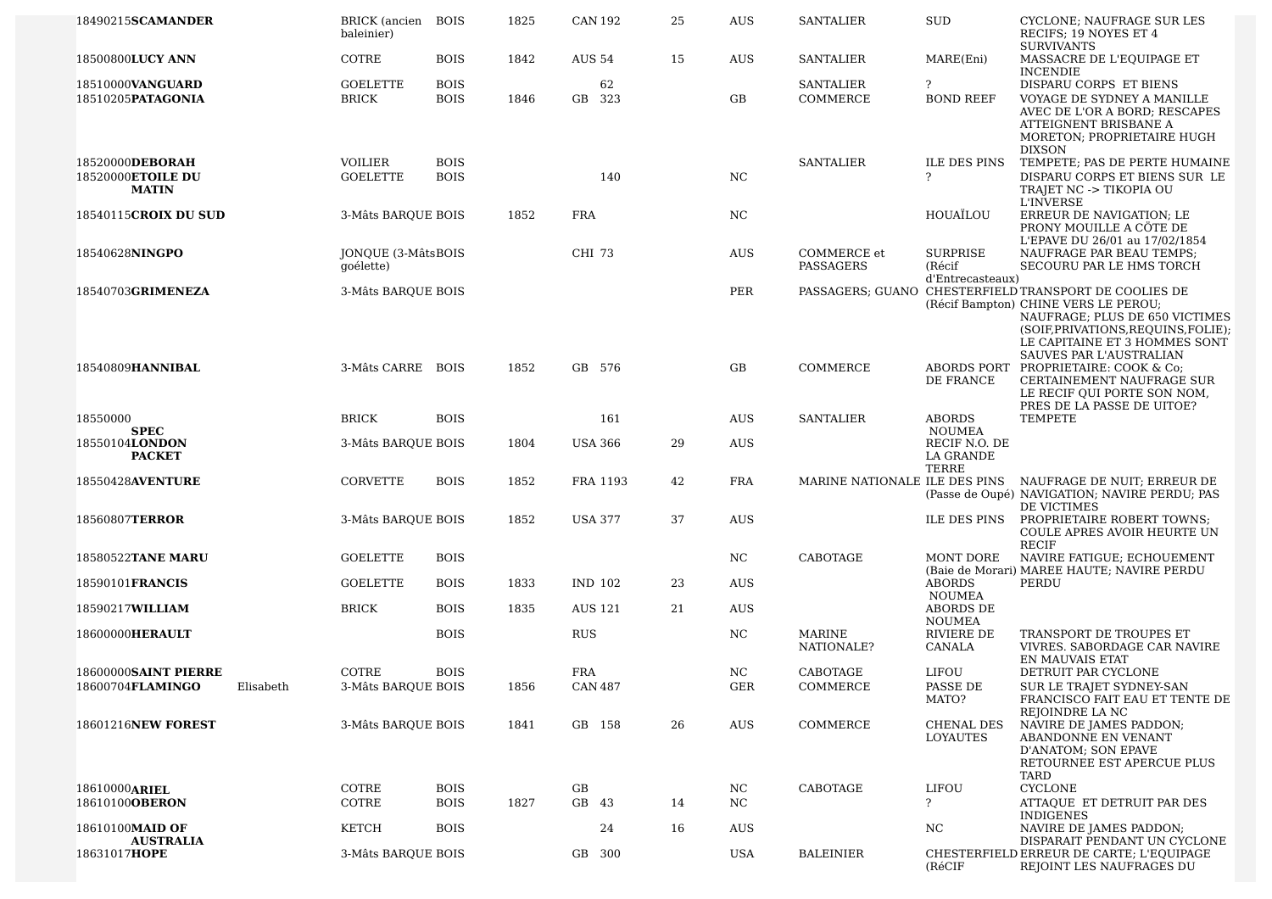| 18490215SCAMANDER                                            | BRICK (ancien BOIS<br>baleinier)  |                            | 1825 | <b>CAN 192</b>               | 25 | <b>AUS</b>                 | <b>SANTALIER</b>              | <b>SUD</b>                                 | CYCLONE; NAUFRAGE SUR LES<br>RECIFS: 19 NOYES ET 4<br><b>SURVIVANTS</b>                                                                                                                                 |
|--------------------------------------------------------------|-----------------------------------|----------------------------|------|------------------------------|----|----------------------------|-------------------------------|--------------------------------------------|---------------------------------------------------------------------------------------------------------------------------------------------------------------------------------------------------------|
| 18500800LUCY ANN                                             | COTRE                             | <b>BOIS</b>                | 1842 | <b>AUS 54</b>                | 15 | <b>AUS</b>                 | SANTALIER                     | MARE(Eni)                                  | MASSACRE DE L'EQUIPAGE ET<br><b>INCENDIE</b>                                                                                                                                                            |
| 18510000VANGUARD<br>18510205PATAGONIA                        | <b>GOELETTE</b><br><b>BRICK</b>   | <b>BOIS</b><br><b>BOIS</b> | 1846 | 62<br>GB 323                 |    | GB                         | <b>SANTALIER</b><br>COMMERCE  | $\ddot{ }$<br><b>BOND REEF</b>             | DISPARU CORPS ET BIENS<br>VOYAGE DE SYDNEY A MANILLE<br>AVEC DE L'OR A BORD; RESCAPES<br>ATTEIGNENT BRISBANE A                                                                                          |
| 18520000DEBORAH<br>18520000ETOILE DU<br><b>MATIN</b>         | <b>VOILIER</b><br><b>GOELETTE</b> | <b>BOIS</b><br><b>BOIS</b> |      | 140                          |    | NC                         | <b>SANTALIER</b>              | <b>ILE DES PINS</b><br>$\overline{?}$      | MORETON; PROPRIETAIRE HUGH<br><b>DIXSON</b><br>TEMPETE; PAS DE PERTE HUMAINE<br>DISPARU CORPS ET BIENS SUR LE<br>TRAJET NC -> TIKOPIA OU                                                                |
| 18540115CROIX DU SUD                                         | 3-Mâts BAROUE BOIS                |                            | 1852 | <b>FRA</b>                   |    | NC                         |                               | HOUAÏLOU                                   | <b>L'INVERSE</b><br>ERREUR DE NAVIGATION; LE<br>PRONY MOUILLE A CÔTE DE<br>L'EPAVE DU 26/01 au 17/02/1854                                                                                               |
| 18540628NINGPO                                               | JONQUE (3-MâtsBOIS<br>goélette)   |                            |      | CHI 73                       |    | <b>AUS</b>                 | COMMERCE et<br>PASSAGERS      | SURPRISE<br>(Récif<br>d'Entrecasteaux)     | NAUFRAGE PAR BEAU TEMPS;<br>SECOURU PAR LE HMS TORCH                                                                                                                                                    |
| 18540703GRIMENEZA                                            | 3-Mâts BARQUE BOIS                |                            |      |                              |    | PER                        |                               |                                            | PASSAGERS; GUANO CHESTERFIELD TRANSPORT DE COOLIES DE<br>(Récif Bampton) CHINE VERS LE PEROU;<br>NAUFRAGE; PLUS DE 650 VICTIMES<br>(SOIF, PRIVATIONS, REQUINS, FOLIE);<br>LE CAPITAINE ET 3 HOMMES SONT |
| 18540809HANNIBAL                                             | 3-Mâts CARRE BOIS                 |                            | 1852 | GB 576                       |    | GB                         | COMMERCE                      | DE FRANCE                                  | <b>SAUVES PAR L'AUSTRALIAN</b><br>ABORDS PORT PROPRIETAIRE: COOK & Co;<br>CERTAINEMENT NAUFRAGE SUR<br>LE RECIF QUI PORTE SON NOM,<br>PRES DE LA PASSE DE UITOE?                                        |
| 18550000<br><b>SPEC</b>                                      | <b>BRICK</b>                      | <b>BOIS</b>                |      | 161                          |    | <b>AUS</b>                 | <b>SANTALIER</b>              | <b>ABORDS</b><br><b>NOUMEA</b>             | TEMPETE                                                                                                                                                                                                 |
| 18550104LONDON<br><b>PACKET</b>                              | 3-Mâts BARQUE BOIS                |                            | 1804 | <b>USA 366</b>               | 29 | AUS                        |                               | RECIF N.O. DE<br>LA GRANDE<br><b>TERRE</b> |                                                                                                                                                                                                         |
| 18550428AVENTURE                                             | CORVETTE                          | <b>BOIS</b>                | 1852 | FRA 1193                     | 42 | <b>FRA</b>                 | MARINE NATIONALE ILE DES PINS |                                            | NAUFRAGE DE NUIT; ERREUR DE<br>(Passe de Oupé) NAVIGATION; NAVIRE PERDU; PAS<br>DE VICTIMES                                                                                                             |
| 18560807TERROR                                               | 3-Mâts BARQUE BOIS                |                            | 1852 | <b>USA 377</b>               | 37 | <b>AUS</b>                 |                               | <b>ILE DES PINS</b>                        | PROPRIETAIRE ROBERT TOWNS;<br>COULE APRES AVOIR HEURTE UN<br><b>RECIF</b>                                                                                                                               |
| 18580522TANE MARU                                            | <b>GOELETTE</b>                   | <b>BOIS</b>                |      |                              |    | NC                         | CABOTAGE                      | MONT DORE                                  | NAVIRE FATIGUE; ECHOUEMENT<br>(Baie de Morari) MAREE HAUTE; NAVIRE PERDU                                                                                                                                |
| 18590101 <b>FRANCIS</b>                                      | <b>GOELETTE</b>                   | <b>BOIS</b>                | 1833 | IND 102                      | 23 | AUS                        |                               | <b>ABORDS</b><br><b>NOUMEA</b>             | PERDU                                                                                                                                                                                                   |
| 18590217WILLIAM                                              | <b>BRICK</b>                      | <b>BOIS</b>                | 1835 | <b>AUS 121</b>               | 21 | <b>AUS</b>                 |                               | ABORDS DE<br><b>NOUMEA</b>                 |                                                                                                                                                                                                         |
| 18600000HERAULT                                              |                                   | <b>BOIS</b>                |      | <b>RUS</b>                   |    | N <sub>C</sub>             | <b>MARINE</b><br>NATIONALE?   | <b>RIVIERE DE</b><br>CANALA                | <b>TRANSPORT DE TROUPES ET</b><br>VIVRES. SABORDAGE CAR NAVIRE<br>EN MAUVAIS ETAT                                                                                                                       |
| <b>18600000SAINT PIERRE</b><br>18600704FLAMINGO<br>Elisabeth | COTRE<br>3-Mâts BARQUE BOIS       | <b>BOIS</b>                | 1856 | <b>FRA</b><br><b>CAN 487</b> |    | NC<br>$\operatorname{GER}$ | CABOTAGE<br>COMMERCE          | LIFOU<br>PASSE DE<br>MATO?                 | DETRUIT PAR CYCLONE<br>SUR LE TRAJET SYDNEY-SAN<br>FRANCISCO FAIT EAU ET TENTE DE<br>REJOINDRE LA NC                                                                                                    |
| 18601216NEW FOREST                                           | 3-Mâts BARQUE BOIS                |                            | 1841 | GB 158                       | 26 | AUS                        | COMMERCE                      | CHENAL DES<br>LOYAUTES                     | NAVIRE DE JAMES PADDON;<br>ABANDONNE EN VENANT<br>D'ANATOM; SON EPAVE<br>RETOURNEE EST APERCUE PLUS<br>TARD                                                                                             |
| 18610000ARIEL<br>18610100 <b>OBERON</b>                      | COTRE<br>COTRE                    | <b>BOIS</b><br><b>BOIS</b> | 1827 | GB<br>GB 43                  | 14 | NC<br>NC                   | CABOTAGE                      | LIFOU<br>$\ddot{ }$                        | <b>CYCLONE</b><br>ATTAQUE ET DETRUIT PAR DES                                                                                                                                                            |
|                                                              |                                   |                            |      |                              |    |                            |                               |                                            | <b>INDIGENES</b>                                                                                                                                                                                        |
| 18610100MAID OF<br><b>AUSTRALIA</b>                          | KETCH                             | <b>BOIS</b>                |      | 24                           | 16 | AUS.                       |                               | NC.                                        | NAVIRE DE JAMES PADDON;<br>DISPARAIT PENDANT UN CYCLONE                                                                                                                                                 |
| 18631017HOPE                                                 | 3-Mâts BARQUE BOIS                |                            |      | GB 300                       |    | USA                        | <b>BALEINIER</b>              | (RéCIF                                     | CHESTERFIELD ERREUR DE CARTE; L'EQUIPAGE<br>REJOINT LES NAUFRAGES DU                                                                                                                                    |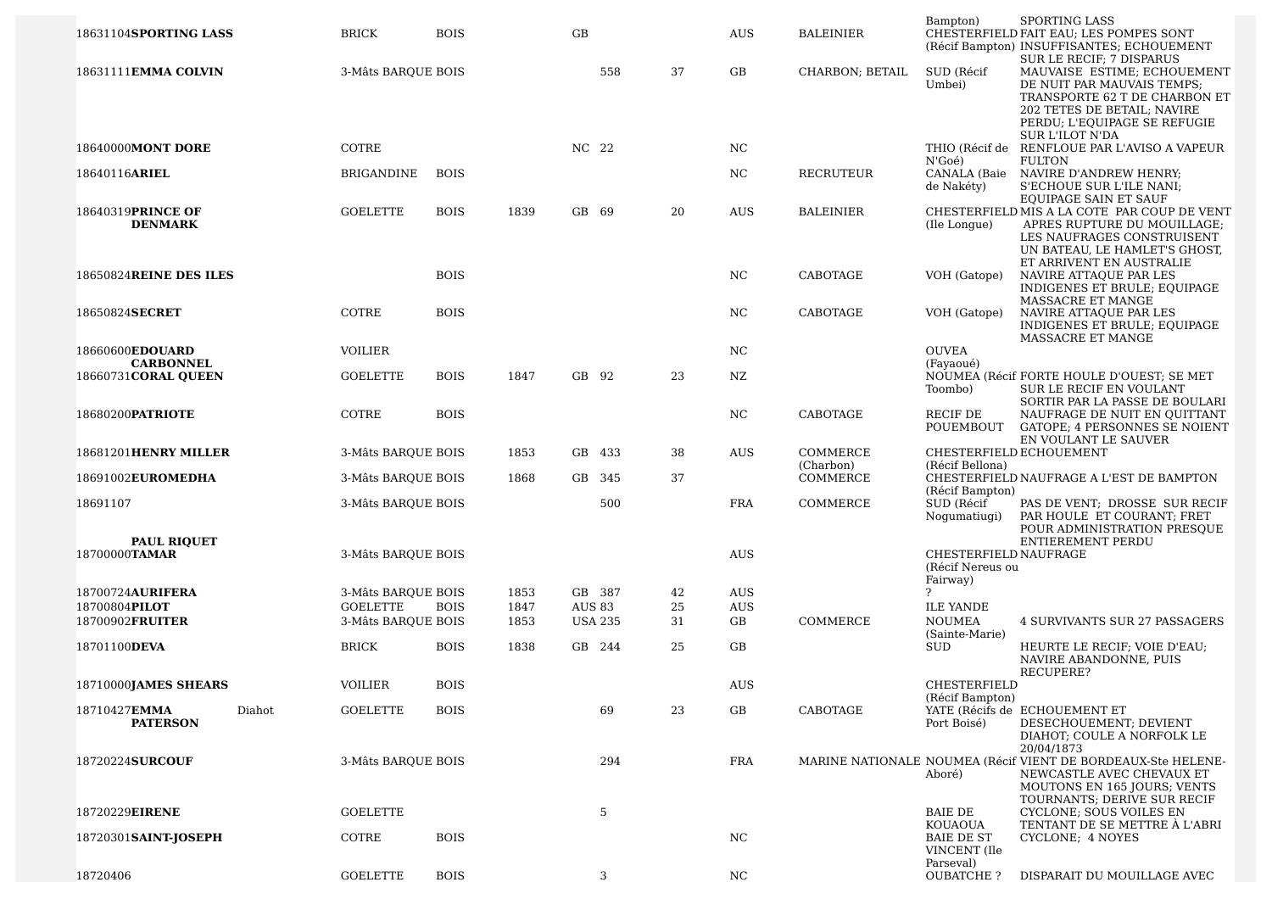|                                |                    |             |      |               |                |    |            |                       | Bampton)                            | <b>SPORTING LASS</b>                                                       |
|--------------------------------|--------------------|-------------|------|---------------|----------------|----|------------|-----------------------|-------------------------------------|----------------------------------------------------------------------------|
| 18631104SPORTING LASS          | <b>BRICK</b>       | <b>BOIS</b> |      | GB            |                |    | <b>AUS</b> | <b>BALEINIER</b>      |                                     | CHESTERFIELD FAIT EAU; LES POMPES SONT                                     |
|                                |                    |             |      |               |                |    |            |                       |                                     | (Récif Bampton) INSUFFISANTES; ECHOUEMENT<br>SUR LE RECIF; 7 DISPARUS      |
| 18631111EMMA COLVIN            | 3-Mâts BARQUE BOIS |             |      |               | 558            | 37 | GB         | CHARBON; BETAIL       | SUD (Récif                          | MAUVAISE ESTIME; ECHOUEMENT                                                |
|                                |                    |             |      |               |                |    |            |                       | Umbei)                              | DE NUIT PAR MAUVAIS TEMPS;                                                 |
|                                |                    |             |      |               |                |    |            |                       |                                     | TRANSPORTE 62 T DE CHARBON ET                                              |
|                                |                    |             |      |               |                |    |            |                       |                                     | 202 TETES DE BETAIL; NAVIRE                                                |
|                                |                    |             |      |               |                |    |            |                       |                                     | PERDU; L'EQUIPAGE SE REFUGIE                                               |
|                                |                    |             |      |               |                |    |            |                       |                                     | <b>SUR L'ILOT N'DA</b>                                                     |
| 18640000MONT DORE              | COTRE              |             |      | NC 22         |                |    | NC         |                       |                                     | THIO (Récif de RENFLOUE PAR L'AVISO A VAPEUR                               |
|                                |                    |             |      |               |                |    |            |                       | N'Goé)                              | <b>FULTON</b>                                                              |
| 18640116ARIEL                  | <b>BRIGANDINE</b>  | <b>BOIS</b> |      |               |                |    | NC.        | <b>RECRUTEUR</b>      | CANALA (Baie                        | NAVIRE D'ANDREW HENRY;                                                     |
|                                |                    |             |      |               |                |    |            |                       | de Nakéty)                          | S'ECHOUE SUR L'ILE NANI;<br>EQUIPAGE SAIN ET SAUF                          |
| 18640319PRINCE OF              | <b>GOELETTE</b>    | <b>BOIS</b> | 1839 | GB 69         |                | 20 | <b>AUS</b> | <b>BALEINIER</b>      |                                     | CHESTERFIELD MIS A LA COTE PAR COUP DE VENT                                |
| <b>DENMARK</b>                 |                    |             |      |               |                |    |            |                       | (Ile Longue)                        | APRES RUPTURE DU MOUILLAGE;                                                |
|                                |                    |             |      |               |                |    |            |                       |                                     | LES NAUFRAGES CONSTRUISENT                                                 |
|                                |                    |             |      |               |                |    |            |                       |                                     | UN BATEAU, LE HAMLET'S GHOST,                                              |
|                                |                    |             |      |               |                |    |            |                       |                                     | ET ARRIVENT EN AUSTRALIE                                                   |
| 18650824REINE DES ILES         |                    | <b>BOIS</b> |      |               |                |    | NC         | CABOTAGE              | VOH (Gatope)                        | NAVIRE ATTAQUE PAR LES                                                     |
|                                |                    |             |      |               |                |    |            |                       |                                     | INDIGENES ET BRULE; EQUIPAGE                                               |
| 18650824SECRET                 | COTRE              | <b>BOIS</b> |      |               |                |    | NC         | CABOTAGE              | VOH (Gatope)                        | MASSACRE ET MANGE<br>NAVIRE ATTAQUE PAR LES                                |
|                                |                    |             |      |               |                |    |            |                       |                                     | INDIGENES ET BRULE; EQUIPAGE                                               |
|                                |                    |             |      |               |                |    |            |                       |                                     | MASSACRE ET MANGE                                                          |
| 18660600EDOUARD                | <b>VOILIER</b>     |             |      |               |                |    | NC         |                       | <b>OUVEA</b>                        |                                                                            |
| <b>CARBONNEL</b>               |                    |             |      |               |                |    |            |                       | (Fayaoué)                           |                                                                            |
| 18660731CORAL QUEEN            | <b>GOELETTE</b>    | <b>BOIS</b> | 1847 | GB 92         |                | 23 | NZ         |                       |                                     | NOUMEA (Récif FORTE HOULE D'OUEST; SE MET                                  |
|                                |                    |             |      |               |                |    |            |                       | Toombo)                             | SUR LE RECIF EN VOULANT<br>SORTIR PAR LA PASSE DE BOULARI                  |
| 18680200PATRIOTE               | COTRE              | <b>BOIS</b> |      |               |                |    | NC         | CABOTAGE              | RECIF DE                            | NAUFRAGE DE NUIT EN QUITTANT                                               |
|                                |                    |             |      |               |                |    |            |                       | POUEMBOUT                           | GATOPE; 4 PERSONNES SE NOIENT                                              |
|                                |                    |             |      |               |                |    |            |                       |                                     | EN VOULANT LE SAUVER                                                       |
| <b>18681201HENRY MILLER</b>    | 3-Mâts BARQUE BOIS |             | 1853 |               | GB 433         | 38 | <b>AUS</b> | COMMERCE              | CHESTERFIELD ECHOUEMENT             |                                                                            |
|                                |                    |             |      |               |                | 37 |            | (Charbon)<br>COMMERCE | (Récif Bellona)                     | CHESTERFIELD NAUFRAGE A L'EST DE BAMPTON                                   |
| 18691002EUROMEDHA              | 3-Mâts BARQUE BOIS |             | 1868 |               | GB 345         |    |            |                       | (Récif Bampton)                     |                                                                            |
| 18691107                       | 3-Mâts BARQUE BOIS |             |      |               | 500            |    | <b>FRA</b> | COMMERCE              | SUD (Récif                          | PAS DE VENT; DROSSE SUR RECIF                                              |
|                                |                    |             |      |               |                |    |            |                       | Nogumatiugi)                        | PAR HOULE ET COURANT; FRET                                                 |
|                                |                    |             |      |               |                |    |            |                       |                                     | POUR ADMINISTRATION PRESOUE                                                |
| <b>PAUL RIQUET</b>             |                    |             |      |               |                |    |            |                       |                                     | ENTIEREMENT PERDU                                                          |
| 18700000TAMAR                  | 3-Mâts BARQUE BOIS |             |      |               |                |    | <b>AUS</b> |                       | CHESTERFIELD NAUFRAGE               |                                                                            |
|                                |                    |             |      |               |                |    |            |                       | (Récif Nereus ou                    |                                                                            |
| 18700724AURIFERA               | 3-Mâts BARQUE BOIS |             | 1853 |               | GB 387         | 42 | AUS        |                       | Fairway)<br>?                       |                                                                            |
| 18700804PILOT                  | <b>GOELETTE</b>    | <b>BOIS</b> | 1847 | <b>AUS 83</b> |                | 25 | <b>AUS</b> |                       | <b>ILE YANDE</b>                    |                                                                            |
| 18700902FRUITER                | 3-Mâts BARQUE BOIS |             | 1853 |               | <b>USA 235</b> | 31 | GB         | COMMERCE              | <b>NOUMEA</b>                       | 4 SURVIVANTS SUR 27 PASSAGERS                                              |
|                                |                    |             |      |               |                |    |            |                       | (Sainte-Marie)                      |                                                                            |
| 18701100DEVA                   | <b>BRICK</b>       | <b>BOIS</b> | 1838 |               | GB 244         | 25 | GB         |                       | <b>SUD</b>                          | HEURTE LE RECIF; VOIE D'EAU;                                               |
|                                |                    |             |      |               |                |    |            |                       |                                     | NAVIRE ABANDONNE, PUIS                                                     |
| 18710000JAMES SHEARS           | <b>VOILIER</b>     | <b>BOIS</b> |      |               |                |    | <b>AUS</b> |                       | CHESTERFIELD                        | RECUPERE?                                                                  |
|                                |                    |             |      |               |                |    |            |                       | (Récif Bampton)                     |                                                                            |
| Diahot<br>18710427 <b>EMMA</b> | <b>GOELETTE</b>    | <b>BOIS</b> |      |               | 69             | 23 | GB         | CABOTAGE              |                                     | YATE (Récifs de ECHOUEMENT ET                                              |
| <b>PATERSON</b>                |                    |             |      |               |                |    |            |                       | Port Boisé)                         | DESECHOUEMENT; DEVIENT                                                     |
|                                |                    |             |      |               |                |    |            |                       |                                     | DIAHOT; COULE A NORFOLK LE                                                 |
| 18720224SURCOUF                | 3-Mâts BARQUE BOIS |             |      |               | 294            |    | <b>FRA</b> |                       |                                     | 20/04/1873<br>MARINE NATIONALE NOUMEA (Récif VIENT DE BORDEAUX-Ste HELENE- |
|                                |                    |             |      |               |                |    |            |                       | Aboré)                              | NEWCASTLE AVEC CHEVAUX ET                                                  |
|                                |                    |             |      |               |                |    |            |                       |                                     | <b>MOUTONS EN 165 JOURS; VENTS</b>                                         |
|                                |                    |             |      |               |                |    |            |                       |                                     | TOURNANTS; DERIVE SUR RECIF                                                |
| 18720229EIRENE                 | <b>GOELETTE</b>    |             |      |               | 5              |    |            |                       | <b>BAIE DE</b>                      | CYCLONE; SOUS VOILES EN                                                    |
|                                |                    |             |      |               |                |    |            |                       | <b>KOUAOUA</b><br><b>BAIE DE ST</b> | TENTANT DE SE METTRE À L'ABRI                                              |
| 18720301SAINT-JOSEPH           | COTRE              | <b>BOIS</b> |      |               |                |    | NC         |                       | VINCENT (Ile                        | CYCLONE; 4 NOYES                                                           |
|                                |                    |             |      |               |                |    |            |                       | Parseval)                           |                                                                            |
| 18720406                       | <b>GOELETTE</b>    | <b>BOIS</b> |      |               | 3              |    | NC.        |                       | OUBATCHE ?                          | DISPARAIT DU MOUILLAGE AVEC                                                |
|                                |                    |             |      |               |                |    |            |                       |                                     |                                                                            |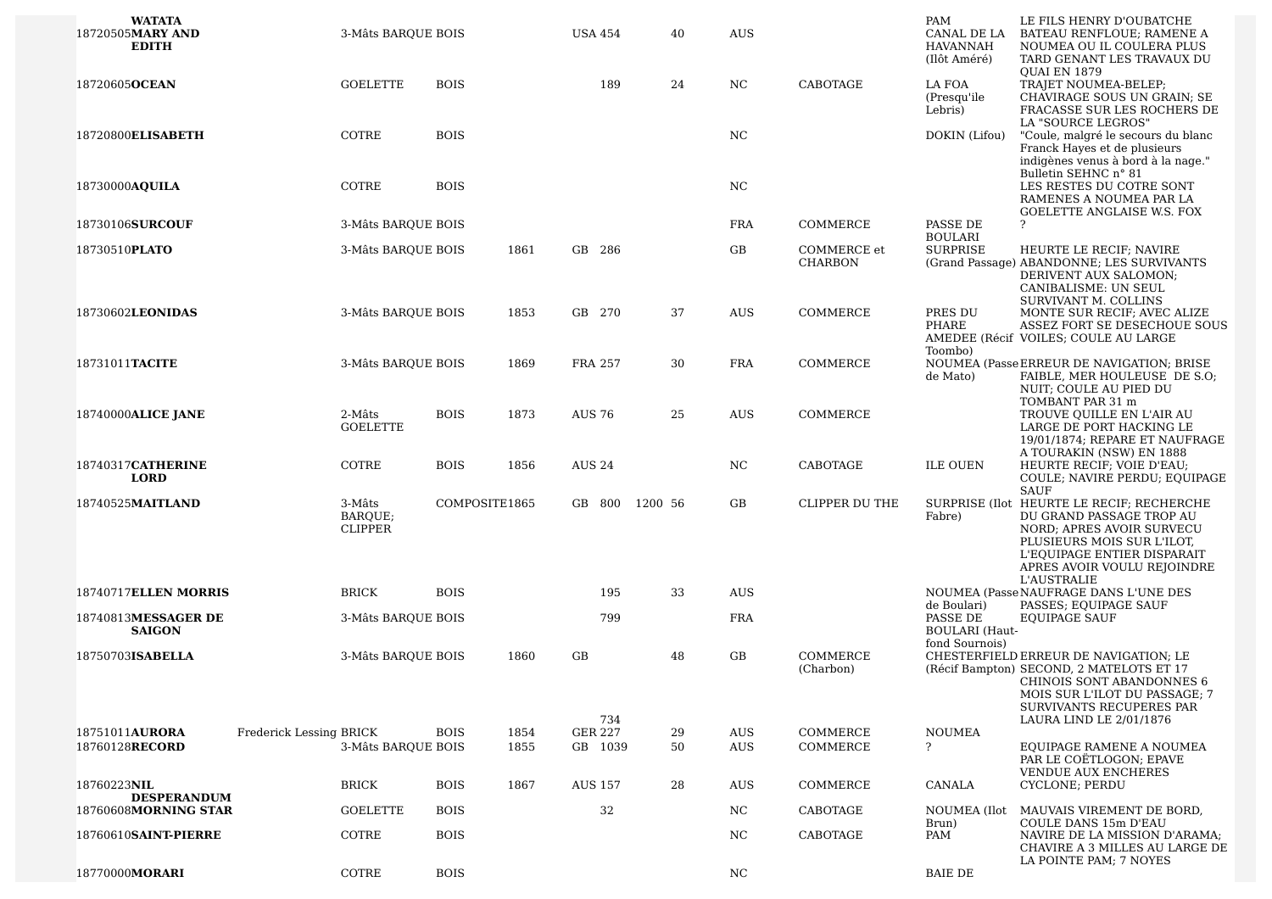| <b>WATATA</b><br>18720505MARY AND<br><b>EDITH</b> | 3-Mâts BARQUE BOIS                  |             |               | USA 454        | 40      | <b>AUS</b> |                               | PAM<br>CANAL DE LA<br>HAVANNAH<br>(Ilôt Améré)      | LE FILS HENRY D'OUBATCHE<br>BATEAU RENFLOUE; RAMENE A<br>NOUMEA OU IL COULERA PLUS<br>TARD GENANT LES TRAVAUX DU                                                                                                     |
|---------------------------------------------------|-------------------------------------|-------------|---------------|----------------|---------|------------|-------------------------------|-----------------------------------------------------|----------------------------------------------------------------------------------------------------------------------------------------------------------------------------------------------------------------------|
| 18720605OCEAN                                     | <b>GOELETTE</b>                     | <b>BOIS</b> |               | 189            | 24      | NC         | CABOTAGE                      | LA FOA<br>(Presqu'ile<br>Lebris)                    | QUAI EN 1879<br>TRAJET NOUMEA-BELEP;<br>CHAVIRAGE SOUS UN GRAIN; SE<br>FRACASSE SUR LES ROCHERS DE<br>LA "SOURCE LEGROS"                                                                                             |
| 18720800ELISABETH                                 | COTRE                               | <b>BOIS</b> |               |                |         | NC         |                               | DOKIN (Lifou)                                       | "Coule, malgré le secours du blanc<br>Franck Hayes et de plusieurs<br>indigènes venus à bord à la nage."<br>Bulletin SEHNC n° 81                                                                                     |
| 18730000AQUILA                                    | COTRE                               | <b>BOIS</b> |               |                |         | <b>NC</b>  |                               |                                                     | LES RESTES DU COTRE SONT<br>RAMENES A NOUMEA PAR LA<br><b>GOELETTE ANGLAISE W.S. FOX</b>                                                                                                                             |
| 18730106SURCOUF                                   | 3-Mâts BARQUE BOIS                  |             |               |                |         | <b>FRA</b> | COMMERCE                      | PASSE DE<br><b>BOULARI</b>                          | ?                                                                                                                                                                                                                    |
| 18730510PLATO                                     | 3-Mâts BARQUE BOIS                  |             | 1861          | GB 286         |         | GB         | COMMERCE et<br><b>CHARBON</b> | <b>SURPRISE</b>                                     | HEURTE LE RECIF; NAVIRE<br>(Grand Passage) ABANDONNE; LES SURVIVANTS<br>DERIVENT AUX SALOMON;<br>CANIBALISME: UN SEUL<br>SURVIVANT M. COLLINS                                                                        |
| 18730602LEONIDAS                                  | 3-Mâts BARQUE BOIS                  |             | 1853          | GB 270         | 37      | <b>AUS</b> | COMMERCE                      | PRES DU<br>PHARE<br>Toombo)                         | MONTE SUR RECIF; AVEC ALIZE<br>ASSEZ FORT SE DESECHOUE SOUS<br>AMEDEE (Récif VOILES; COULE AU LARGE                                                                                                                  |
| 18731011TACITE                                    | 3-Mâts BARQUE BOIS                  |             | 1869          | FRA 257        | 30      | <b>FRA</b> | COMMERCE                      | de Mato)                                            | NOUMEA (Passe ERREUR DE NAVIGATION; BRISE<br>FAIBLE, MER HOULEUSE DE S.O;<br>NUIT; COULE AU PIED DU<br>TOMBANT PAR 31 m                                                                                              |
| 18740000ALICE JANE                                | 2-Mâts<br><b>GOELETTE</b>           | <b>BOIS</b> | 1873          | <b>AUS 76</b>  | 25      | <b>AUS</b> | COMMERCE                      |                                                     | TROUVE QUILLE EN L'AIR AU<br>LARGE DE PORT HACKING LE<br>19/01/1874; REPARE ET NAUFRAGE<br>A TOURAKIN (NSW) EN 1888                                                                                                  |
| 18740317CATHERINE<br><b>LORD</b>                  | COTRE                               | <b>BOIS</b> | 1856          | <b>AUS 24</b>  |         | NC.        | CABOTAGE                      | <b>ILE OUEN</b>                                     | HEURTE RECIF; VOIE D'EAU;<br>COULE; NAVIRE PERDU; EQUIPAGE<br><b>SAUF</b>                                                                                                                                            |
| 18740525MAITLAND                                  | 3-Mâts<br>BARQUE;<br><b>CLIPPER</b> |             | COMPOSITE1865 | GB 800         | 1200 56 | GB         | <b>CLIPPER DU THE</b>         | Fabre)                                              | SURPRISE (Ilot HEURTE LE RECIF; RECHERCHE<br>DU GRAND PASSAGE TROP AU<br>NORD; APRES AVOIR SURVECU<br>PLUSIEURS MOIS SUR L'ILOT,<br>L'EQUIPAGE ENTIER DISPARAIT<br>APRES AVOIR VOULU REJOINDRE<br><b>L'AUSTRALIE</b> |
| 18740717ELLEN MORRIS                              | <b>BRICK</b>                        | <b>BOIS</b> |               | 195            | 33      | <b>AUS</b> |                               | de Boulari)                                         | NOUMEA (Passe NAUFRAGE DANS L'UNE DES<br>PASSES; EQUIPAGE SAUF                                                                                                                                                       |
| 18740813MESSAGER DE<br><b>SAIGON</b>              | 3-Mâts BARQUE BOIS                  |             |               | 799            |         | <b>FRA</b> |                               | PASSE DE<br><b>BOULARI</b> (Haut-<br>fond Sournois) | <b>EOUIPAGE SAUF</b>                                                                                                                                                                                                 |
| 18750703ISABELLA                                  | 3-Mâts BARQUE BOIS                  |             | 1860          | GB<br>734      | 48      | GB         | COMMERCE<br>(Charbon)         |                                                     | CHESTERFIELD ERREUR DE NAVIGATION; LE<br>(Récif Bampton) SECOND, 2 MATELOTS ET 17<br>CHINOIS SONT ABANDONNES 6<br>MOIS SUR L'ILOT DU PASSAGE; 7<br>SURVIVANTS RECUPERES PAR<br>LAURA LIND LE 2/01/1876               |
| 18751011AURORA<br>18760128RECORD                  | Frederick Lessing BRICK             | <b>BOIS</b> | 1854          | <b>GER 227</b> | 29      | AUS        | COMMERCE                      | <b>NOUMEA</b><br>$\overline{?}$                     | EOUIPAGE RAMENE A NOUMEA                                                                                                                                                                                             |
|                                                   | 3-Mâts BARQUE BOIS                  |             | 1855          | GB 1039        | 50      | AUS        | COMMERCE                      |                                                     | PAR LE COËTLOGON; EPAVE<br><b>VENDUE AUX ENCHERES</b>                                                                                                                                                                |
| 18760223NIL<br><b>DESPERANDUM</b>                 | <b>BRICK</b>                        | <b>BOIS</b> | 1867          | <b>AUS 157</b> | 28      | <b>AUS</b> | COMMERCE                      | CANALA                                              | CYCLONE; PERDU                                                                                                                                                                                                       |
| 18760608MORNING STAR                              | <b>GOELETTE</b>                     | <b>BOIS</b> |               | 32             |         | NC         | CABOTAGE                      | Brun)                                               | NOUMEA (Ilot MAUVAIS VIREMENT DE BORD,<br><b>COULE DANS 15m D'EAU</b>                                                                                                                                                |
| 18760610SAINT-PIERRE                              | COTRE                               | <b>BOIS</b> |               |                |         | NC.        | CABOTAGE                      | PAM                                                 | NAVIRE DE LA MISSION D'ARAMA;<br>CHAVIRE A 3 MILLES AU LARGE DE<br>LA POINTE PAM; 7 NOYES                                                                                                                            |
| 18770000MORARI                                    | COTRE                               | <b>BOIS</b> |               |                |         | NC         |                               | <b>BAIE DE</b>                                      |                                                                                                                                                                                                                      |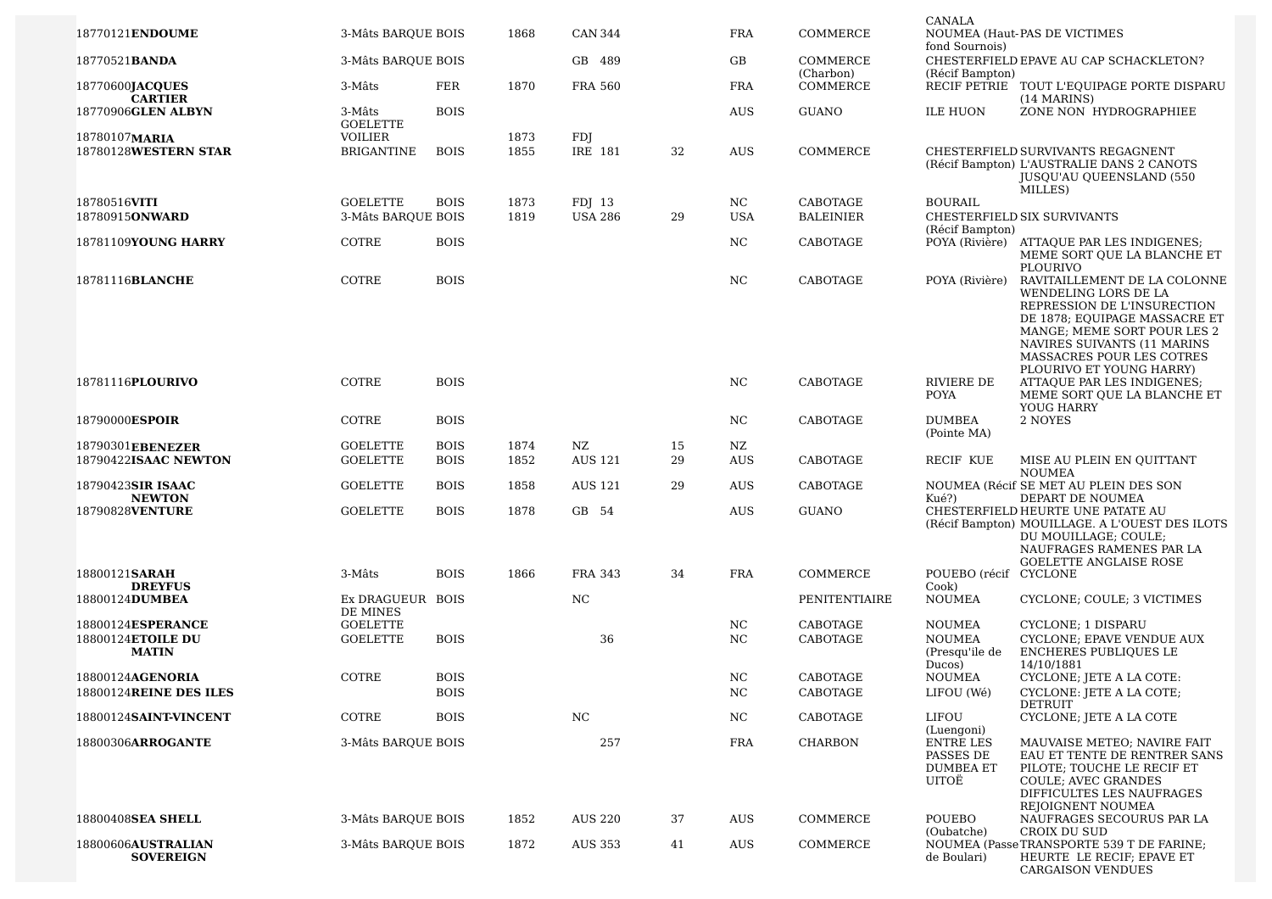|                                        |                              |             |      |                |    |            |                       | CANALA                                                     |                                                                                                                                                                                                                 |
|----------------------------------------|------------------------------|-------------|------|----------------|----|------------|-----------------------|------------------------------------------------------------|-----------------------------------------------------------------------------------------------------------------------------------------------------------------------------------------------------------------|
| 18770121ENDOUME                        | 3-Mâts BAROUE BOIS           |             | 1868 | <b>CAN 344</b> |    | <b>FRA</b> | COMMERCE              | fond Sournois)                                             | NOUMEA (Haut-PAS DE VICTIMES                                                                                                                                                                                    |
| 18770521 <b>BANDA</b>                  | 3-Mâts BAROUE BOIS           |             |      | GB 489         |    | GB         | COMMERCE<br>(Charbon) | (Récif Bampton)                                            | CHESTERFIELD EPAVE AU CAP SCHACKLETON?                                                                                                                                                                          |
| 18770600JACQUES<br><b>CARTIER</b>      | 3-Mâts                       | <b>FER</b>  | 1870 | <b>FRA 560</b> |    | <b>FRA</b> | COMMERCE              |                                                            | RECIF PETRIE TOUT L'EQUIPAGE PORTE DISPARU<br>(14 MARINS)                                                                                                                                                       |
| 18770906GLEN ALBYN                     | 3-Mâts<br><b>GOELETTE</b>    | <b>BOIS</b> |      |                |    | <b>AUS</b> | <b>GUANO</b>          | <b>ILE HUON</b>                                            | ZONE NON HYDROGRAPHIEE                                                                                                                                                                                          |
| 18780107MARIA                          | VOILIER                      |             | 1873 | FDJ            |    |            |                       |                                                            |                                                                                                                                                                                                                 |
| 18780128WESTERN STAR                   | <b>BRIGANTINE</b>            | <b>BOIS</b> | 1855 | IRE 181        | 32 | <b>AUS</b> | COMMERCE              |                                                            | CHESTERFIELD SURVIVANTS REGAGNENT                                                                                                                                                                               |
|                                        |                              |             |      |                |    |            |                       |                                                            | (Récif Bampton) L'AUSTRALIE DANS 2 CANOTS<br><b>JUSOU'AU OUEENSLAND (550)</b><br>MILLES)                                                                                                                        |
| 18780516VITI                           | <b>GOELETTE</b>              | <b>BOIS</b> | 1873 | FDJ 13         |    | NC.        | CABOTAGE              | <b>BOURAIL</b>                                             |                                                                                                                                                                                                                 |
| 18780915ONWARD                         | 3-Mâts BAROUE BOIS           |             | 1819 | <b>USA 286</b> | 29 | <b>USA</b> | <b>BALEINIER</b>      |                                                            | CHESTERFIELD SIX SURVIVANTS                                                                                                                                                                                     |
| 18781109YOUNG HARRY                    | COTRE                        | <b>BOIS</b> |      |                |    | NC         | CABOTAGE              | (Récif Bampton)                                            | POYA (Rivière) ATTAQUE PAR LES INDIGENES;<br>MEME SORT QUE LA BLANCHE ET<br>PLOURIVO                                                                                                                            |
| 18781116BLANCHE                        | COTRE                        | <b>BOIS</b> |      |                |    | NC         | CABOTAGE              | POYA (Rivière)                                             | RAVITAILLEMENT DE LA COLONNE<br>WENDELING LORS DE LA<br>REPRESSION DE L'INSURECTION<br>DE 1878; EQUIPAGE MASSACRE ET<br>MANGE; MEME SORT POUR LES 2<br>NAVIRES SUIVANTS (11 MARINS<br>MASSACRES POUR LES COTRES |
| 18781116PLOURIVO                       | COTRE                        | <b>BOIS</b> |      |                |    | NC         | CABOTAGE              | RIVIERE DE<br><b>POYA</b>                                  | PLOURIVO ET YOUNG HARRY)<br>ATTAQUE PAR LES INDIGENES;<br>MEME SORT OUE LA BLANCHE ET<br>YOUG HARRY                                                                                                             |
| 18790000ESPOIR                         | COTRE                        | <b>BOIS</b> |      |                |    | NC         | CABOTAGE              | <b>DUMBEA</b><br>(Pointe MA)                               | 2 NOYES                                                                                                                                                                                                         |
| 18790301EBENEZER                       | <b>GOELETTE</b>              | <b>BOIS</b> | 1874 | NZ             | 15 | NZ         |                       |                                                            |                                                                                                                                                                                                                 |
| 18790422ISAAC NEWTON                   | <b>GOELETTE</b>              | <b>BOIS</b> | 1852 | <b>AUS 121</b> | 29 | <b>AUS</b> | CABOTAGE              | RECIF KUE                                                  | MISE AU PLEIN EN QUITTANT                                                                                                                                                                                       |
|                                        |                              |             |      |                |    |            |                       |                                                            | <b>NOUMEA</b>                                                                                                                                                                                                   |
| 18790423SIR ISAAC<br><b>NEWTON</b>     | <b>GOELETTE</b>              | <b>BOIS</b> | 1858 | <b>AUS 121</b> | 29 | AUS        | CABOTAGE              | Kué?)                                                      | NOUMEA (Récif SE MET AU PLEIN DES SON<br>DEPART DE NOUMEA                                                                                                                                                       |
| 18790828VENTURE                        | <b>GOELETTE</b>              | <b>BOIS</b> | 1878 | GB 54          |    | <b>AUS</b> | <b>GUANO</b>          |                                                            | CHESTERFIELD HEURTE UNE PATATE AU<br>(Récif Bampton) MOUILLAGE. A L'OUEST DES ILOTS<br>DU MOUILLAGE; COULE;<br>NAUFRAGES RAMENES PAR LA<br><b>GOELETTE ANGLAISE ROSE</b>                                        |
| 18800121SARAH<br><b>DREYFUS</b>        | 3-Mâts                       | <b>BOIS</b> | 1866 | <b>FRA 343</b> | 34 | <b>FRA</b> | COMMERCE              | POUEBO (récif CYCLONE<br>Cook)                             |                                                                                                                                                                                                                 |
| 18800124DUMBEA                         | Ex DRAGUEUR BOIS<br>DE MINES |             |      | NC             |    |            | PENITENTIAIRE         | <b>NOUMEA</b>                                              | CYCLONE; COULE; 3 VICTIMES                                                                                                                                                                                      |
| 18800124ESPERANCE                      | <b>GOELETTE</b>              |             |      |                |    | NC         | CABOTAGE              | <b>NOUMEA</b>                                              | <b>CYCLONE: 1 DISPARU</b>                                                                                                                                                                                       |
| 18800124ETOILE DU                      | <b>GOELETTE</b>              | <b>BOIS</b> |      | 36             |    | NC         | CABOTAGE              | <b>NOUMEA</b>                                              | CYCLONE; EPAVE VENDUE AUX                                                                                                                                                                                       |
| <b>MATIN</b>                           |                              |             |      |                |    |            |                       | (Presqu'ile de                                             | <b>ENCHERES PUBLIQUES LE</b>                                                                                                                                                                                    |
| 18800124AGENORIA                       | COTRE                        | <b>BOIS</b> |      |                |    | NC         | CABOTAGE              | Ducos)<br><b>NOUMEA</b>                                    | 14/10/1881<br>CYCLONE; JETE A LA COTE:                                                                                                                                                                          |
| 18800124REINE DES ILES                 |                              | <b>BOIS</b> |      |                |    | NC         | CABOTAGE              | LIFOU (Wé)                                                 | CYCLONE: JETE A LA COTE;                                                                                                                                                                                        |
|                                        |                              |             |      |                |    |            |                       |                                                            | DETRUIT                                                                                                                                                                                                         |
| 18800124SAINT-VINCENT                  | COTRE                        | <b>BOIS</b> |      | NC             |    | NC.        | CABOTAGE              | LIFOU<br>(Luengoni)                                        | CYCLONE; JETE A LA COTE                                                                                                                                                                                         |
| 18800306ARROGANTE                      | 3-Mâts BARQUE BOIS           |             |      | 257            |    | <b>FRA</b> | <b>CHARBON</b>        | <b>ENTRE LES</b><br>PASSES DE<br><b>DUMBEA ET</b><br>UITOË | MAUVAISE METEO; NAVIRE FAIT<br>EAU ET TENTE DE RENTRER SANS<br>PILOTE; TOUCHE LE RECIF ET<br>COULE; AVEC GRANDES<br>DIFFICULTES LES NAUFRAGES<br>REJOIGNENT NOUMEA                                              |
| 18800408SEA SHELL                      | 3-Mâts BARQUE BOIS           |             | 1852 | <b>AUS 220</b> | 37 | AUS        | COMMERCE              | POUEBO<br>(Oubatche)                                       | NAUFRAGES SECOURUS PAR LA<br>CROIX DU SUD                                                                                                                                                                       |
| 18800606AUSTRALIAN<br><b>SOVEREIGN</b> | 3-Mâts BAROUE BOIS           |             | 1872 | AUS 353        | 41 | AUS        | COMMERCE              | de Boulari)                                                | NOUMEA (Passe TRANSPORTE 539 T DE FARINE;<br>HEURTE LE RECIF; EPAVE ET<br><b>CARGAISON VENDUES</b>                                                                                                              |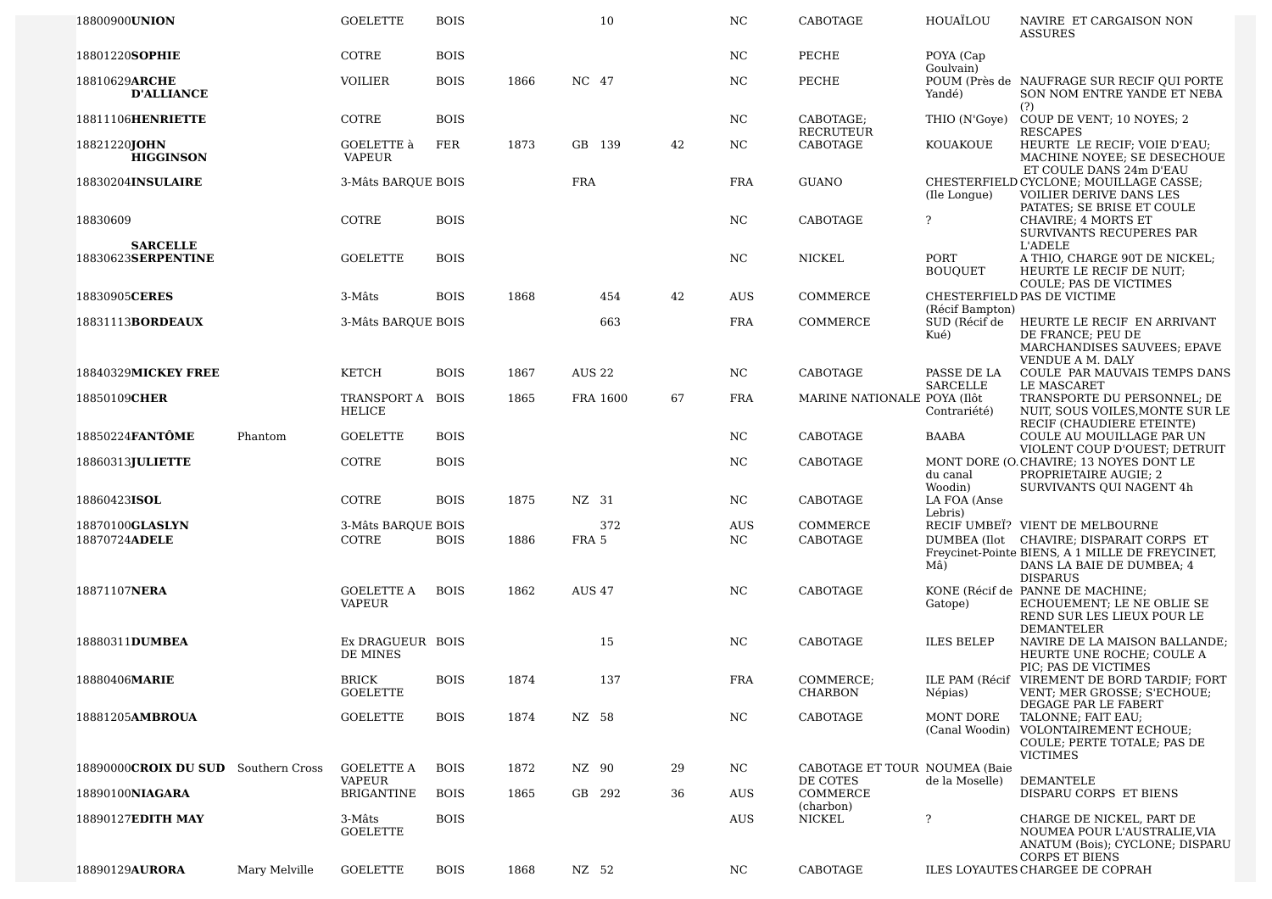| 18800900UNION                         |               | <b>GOELETTE</b>                    | <b>BOIS</b> |      |               | 10       |    | NC.              | CABOTAGE                                  | HOUAÏLOU                                 | NAVIRE ET CARGAISON NON<br><b>ASSURES</b>                                                                                                                                      |
|---------------------------------------|---------------|------------------------------------|-------------|------|---------------|----------|----|------------------|-------------------------------------------|------------------------------------------|--------------------------------------------------------------------------------------------------------------------------------------------------------------------------------|
| 18801220SOPHIE                        |               | COTRE                              | <b>BOIS</b> |      |               |          |    | NC.              | PECHE                                     | POYA (Cap<br>Goulvain)                   |                                                                                                                                                                                |
| 18810629ARCHE<br><b>D'ALLIANCE</b>    |               | <b>VOILIER</b>                     | <b>BOIS</b> | 1866 | NC 47         |          |    | NC               | PECHE                                     | Yandé)                                   | POUM (Près de NAUFRAGE SUR RECIF QUI PORTE<br>SON NOM ENTRE YANDE ET NEBA<br>(?)                                                                                               |
| 18811106HENRIETTE                     |               | COTRE                              | <b>BOIS</b> |      |               |          |    | NC.              | CABOTAGE;<br>RECRUTEUR                    | THIO (N'Gove)                            | COUP DE VENT; 10 NOYES; 2<br><b>RESCAPES</b>                                                                                                                                   |
| 18821220JOHN<br><b>HIGGINSON</b>      |               | GOELETTE à<br><b>VAPEUR</b>        | FER         | 1873 | GB 139        |          | 42 | NC               | CABOTAGE                                  | KOUAKOUE                                 | HEURTE LE RECIF; VOIE D'EAU;<br>MACHINE NOYEE; SE DESECHOUE<br>ET COULE DANS 24m D'EAU                                                                                         |
| 18830204INSULAIRE                     |               | 3-Mâts BAROUE BOIS                 |             |      | <b>FRA</b>    |          |    | <b>FRA</b>       | <b>GUANO</b>                              | (Ile Longue)                             | CHESTERFIELD CYCLONE; MOUILLAGE CASSE;<br>VOILIER DERIVE DANS LES<br>PATATES; SE BRISE ET COULE                                                                                |
| 18830609                              |               | COTRE                              | <b>BOIS</b> |      |               |          |    | NC               | CABOTAGE                                  | ?                                        | CHAVIRE; 4 MORTS ET<br>SURVIVANTS RECUPERES PAR                                                                                                                                |
| <b>SARCELLE</b><br>18830623SERPENTINE |               | <b>GOELETTE</b>                    | <b>BOIS</b> |      |               |          |    | NC               | NICKEL                                    | PORT<br><b>BOUQUET</b>                   | <b>L'ADELE</b><br>A THIO, CHARGE 90T DE NICKEL;<br>HEURTE LE RECIF DE NUIT;                                                                                                    |
| 18830905CERES                         |               | 3-Mâts                             | <b>BOIS</b> | 1868 |               | 454      | 42 | AUS              | COMMERCE                                  |                                          | COULE; PAS DE VICTIMES<br>CHESTERFIELD PAS DE VICTIME                                                                                                                          |
| 18831113BORDEAUX                      |               | 3-Mâts BARQUE BOIS                 |             |      |               | 663      |    | <b>FRA</b>       | COMMERCE                                  | (Récif Bampton)<br>SUD (Récif de<br>Kué) | HEURTE LE RECIF EN ARRIVANT<br>DE FRANCE; PEU DE<br>MARCHANDISES SAUVEES; EPAVE<br>VENDUE A M. DALY                                                                            |
| 18840329MICKEY FREE                   |               | KETCH                              | <b>BOIS</b> | 1867 | <b>AUS 22</b> |          |    | NC.              | CABOTAGE                                  | PASSE DE LA<br>SARCELLE                  | COULE PAR MAUVAIS TEMPS DANS<br>LE MASCARET                                                                                                                                    |
| 18850109CHER                          |               | TRANSPORT A<br><b>HELICE</b>       | <b>BOIS</b> | 1865 |               | FRA 1600 | 67 | <b>FRA</b>       | MARINE NATIONALE POYA (Ilôt               | Contrariété)                             | TRANSPORTE DU PERSONNEL; DE<br>NUIT, SOUS VOILES, MONTE SUR LE<br>RECIF (CHAUDIERE ETEINTE)                                                                                    |
| 18850224 <b>FANTÔME</b>               | Phantom       | <b>GOELETTE</b>                    | <b>BOIS</b> |      |               |          |    | NC.              | CABOTAGE                                  | <b>BAABA</b>                             | COULE AU MOUILLAGE PAR UN<br>VIOLENT COUP D'OUEST; DETRUIT                                                                                                                     |
| 18860313JULIETTE                      |               | COTRE                              | <b>BOIS</b> |      |               |          |    | NC               | CABOTAGE                                  | du canal<br>Woodin)                      | MONT DORE (O. CHAVIRE; 13 NOYES DONT LE<br>PROPRIETAIRE AUGIE; 2<br>SURVIVANTS QUI NAGENT 4h                                                                                   |
| 18860423ISOL                          |               | COTRE                              | <b>BOIS</b> | 1875 | NZ 31         |          |    | NC               | CABOTAGE                                  | LA FOA (Anse<br>Lebris)                  |                                                                                                                                                                                |
| 18870100GLASLYN<br>18870724ADELE      |               | 3-Mâts BARQUE BOIS<br>COTRE        | <b>BOIS</b> | 1886 | FRA 5         | 372      |    | <b>AUS</b><br>NC | COMMERCE<br>CABOTAGE                      | Mâ)                                      | RECIF UMBEI? VIENT DE MELBOURNE<br>DUMBEA (Ilot CHAVIRE; DISPARAIT CORPS ET<br>Freycinet-Pointe BIENS, A 1 MILLE DE FREYCINET,<br>DANS LA BAIE DE DUMBEA; 4<br><b>DISPARUS</b> |
| 18871107NERA                          |               | <b>GOELETTE A</b><br><b>VAPEUR</b> | <b>BOIS</b> | 1862 | <b>AUS 47</b> |          |    | NC               | CABOTAGE                                  | Gatope)                                  | KONE (Récif de PANNE DE MACHINE;<br>ECHOUEMENT; LE NE OBLIE SE<br>REND SUR LES LIEUX POUR LE<br><b>DEMANTELER</b>                                                              |
| 18880311DUMBEA                        |               | Ex DRAGUEUR BOIS<br>DE MINES       |             |      |               | 15       |    | NC               | CABOTAGE                                  | <b>ILES BELEP</b>                        | NAVIRE DE LA MAISON BALLANDE;<br>HEURTE UNE ROCHE; COULE A<br>PIC; PAS DE VICTIMES                                                                                             |
| 18880406MARIE                         |               | <b>BRICK</b><br><b>GOELETTE</b>    | <b>BOIS</b> | 1874 |               | 137      |    | FRA              | COMMERCE;<br><b>CHARBON</b>               | Nepias)                                  | ILE PAM (Récif VIREMENT DE BORD TARDIF; FORT<br>VENT; MER GROSSE; S'ECHOUE;                                                                                                    |
| 18881205AMBROUA                       |               | <b>GOELETTE</b>                    | <b>BOIS</b> | 1874 | NZ 58         |          |    | NC               | CABOTAGE                                  | MONT DORE                                | DEGAGE PAR LE FABERT<br>TALONNE; FAIT EAU;<br>(Canal Woodin) VOLONTAIREMENT ECHOUE;<br>COULE; PERTE TOTALE; PAS DE<br><b>VICTIMES</b>                                          |
| 18890000CROIX DU SUD Southern Cross   |               | <b>GOELETTE A</b><br><b>VAPEUR</b> | <b>BOIS</b> | 1872 | NZ 90         |          | 29 | NC.              | CABOTAGE ET TOUR NOUMEA (Baie<br>DE COTES | de la Moselle)                           | DEMANTELE                                                                                                                                                                      |
| 18890100NIAGARA                       |               | <b>BRIGANTINE</b>                  | <b>BOIS</b> | 1865 | GB 292        |          | 36 | AUS              | COMMERCE<br>(charbon)                     |                                          | DISPARU CORPS ET BIENS                                                                                                                                                         |
| 18890127EDITH MAY                     |               | 3-Mâts<br><b>GOELETTE</b>          | <b>BOIS</b> |      |               |          |    | AUS              | <b>NICKEL</b>                             | ?                                        | CHARGE DE NICKEL, PART DE<br>NOUMEA POUR L'AUSTRALIE, VIA<br>ANATUM (Bois); CYCLONE; DISPARU<br><b>CORPS ET BIENS</b>                                                          |
| 18890129AURORA                        | Mary Melville | <b>GOELETTE</b>                    | <b>BOIS</b> | 1868 | NZ 52         |          |    | NC.              | CABOTAGE                                  |                                          | ILES LOYAUTES CHARGEE DE COPRAH                                                                                                                                                |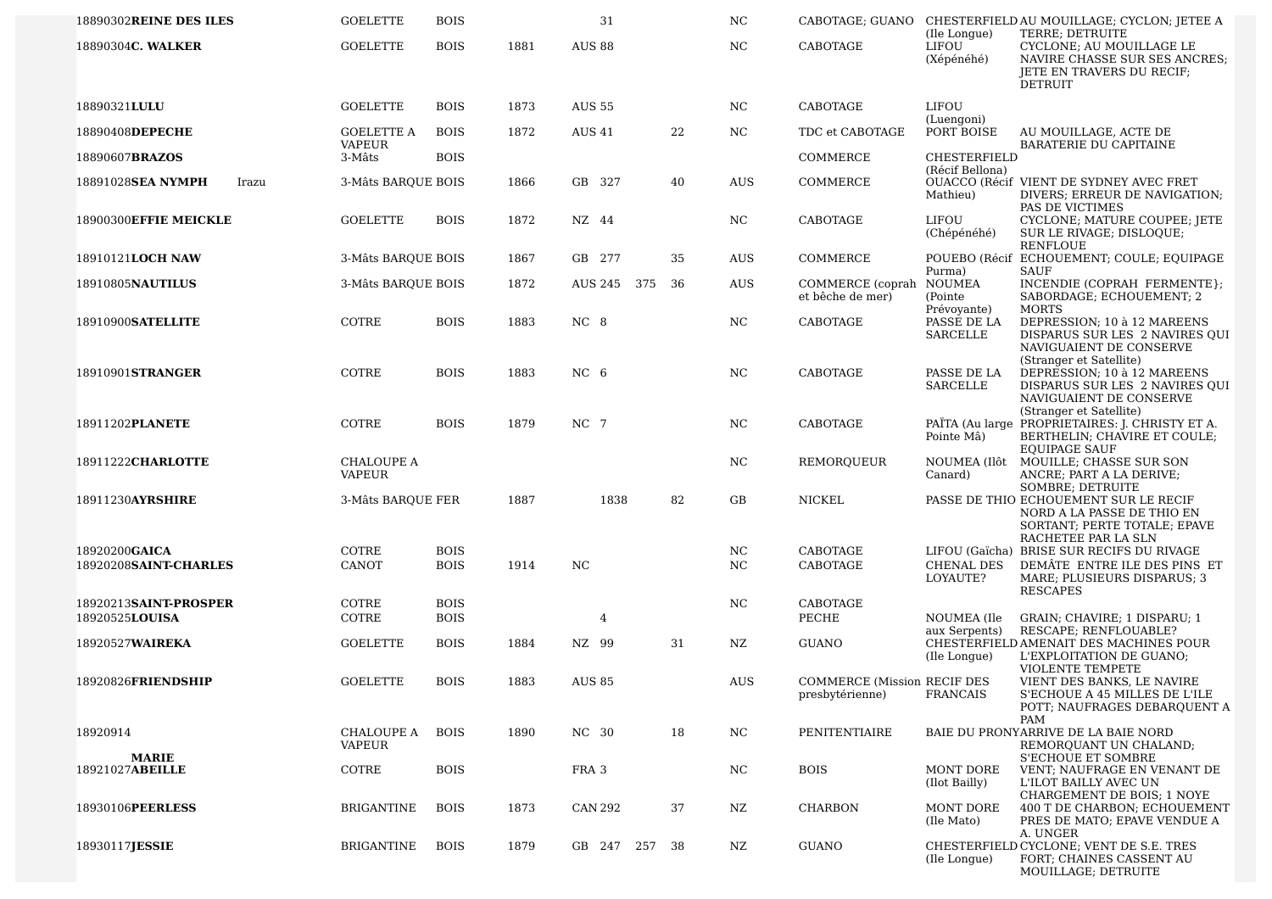| 18890302REINE DES ILES                 | <b>GOELETTE</b>             | <b>BOIS</b>                |      | 31              |     | NC.        | CABOTAGE; GUANO                                       |                                        | CHESTERFIELD AU MOUILLAGE; CYCLON; JETEE A                                                                                          |
|----------------------------------------|-----------------------------|----------------------------|------|-----------------|-----|------------|-------------------------------------------------------|----------------------------------------|-------------------------------------------------------------------------------------------------------------------------------------|
| 18890304C. WALKER                      | <b>GOELETTE</b>             | <b>BOIS</b>                | 1881 | <b>AUS 88</b>   |     | NC.        | CABOTAGE                                              | (Ile Longue)<br>LIFOU<br>(Xépénéhé)    | TERRE; DETRUITE<br>CYCLONE; AU MOUILLAGE LE<br>NAVIRE CHASSE SUR SES ANCRES;<br>JETE EN TRAVERS DU RECIF;<br><b>DETRUIT</b>         |
| 18890321LULU                           | <b>GOELETTE</b>             | <b>BOIS</b>                | 1873 | <b>AUS 55</b>   |     | NC.        | CABOTAGE                                              | LIFOU                                  |                                                                                                                                     |
| 18890408DEPECHE                        | <b>GOELETTE A</b>           | <b>BOIS</b>                | 1872 | <b>AUS 41</b>   | 22  | NC.        | TDC et CABOTAGE                                       | (Luengoni)<br>PORT BOISE               | AU MOUILLAGE, ACTE DE                                                                                                               |
| 18890607BRAZOS                         | <b>VAPEUR</b><br>3-Mâts     | <b>BOIS</b>                |      |                 |     |            | COMMERCE                                              | CHESTERFIELD                           | BARATERIE DU CAPITAINE                                                                                                              |
| 18891028SEA NYMPH<br>Irazu             | 3-Mâts BAROUE BOIS          |                            | 1866 | GB 327          | 40  | <b>AUS</b> | COMMERCE                                              | (Récif Bellona)<br>Mathieu)            | OUACCO (Récif VIENT DE SYDNEY AVEC FRET<br>DIVERS; ERREUR DE NAVIGATION;<br>PAS DE VICTIMES                                         |
| 18900300EFFIE MEICKLE                  | <b>GOELETTE</b>             | <b>BOIS</b>                | 1872 | NZ 44           |     | NC.        | CABOTAGE                                              | LIFOU<br>(Chépénéhé)                   | CYCLONE; MATURE COUPEE; JETE<br>SUR LE RIVAGE; DISLOQUE;<br><b>RENFLOUE</b>                                                         |
| 18910121LOCH NAW                       | 3-Mâts BARQUE BOIS          |                            | 1867 | GB 277          | 35  | <b>AUS</b> | COMMERCE                                              | Purma)                                 | POUEBO (Récif ECHOUEMENT; COULE; EQUIPAGE<br>SAUF                                                                                   |
| 18910805NAUTILUS                       | 3-Mâts BARQUE BOIS          |                            | 1872 | AUS 245<br>375  | 36  | AUS        | COMMERCE (coprah<br>et bêche de mer)                  | NOUMEA<br>(Pointe)                     | INCENDIE (COPRAH FERMENTE};<br>SABORDAGE; ECHOUEMENT; 2                                                                             |
| 18910900SATELLITE                      | COTRE                       | <b>BOIS</b>                | 1883 | NC 8            |     | NC.        | CABOTAGE                                              | Prévoyante)<br>PASSE DE LA<br>SARCELLE | <b>MORTS</b><br>DEPRESSION; 10 à 12 MAREENS<br>DISPARUS SUR LES 2 NAVIRES QUI<br>NAVIGUAIENT DE CONSERVE<br>(Stranger et Satellite) |
| 18910901STRANGER                       | COTRE                       | <b>BOIS</b>                | 1883 | NC <sub>6</sub> |     | NC.        | CABOTAGE                                              | PASSE DE LA<br><b>SARCELLE</b>         | DEPRESSION; 10 à 12 MAREENS<br>DISPARUS SUR LES 2 NAVIRES QUI<br>NAVIGUAIENT DE CONSERVE<br>(Stranger et Satellite)                 |
| 18911202PLANETE                        | COTRE                       | <b>BOIS</b>                | 1879 | NC 7            |     | NC.        | CABOTAGE                                              | Pointe Mâ)                             | PAÏTA (Au large PROPRIETAIRES: J. CHRISTY ET A.<br>BERTHELIN; CHAVIRE ET COULE;<br><b>EOUIPAGE SAUF</b>                             |
| 18911222CHARLOTTE                      | CHALOUPE A<br><b>VAPEUR</b> |                            |      |                 |     | NC.        | REMORQUEUR                                            | NOUMEA (Ilôt<br>Canard)                | MOUILLE; CHASSE SUR SON<br>ANCRE; PART A LA DERIVE;<br>SOMBRE; DETRUITE                                                             |
| 18911230AYRSHIRE                       | 3-Mâts BARQUE FER           |                            | 1887 | 1838            | 82  | GB         | NICKEL                                                |                                        | PASSE DE THIO ECHOUEMENT SUR LE RECIF<br>NORD A LA PASSE DE THIO EN<br>SORTANT; PERTE TOTALE; EPAVE<br>RACHETEE PAR LA SLN          |
| 18920200GAICA<br>18920208SAINT-CHARLES | COTRE<br>CANOT              | <b>BOIS</b><br><b>BOIS</b> | 1914 | NC              |     | NC.<br>NC. | CABOTAGE<br>CABOTAGE                                  | CHENAL DES                             | LIFOU (Gaïcha) BRISE SUR RECIFS DU RIVAGE<br>DEMÂTE ENTRE ILE DES PINS ET                                                           |
|                                        |                             |                            |      |                 |     |            |                                                       | LOYAUTE?                               | MARE; PLUSIEURS DISPARUS; 3<br><b>RESCAPES</b>                                                                                      |
| 18920213SAINT-PROSPER                  | COTRE                       | <b>BOIS</b>                |      |                 |     | NC.        | CABOTAGE                                              |                                        |                                                                                                                                     |
| 18920525 <b>LOUISA</b>                 | COTRE                       | <b>BOIS</b>                |      | 4               |     |            | PECHE                                                 | NOUMEA (Ile<br>aux Serpents)           | GRAIN; CHAVIRE; 1 DISPARU; 1<br>RESCAPE; RENFLOUABLE?                                                                               |
| 18920527WAIREKA                        | <b>GOELETTE</b>             | <b>BOIS</b>                | 1884 | NZ 99           | 31  | NZ.        | <b>GUANO</b>                                          | (Ile Longue)                           | CHESTERFIELD AMENAIT DES MACHINES POUR<br>L'EXPLOITATION DE GUANO;<br>VIOLENTE TEMPETE                                              |
| 18920826FRIENDSHIP                     | <b>GOELETTE</b>             | <b>BOIS</b>                | 1883 | <b>AUS 85</b>   |     | <b>AUS</b> | <b>COMMERCE (Mission RECIF DES</b><br>presbyterienne) | <b>FRANCAIS</b>                        | VIENT DES BANKS, LE NAVIRE<br>S'ECHOUE A 45 MILLES DE L'ILE<br>POTT; NAUFRAGES DEBARQUENT A<br>PAM                                  |
| 18920914                               | CHALOUPE A<br>VAPEUR        | <b>BOIS</b>                | 1890 | NC 30           | 18  | NC.        | PENITENTIAIRE                                         |                                        | BAIE DU PRONYARRIVE DE LA BAIE NORD<br>REMORQUANT UN CHALAND;                                                                       |
| <b>MARIE</b><br>18921027ABEILLE        | COTRE                       | <b>BOIS</b>                |      | FRA 3           |     | NC.        | <b>BOIS</b>                                           | MONT DORE<br>(Ilot Bailly)             | <b>S'ECHOUE ET SOMBRE</b><br>VENT: NAUFRAGE EN VENANT DE<br>L'ILOT BAILLY AVEC UN<br>CHARGEMENT DE BOIS; 1 NOYE                     |
| 18930106PEERLESS                       | <b>BRIGANTINE</b>           | <b>BOIS</b>                | 1873 | CAN 292         | 37  | NZ         | <b>CHARBON</b>                                        | MONT DORE<br>(Ile Mato)                | 400 T DE CHARBON; ECHOUEMENT<br>PRES DE MATO; EPAVE VENDUE A<br>A. UNGER                                                            |
| 18930117JESSIE                         | BRIGANTINE                  | <b>BOIS</b>                | 1879 | GB 247<br>257   | -38 | NZ         | <b>GUANO</b>                                          | (Ile Longue)                           | CHESTERFIELD CYCLONE; VENT DE S.E. TRES<br>FORT; CHAINES CASSENT AU<br>MOUILLAGE; DETRUITE                                          |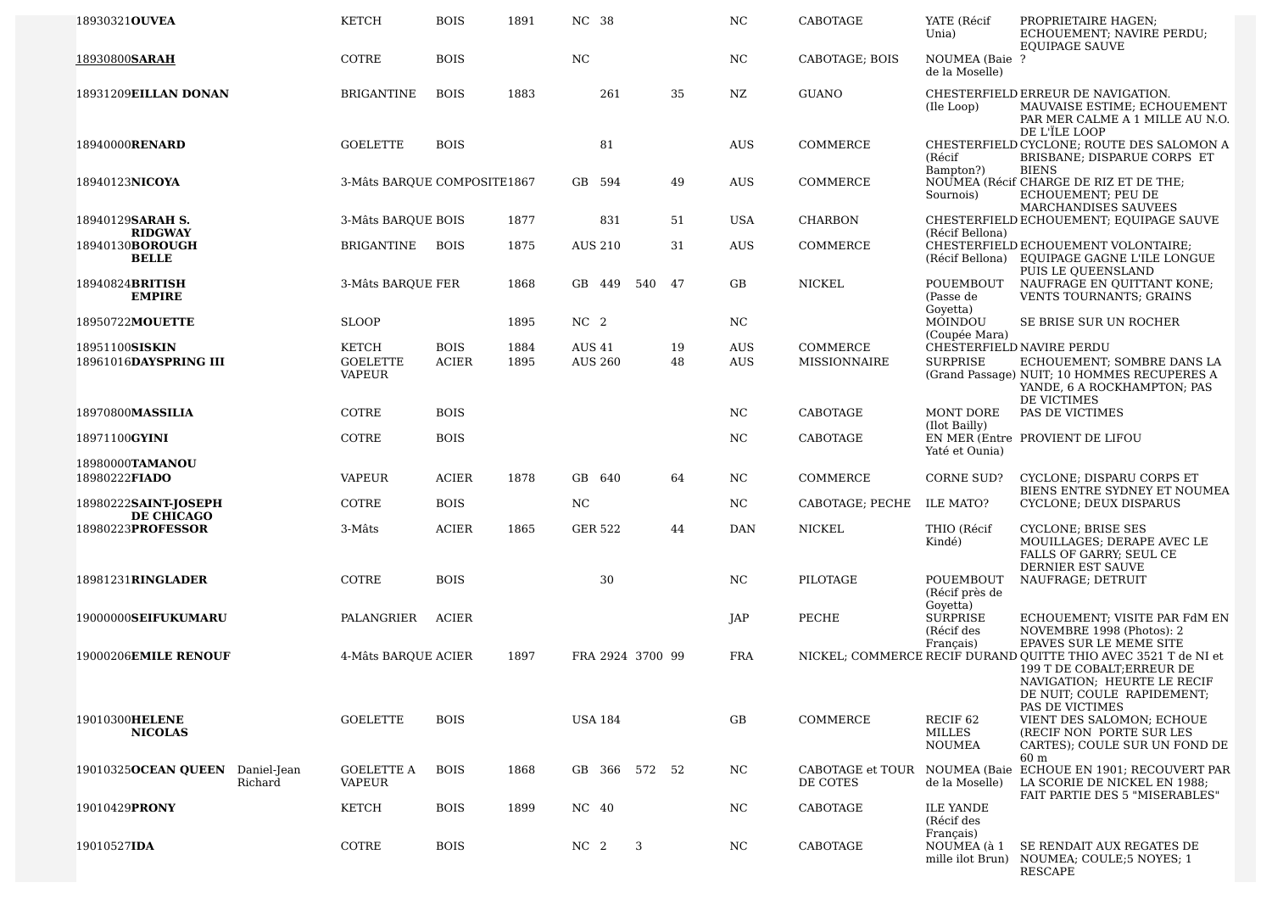| 18930321OUVEA                                     | <b>KETCH</b>                                     | <b>BOIS</b>                 | 1891         | NC 38                           |     |          | NC                       | CABOTAGE                        | YATE (Récif<br>Unia)                           | PROPRIETAIRE HAGEN;<br>ECHOUEMENT; NAVIRE PERDU;<br><b>EQUIPAGE SAUVE</b>                                                                                                    |
|---------------------------------------------------|--------------------------------------------------|-----------------------------|--------------|---------------------------------|-----|----------|--------------------------|---------------------------------|------------------------------------------------|------------------------------------------------------------------------------------------------------------------------------------------------------------------------------|
| 18930800SARAH                                     | COTRE                                            | <b>BOIS</b>                 |              | NC                              |     |          | <b>NC</b>                | CABOTAGE; BOIS                  | NOUMEA (Baie ?<br>de la Moselle)               |                                                                                                                                                                              |
| 18931209EILLAN DONAN                              | <b>BRIGANTINE</b>                                | <b>BOIS</b>                 | 1883         | 261                             |     | 35       | NZ                       | <b>GUANO</b>                    | (Ile Loop)                                     | CHESTERFIELD ERREUR DE NAVIGATION.<br>MAUVAISE ESTIME; ECHOUEMENT<br>PAR MER CALME A 1 MILLE AU N.O.<br>DE L'ÎLE LOOP                                                        |
| 18940000RENARD                                    | <b>GOELETTE</b>                                  | <b>BOIS</b>                 |              | 81                              |     |          | <b>AUS</b>               | COMMERCE                        | (Récif<br>Bampton?)                            | CHESTERFIELD CYCLONE; ROUTE DES SALOMON A<br>BRISBANE; DISPARUE CORPS ET<br><b>BIENS</b>                                                                                     |
| 18940123NICOYA                                    | 3-Mâts BARQUE COMPOSITE1867                      |                             |              | 594<br>GB                       |     | 49       | <b>AUS</b>               | COMMERCE                        | Sournois)                                      | NOUMEA (Récif CHARGE DE RIZ ET DE THE;<br>ECHOUEMENT; PEU DE<br>MARCHANDISES SAUVEES                                                                                         |
| 18940129SARAH S.                                  | 3-Mâts BARQUE BOIS                               |                             | 1877         | 831                             |     | 51       | <b>USA</b>               | <b>CHARBON</b>                  |                                                | CHESTERFIELD ECHOUEMENT; EQUIPAGE SAUVE                                                                                                                                      |
| <b>RIDGWAY</b><br>18940130BOROUGH<br><b>BELLE</b> | BRIGANTINE                                       | <b>BOIS</b>                 | 1875         | <b>AUS 210</b>                  |     | 31       | <b>AUS</b>               | COMMERCE                        | (Récif Bellona)                                | CHESTERFIELD ECHOUEMENT VOLONTAIRE;<br>(Récif Bellona) EQUIPAGE GAGNE L'ILE LONGUE<br>PUIS LE OUEENSLAND                                                                     |
| 18940824BRITISH<br><b>EMPIRE</b>                  | 3-Mâts BARQUE FER                                |                             | 1868         | GB 449                          | 540 | 47       | GB                       | NICKEL                          | POUEMBOUT<br>(Passe de<br>Govetta)             | NAUFRAGE EN QUITTANT KONE;<br>VENTS TOURNANTS; GRAINS                                                                                                                        |
| 18950722MOUETTE                                   | <b>SLOOP</b>                                     |                             | 1895         | NC <sub>2</sub>                 |     |          | NC                       |                                 | MOINDOU<br>(Coupée Mara)                       | SE BRISE SUR UN ROCHER                                                                                                                                                       |
| 18951100SISKIN<br>18961016DAYSPRING III           | <b>KETCH</b><br><b>GOELETTE</b><br><b>VAPEUR</b> | <b>BOIS</b><br><b>ACIER</b> | 1884<br>1895 | <b>AUS 41</b><br><b>AUS 260</b> |     | 19<br>48 | <b>AUS</b><br><b>AUS</b> | COMMERCE<br><b>MISSIONNAIRE</b> | <b>SURPRISE</b>                                | CHESTERFIELD NAVIRE PERDU<br>ECHOUEMENT; SOMBRE DANS LA<br>(Grand Passage) NUIT; 10 HOMMES RECUPERES A<br>YANDE, 6 A ROCKHAMPTON; PAS<br>DE VICTIMES                         |
| 18970800MASSILIA                                  | COTRE                                            | <b>BOIS</b>                 |              |                                 |     |          | NC                       | CABOTAGE                        | MONT DORE<br>(Ilot Bailly)                     | PAS DE VICTIMES                                                                                                                                                              |
| 18971100GYINI                                     | COTRE                                            | <b>BOIS</b>                 |              |                                 |     |          | <b>NC</b>                | CABOTAGE                        | Yaté et Ounia)                                 | EN MER (Entre PROVIENT DE LIFOU                                                                                                                                              |
| 18980000TAMANOU<br>18980222FIADO                  | <b>VAPEUR</b>                                    | <b>ACIER</b>                | 1878         | GB 640                          |     | 64       | NC                       | COMMERCE                        | CORNE SUD?                                     | CYCLONE; DISPARU CORPS ET<br>BIENS ENTRE SYDNEY ET NOUMEA                                                                                                                    |
| 18980222SAINT-JOSEPH<br>DE CHICAGO                | COTRE                                            | <b>BOIS</b>                 |              | $_{\rm NC}$                     |     |          | NC                       | CABOTAGE; PECHE                 | ILE MATO?                                      | CYCLONE; DEUX DISPARUS                                                                                                                                                       |
| 18980223PROFESSOR                                 | 3-Mâts                                           | <b>ACIER</b>                | 1865         | GER 522                         |     | 44       | DAN                      | NICKEL                          | THIO (Récif<br>Kindé)                          | <b>CYCLONE</b> ; BRISE SES<br>MOUILLAGES; DERAPE AVEC LE<br><b>FALLS OF GARRY; SEUL CE</b><br>DERNIER EST SAUVE                                                              |
| 18981231RINGLADER                                 | <b>COTRE</b>                                     | <b>BOIS</b>                 |              | 30                              |     |          | NC                       | PILOTAGE                        | POUEMBOUT<br>(Récif près de<br>Goyetta)        | NAUFRAGE; DETRUIT                                                                                                                                                            |
| 19000000SEIFUKUMARU                               | PALANGRIER                                       | <b>ACIER</b>                |              |                                 |     |          | JAP                      | PECHE                           | <b>SURPRISE</b><br>(Récif des<br>Français)     | ECHOUEMENT; VISITE PAR FdM EN<br>NOVEMBRE 1998 (Photos): 2<br>EPAVES SUR LE MEME SITE                                                                                        |
| 19000206EMILE RENOUF                              | 4-Mâts BARQUE ACIER                              |                             | 1897         | FRA 2924 3700 99                |     |          | <b>FRA</b>               |                                 |                                                | NICKEL; COMMERCE RECIF DURAND OUITTE THIO AVEC 3521 T de NI et<br>199 T DE COBALT; ERREUR DE<br>NAVIGATION; HEURTE LE RECIF<br>DE NUIT; COULE RAPIDEMENT;<br>PAS DE VICTIMES |
| 19010300HELENE<br><b>NICOLAS</b>                  | <b>GOELETTE</b>                                  | <b>BOIS</b>                 |              | USA 184                         |     |          | GB                       | COMMERCE                        | RECIF <sub>62</sub><br>MILLES<br><b>NOUMEA</b> | VIENT DES SALOMON; ECHOUE<br>(RECIF NON PORTE SUR LES<br>CARTES); COULE SUR UN FOND DE<br>60 m                                                                               |
| 19010325OCEAN QUEEN<br>Daniel-Jean<br>Richard     | <b>GOELETTE A</b><br>VAPEUR                      | <b>BOIS</b>                 | 1868         | GB 366 572 52                   |     |          | NC.                      | CABOTAGE et TOUR<br>DE COTES    | NOUMEA (Baie<br>de la Moselle)                 | ECHOUE EN 1901; RECOUVERT PAR<br>LA SCORIE DE NICKEL EN 1988;<br>FAIT PARTIE DES 5 "MISERABLES"                                                                              |
| 19010429PRONY                                     | <b>KETCH</b>                                     | <b>BOIS</b>                 | 1899         | NC 40                           |     |          | NC                       | CABOTAGE                        | <b>ILE YANDE</b><br>(Récif des<br>Français)    |                                                                                                                                                                              |
| 19010527IDA                                       | COTRE                                            | <b>BOIS</b>                 |              | NC 2                            | 3   |          | NC.                      | CABOTAGE                        | NOUMEA (à 1                                    | SE RENDAIT AUX REGATES DE<br>mille ilot Brun) NOUMEA; COULE;5 NOYES; 1<br><b>RESCAPE</b>                                                                                     |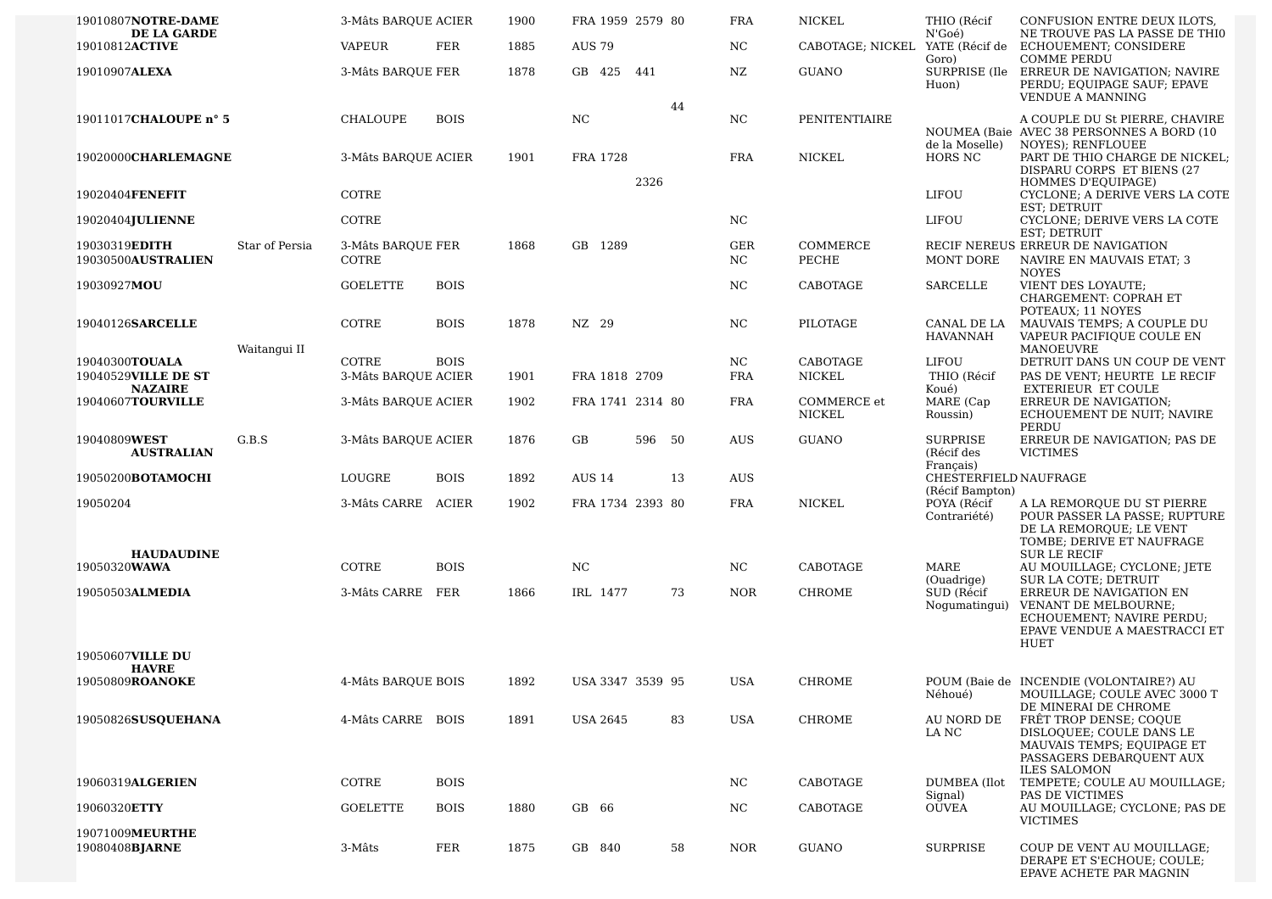| 19010807NOTRE-DAME                    |                | 3-Mâts BARQUE ACIER        |              | 1900 | FRA 1959 2579 80 |        |    | <b>FRA</b>       | <b>NICKEL</b>                   | THIO (Récif                                           | CONFUSION ENTRE DEUX ILOTS,                                                                                                                         |
|---------------------------------------|----------------|----------------------------|--------------|------|------------------|--------|----|------------------|---------------------------------|-------------------------------------------------------|-----------------------------------------------------------------------------------------------------------------------------------------------------|
| DE LA GARDE<br>19010812ACTIVE         |                | VAPEUR                     | <b>FER</b>   | 1885 | <b>AUS 79</b>    |        |    | NC               | CABOTAGE; NICKEL YATE (Récif de | N'Goé)<br>Goro)                                       | NE TROUVE PAS LA PASSE DE THIO<br>ECHOUEMENT; CONSIDERE<br><b>COMME PERDU</b>                                                                       |
| 19010907ALEXA                         |                | 3-Mâts BARQUE FER          |              | 1878 | GB 425           | 441    |    | NZ               | <b>GUANO</b>                    | Huon)                                                 | SURPRISE (Ile ERREUR DE NAVIGATION; NAVIRE<br>PERDU; EQUIPAGE SAUF; EPAVE<br><b>VENDUE A MANNING</b>                                                |
| 19011017CHALOUPE n° 5                 |                | CHALOUPE                   | <b>BOIS</b>  |      | NC               |        | 44 | NC               | PENITENTIAIRE                   |                                                       | A COUPLE DU St PIERRE, CHAVIRE<br>NOUMEA (Baie AVEC 38 PERSONNES A BORD (10)                                                                        |
| 19020000CHARLEMAGNE                   |                | 3-Mâts BARQUE ACIER        |              | 1901 | FRA 1728         | 2326   |    | <b>FRA</b>       | NICKEL                          | de la Moselle)<br>HORS NC                             | NOYES); RENFLOUEE<br>PART DE THIO CHARGE DE NICKEL;<br>DISPARU CORPS ET BIENS (27                                                                   |
| 19020404FENEFIT                       |                | COTRE                      |              |      |                  |        |    |                  |                                 | LIFOU                                                 | HOMMES D'EQUIPAGE)<br>CYCLONE; A DERIVE VERS LA COTE                                                                                                |
| 19020404JULIENNE                      |                | COTRE                      |              |      |                  |        |    | NC               |                                 | LIFOU                                                 | EST; DETRUIT<br>CYCLONE; DERIVE VERS LA COTE                                                                                                        |
| 19030319EDITH<br>19030500AUSTRALIEN   | Star of Persia | 3-Mâts BARQUE FER<br>COTRE |              | 1868 | GB 1289          |        |    | <b>GER</b><br>NC | COMMERCE<br>PECHE               | MONT DORE                                             | EST; DETRUIT<br>RECIF NEREUS ERREUR DE NAVIGATION<br>NAVIRE EN MAUVAIS ETAT; 3                                                                      |
|                                       |                |                            |              |      |                  |        |    |                  |                                 |                                                       | <b>NOYES</b>                                                                                                                                        |
| 19030927MOU                           |                | <b>GOELETTE</b>            | <b>BOIS</b>  |      |                  |        |    | NC               | CABOTAGE                        | <b>SARCELLE</b>                                       | VIENT DES LOYAUTE;<br>CHARGEMENT: COPRAH ET<br>POTEAUX; 11 NOYES                                                                                    |
| 19040126SARCELLE                      | Waitangui II   | COTRE                      | <b>BOIS</b>  | 1878 | NZ 29            |        |    | NC               | PILOTAGE                        | CANAL DE LA<br>HAVANNAH                               | MAUVAIS TEMPS; A COUPLE DU<br>VAPEUR PACIFIQUE COULE EN<br>MANOEUVRE                                                                                |
| 19040300TOUALA                        |                | COTRE                      | <b>BOIS</b>  |      |                  |        |    | NC.              | CABOTAGE                        | LIFOU                                                 | DETRUIT DANS UN COUP DE VENT                                                                                                                        |
| 19040529VILLE DE ST<br><b>NAZAIRE</b> |                | 3-Mâts BARQUE ACIER        |              | 1901 | FRA 1818 2709    |        |    | <b>FRA</b>       | <b>NICKEL</b>                   | THIO (Récif<br>Koué)                                  | PAS DE VENT; HEURTE LE RECIF<br><b>EXTERIEUR ET COULE</b>                                                                                           |
| 19040607TOURVILLE                     |                | 3-Mâts BARQUE ACIER        |              | 1902 | FRA 1741 2314 80 |        |    | <b>FRA</b>       | COMMERCE et<br><b>NICKEL</b>    | MARE (Cap<br>Roussin)                                 | ERREUR DE NAVIGATION;<br>ECHOUEMENT DE NUIT; NAVIRE                                                                                                 |
| 19040809WEST<br><b>AUSTRALIAN</b>     | G.B.S          | 3-Mâts BARQUE ACIER        |              | 1876 | GB               | 596 50 |    | <b>AUS</b>       | <b>GUANO</b>                    | <b>SURPRISE</b><br>(Récif des                         | PERDU<br>ERREUR DE NAVIGATION; PAS DE<br><b>VICTIMES</b>                                                                                            |
| 19050200BOTAMOCHI                     |                | LOUGRE                     | <b>BOIS</b>  | 1892 | <b>AUS 14</b>    |        | 13 | AUS              |                                 | Français)<br>CHESTERFIELD NAUFRAGE<br>(Récif Bampton) |                                                                                                                                                     |
| 19050204                              |                | 3-Mâts CARRE               | <b>ACIER</b> | 1902 | FRA 1734 2393 80 |        |    | <b>FRA</b>       | NICKEL                          | POYA (Récif<br>Contrariété)                           | A LA REMORQUE DU ST PIERRE<br>POUR PASSER LA PASSE; RUPTURE<br>DE LA REMORQUE; LE VENT<br>TOMBE; DERIVE ET NAUFRAGE                                 |
| <b>HAUDAUDINE</b><br>19050320WAWA     |                | COTRE                      | <b>BOIS</b>  |      | NC               |        |    | NC               | CABOTAGE                        | MARE                                                  | <b>SUR LE RECIF</b><br>AU MOUILLAGE; CYCLONE; JETE                                                                                                  |
| 19050503ALMEDIA                       |                | 3-Mâts CARRE               | FER          | 1866 | IRL 1477         |        | 73 | <b>NOR</b>       | <b>CHROME</b>                   | (Ouadrige)<br>SUD (Récif<br>Nogumatingui)             | <b>SUR LA COTE; DETRUIT</b><br>ERREUR DE NAVIGATION EN<br>VENANT DE MELBOURNE;<br>ECHOUEMENT; NAVIRE PERDU;<br>EPAVE VENDUE A MAESTRACCI ET<br>HUET |
| 19050607VILLE DU<br><b>HAVRE</b>      |                |                            |              |      |                  |        |    |                  |                                 |                                                       |                                                                                                                                                     |
| 19050809ROANOKE                       |                | 4-Mâts BARQUE BOIS         |              | 1892 | USA 3347 3539 95 |        |    | USA              | CHROME                          | Néhoué)                                               | POUM (Baie de INCENDIE (VOLONTAIRE?) AU<br>MOUILLAGE; COULE AVEC 3000 T                                                                             |
| 19050826SUSQUEHANA                    |                | 4-Mâts CARRE BOIS          |              | 1891 | <b>USA 2645</b>  |        | 83 | <b>USA</b>       | CHROME                          | AU NORD DE<br>LA NC                                   | DE MINERAI DE CHROME<br>FRÊT TROP DENSE; COQUE<br>DISLOQUEE; COULE DANS LE<br>MAUVAIS TEMPS; EQUIPAGE ET<br>PASSAGERS DEBARQUENT AUX                |
| 19060319ALGERIEN                      |                | COTRE                      | <b>BOIS</b>  |      |                  |        |    | NC               | <b>CABOTAGE</b>                 | DUMBEA (Ilot                                          | <b>ILES SALOMON</b><br>TEMPETE; COULE AU MOUILLAGE;                                                                                                 |
| 19060320ETTY                          |                | <b>GOELETTE</b>            | <b>BOIS</b>  | 1880 | GB 66            |        |    | NC               | CABOTAGE                        | Signal)<br><b>OUVEA</b>                               | PAS DE VICTIMES<br>AU MOUILLAGE; CYCLONE; PAS DE<br><b>VICTIMES</b>                                                                                 |
| 19071009MEURTHE<br>19080408BJARNE     |                | 3-Mâts                     | FER          | 1875 | GB 840           |        | 58 | NOR.             | <b>GUANO</b>                    | <b>SURPRISE</b>                                       | COUP DE VENT AU MOUILLAGE;<br>DERAPE ET S'ECHOUE; COULE;<br>EPAVE ACHETE PAR MAGNIN                                                                 |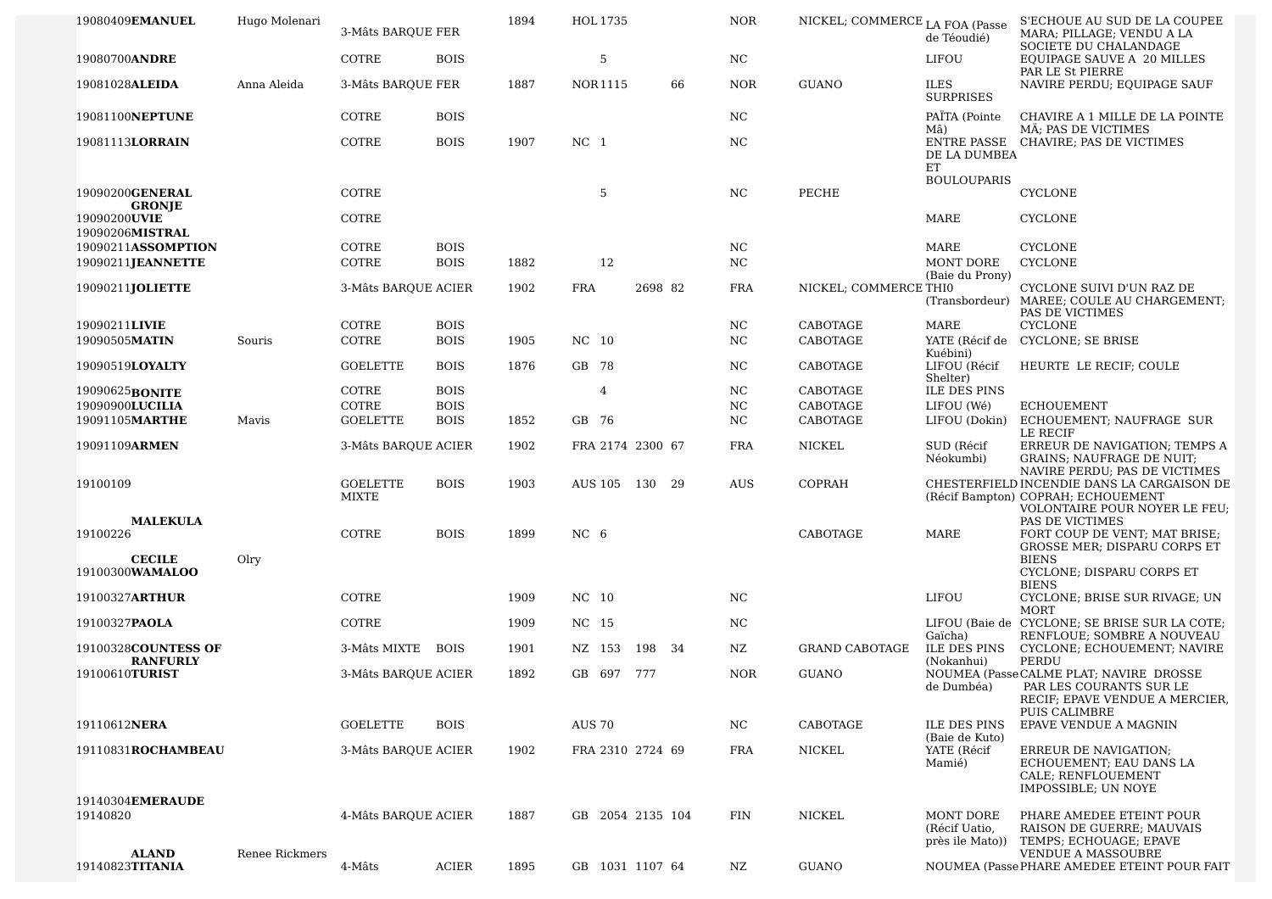| 19080409 <b>EMANUEL</b>                | Hugo Molenari  | 3-Mâts BAROUE FER        |              | 1894 | HOL 1735         |         |    | <b>NOR</b> | NICKEL; COMMERCE LA FOA (Passe | de Téoudié)                                  | S'ECHOUE AU SUD DE LA COUPEE<br>MARA; PILLAGE; VENDU A LA<br>SOCIETE DU CHALANDAGE                                    |
|----------------------------------------|----------------|--------------------------|--------------|------|------------------|---------|----|------------|--------------------------------|----------------------------------------------|-----------------------------------------------------------------------------------------------------------------------|
| 19080700ANDRE                          |                | COTRE                    | <b>BOIS</b>  |      | 5                |         |    | NC.        |                                | LIFOU                                        | <b>EQUIPAGE SAUVE A 20 MILLES</b>                                                                                     |
| 19081028ALEIDA                         | Anna Aleida    | 3-Mâts BARQUE FER        |              | 1887 | NOR1115          |         | 66 | <b>NOR</b> | <b>GUANO</b>                   | <b>ILES</b><br><b>SURPRISES</b>              | PAR LE St PIERRE<br>NAVIRE PERDU; EQUIPAGE SAUF                                                                       |
| 19081100NEPTUNE                        |                | COTRE                    | <b>BOIS</b>  |      |                  |         |    | NC.        |                                | PAÏTA (Pointe<br>Mâ)                         | CHAVIRE A 1 MILLE DE LA POINTE<br>MÄ; PAS DE VICTIMES                                                                 |
| 19081113LORRAIN                        |                | COTRE                    | <b>BOIS</b>  | 1907 | NC <sub>1</sub>  |         |    | NC.        |                                | DE LA DUMBEA                                 | ENTRE PASSE CHAVIRE; PAS DE VICTIMES                                                                                  |
|                                        |                |                          |              |      |                  |         |    |            |                                | ET<br><b>BOULOUPARIS</b>                     |                                                                                                                       |
| 19090200GENERAL<br><b>GRONJE</b>       |                | COTRE                    |              |      | 5                |         |    | NC.        | PECHE                          |                                              | CYCLONE                                                                                                               |
| 19090200UVIE<br>19090206MISTRAL        |                | COTRE                    |              |      |                  |         |    |            |                                | MARE                                         | <b>CYCLONE</b>                                                                                                        |
| 19090211ASSOMPTION                     |                | COTRE                    | <b>BOIS</b>  |      |                  |         |    | NC         |                                | MARE                                         | <b>CYCLONE</b>                                                                                                        |
| 19090211JEANNETTE                      |                | COTRE                    | <b>BOIS</b>  | 1882 | 12               |         |    | NC         |                                | MONT DORE<br>(Baie du Prony)                 | <b>CYCLONE</b>                                                                                                        |
| 19090211JOLIETTE                       |                | 3-Mâts BARQUE ACIER      |              | 1902 | <b>FRA</b>       | 2698 82 |    | <b>FRA</b> | NICKEL; COMMERCE THIO          |                                              | CYCLONE SUIVI D'UN RAZ DE<br>(Transbordeur) MAREE; COULE AU CHARGEMENT;<br>PAS DE VICTIMES                            |
| 19090211LIVIE                          |                | COTRE                    | <b>BOIS</b>  |      |                  |         |    | NC         | CABOTAGE                       | MARE                                         | <b>CYCLONE</b>                                                                                                        |
| 19090505MATIN                          | Souris         | COTRE                    | <b>BOIS</b>  | 1905 | NC 10            |         |    | NC         | CABOTAGE                       | Kuébini)                                     | YATE (Récif de CYCLONE; SE BRISE                                                                                      |
| 19090519LOYALTY                        |                | <b>GOELETTE</b>          | <b>BOIS</b>  | 1876 | GB 78            |         |    | NC         | CABOTAGE                       | LIFOU (Récif<br>Shelter)                     | HEURTE LE RECIF; COULE                                                                                                |
| 19090625BONITE                         |                | COTRE                    | <b>BOIS</b>  |      | 4                |         |    | NC         | CABOTAGE                       | <b>ILE DES PINS</b>                          |                                                                                                                       |
| 19090900LUCILIA                        |                | COTRE                    | <b>BOIS</b>  |      |                  |         |    | NC         | CABOTAGE                       | LIFOU (Wé)                                   | <b>ECHOUEMENT</b>                                                                                                     |
| 19091105MARTHE                         | Mavis          | <b>GOELETTE</b>          | <b>BOIS</b>  | 1852 | GB 76            |         |    | NC         | CABOTAGE                       | LIFOU (Dokin)                                | ECHOUEMENT; NAUFRAGE SUR<br>LE RECIF                                                                                  |
| 19091109ARMEN                          |                | 3-Mâts BAROUE ACIER      |              | 1902 | FRA 2174 2300 67 |         |    | <b>FRA</b> | NICKEL                         | SUD (Récif<br>Néokumbi)                      | ERREUR DE NAVIGATION; TEMPS A<br><b>GRAINS; NAUFRAGE DE NUIT;</b><br>NAVIRE PERDU; PAS DE VICTIMES                    |
| 19100109                               |                | <b>GOELETTE</b><br>MIXTE | <b>BOIS</b>  | 1903 | AUS 105 130      |         | 29 | <b>AUS</b> | COPRAH                         |                                              | CHESTERFIELD INCENDIE DANS LA CARGAISON DE<br>(Récif Bampton) COPRAH; ECHOUEMENT<br>VOLONTAIRE POUR NOYER LE FEU;     |
| <b>MALEKULA</b><br>19100226            |                | COTRE                    | <b>BOIS</b>  | 1899 | NC <sub>6</sub>  |         |    |            | CABOTAGE                       | MARE                                         | PAS DE VICTIMES<br>FORT COUP DE VENT; MAT BRISE;<br><b>GROSSE MER: DISPARU CORPS ET</b>                               |
| <b>CECILE</b><br>19100300WAMALOO       | Olry           |                          |              |      |                  |         |    |            |                                |                                              | <b>BIENS</b><br>CYCLONE; DISPARU CORPS ET<br><b>BIENS</b>                                                             |
| 19100327ARTHUR                         |                | COTRE                    |              | 1909 | NC 10            |         |    | NC.        |                                | LIFOU                                        | CYCLONE; BRISE SUR RIVAGE; UN                                                                                         |
| 19100327PAOLA                          |                | COTRE                    |              | 1909 | NC 15            |         |    | NC.        |                                | Gaïcha)                                      | MORT<br>LIFOU (Baie de CYCLONE; SE BRISE SUR LA COTE;<br>RENFLOUE; SOMBRE A NOUVEAU                                   |
| 19100328COUNTESS OF<br><b>RANFURLY</b> |                | 3-Mâts MIXTE             | <b>BOIS</b>  | 1901 | NZ 153           | 198 34  |    | NZ         | <b>GRAND CABOTAGE</b>          | ILE DES PINS<br>(Nokanhui)                   | CYCLONE; ECHOUEMENT; NAVIRE<br>PERDU                                                                                  |
| 19100610TURIST                         |                | 3-Mâts BARQUE ACIER      |              | 1892 | GB 697           | 777     |    | <b>NOR</b> | <b>GUANO</b>                   | de Dumbéa)                                   | NOUMEA (Passe CALME PLAT; NAVIRE DROSSE<br>PAR LES COURANTS SUR LE<br>RECIF; EPAVE VENDUE A MERCIER,<br>PUIS CALIMBRE |
| 19110612NERA                           |                | <b>GOELETTE</b>          | <b>BOIS</b>  |      | <b>AUS 70</b>    |         |    | NC.        | CABOTAGE                       | <b>ILE DES PINS</b>                          | EPAVE VENDUE A MAGNIN                                                                                                 |
| 19110831ROCHAMBEAU                     |                | 3-Mâts BARQUE ACIER      |              | 1902 | FRA 2310 2724 69 |         |    | FRA        | NICKEL                         | (Baie de Kuto)<br>YATE (Récif<br>Mamié)      | <b>ERREUR DE NAVIGATION:</b><br>ECHOUEMENT; EAU DANS LA<br>CALE; RENFLOUEMENT<br>IMPOSSIBLE; UN NOYE                  |
| 19140304EMERAUDE<br>19140820           |                | 4-Mâts BARQUE ACIER      |              | 1887 | GB 2054 2135 104 |         |    | FIN        | NICKEL                         | MONT DORE<br>(Récif Uatio,<br>près ile Mato) | PHARE AMEDEE ETEINT POUR<br>RAISON DE GUERRE; MAUVAIS<br>TEMPS; ECHOUAGE; EPAVE                                       |
| ALAND<br>19140823TITANIA               | Renee Rickmers | 4-Mâts                   | <b>ACIER</b> | 1895 | GB 1031 1107 64  |         |    | NZ         | <b>GUANO</b>                   |                                              | VENDUE A MASSOUBRE<br>NOUMEA (Passe PHARE AMEDEE ETEINT POUR FAIT                                                     |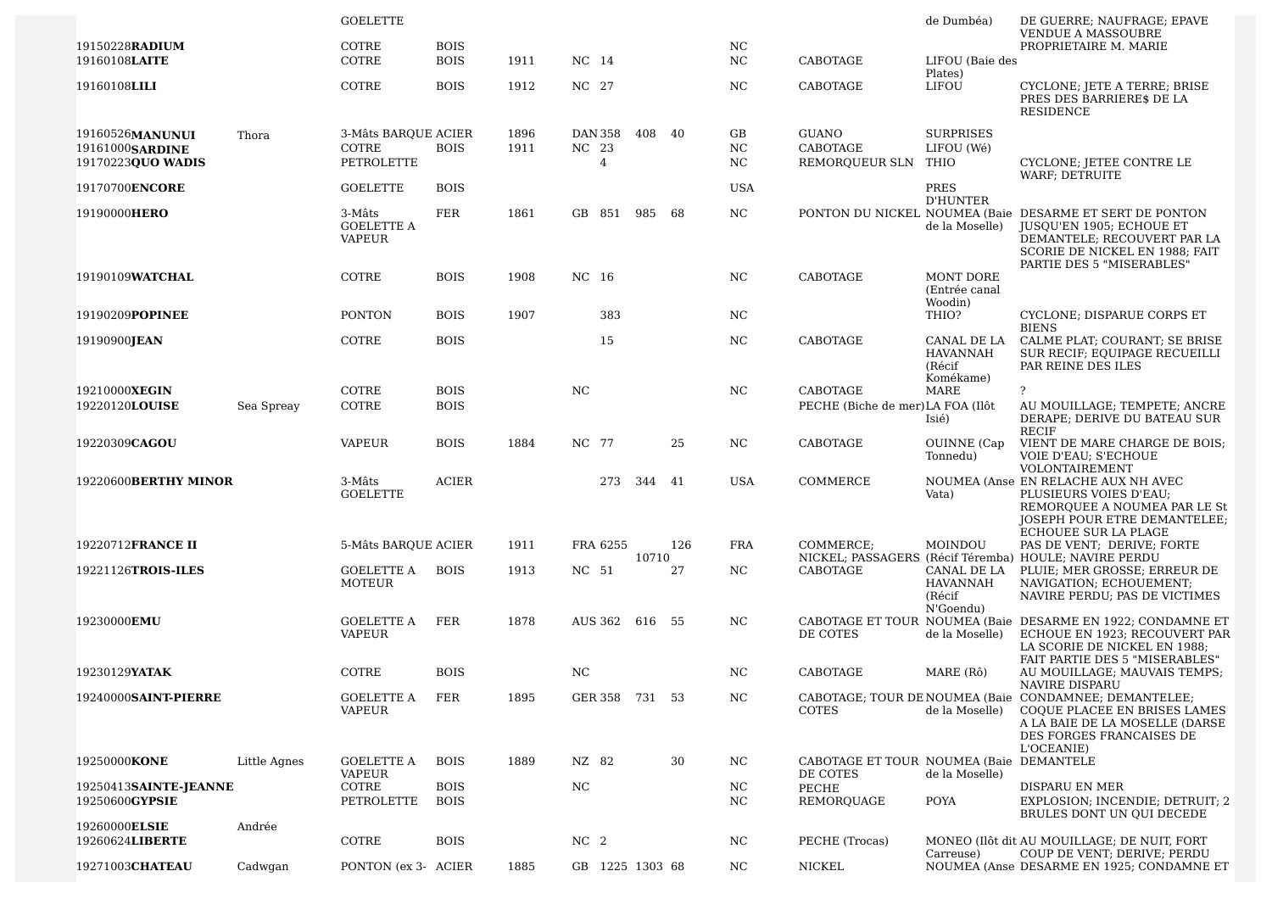|                                                         |              | <b>GOELETTE</b>                              |                            |              |                                    |     |       |        |                  |                                                     | de Dumbéa)                                     | DE GUERRE; NAUFRAGE; EPAVE<br><b>VENDUE A MASSOUBRE</b>                                                                                                                           |
|---------------------------------------------------------|--------------|----------------------------------------------|----------------------------|--------------|------------------------------------|-----|-------|--------|------------------|-----------------------------------------------------|------------------------------------------------|-----------------------------------------------------------------------------------------------------------------------------------------------------------------------------------|
| 19150228RADIUM<br>19160108LAITE                         |              | COTRE<br>COTRE                               | <b>BOIS</b><br><b>BOIS</b> | 1911         | NC 14                              |     |       |        | NC<br>NC         | CABOTAGE                                            | LIFOU (Baie des                                | PROPRIETAIRE M. MARIE                                                                                                                                                             |
| 19160108LILI                                            |              | COTRE                                        | <b>BOIS</b>                | 1912         | NC 27                              |     |       |        | NC               | CABOTAGE                                            | Plates)<br>LIFOU                               | CYCLONE; JETE A TERRE; BRISE<br>PRES DES BARRIERE\$ DE LA<br><b>RESIDENCE</b>                                                                                                     |
| 19160526MANUNUI<br>19161000SARDINE<br>19170223QUO WADIS | Thora        | 3-Mâts BARQUE ACIER<br>COTRE<br>PETROLETTE   | <b>BOIS</b>                | 1896<br>1911 | DAN 358<br>NC 23<br>$\overline{4}$ |     |       | 408 40 | GB<br>NC.<br>NC. | GUANO<br>CABOTAGE<br>REMORQUEUR SLN THIO            | <b>SURPRISES</b><br>LIFOU (Wé)                 | CYCLONE; JETEE CONTRE LE                                                                                                                                                          |
| 19170700ENCORE                                          |              | <b>GOELETTE</b>                              | <b>BOIS</b>                |              |                                    |     |       |        | <b>USA</b>       |                                                     | PRES                                           | WARF; DETRUITE                                                                                                                                                                    |
| 19190000HERO                                            |              | 3-Mâts<br><b>GOELETTE A</b><br><b>VAPEUR</b> | FER                        | 1861         | GB 851                             | 985 |       | 68     | NC.              |                                                     | <b>D'HUNTER</b><br>de la Moselle)              | PONTON DU NICKEL NOUMEA (Baie DESARME ET SERT DE PONTON<br>JUSQU'EN 1905; ECHOUE ET<br>DEMANTELE; RECOUVERT PAR LA<br>SCORIE DE NICKEL EN 1988; FAIT<br>PARTIE DES 5 "MISERABLES" |
| 19190109WATCHAL                                         |              | COTRE                                        | <b>BOIS</b>                | 1908         | NC 16                              |     |       |        | NC               | CABOTAGE                                            | <b>MONT DORE</b><br>(Entrée canal              |                                                                                                                                                                                   |
| 19190209POPINEE                                         |              | <b>PONTON</b>                                | <b>BOIS</b>                | 1907         | 383                                |     |       |        | NC               |                                                     | Woodin)<br>THIO?                               | CYCLONE; DISPARUE CORPS ET<br><b>BIENS</b>                                                                                                                                        |
| 19190900JEAN                                            |              | COTRE                                        | <b>BOIS</b>                |              | 15                                 |     |       |        | NC               | CABOTAGE                                            | CANAL DE LA<br><b>HAVANNAH</b><br>(Récif       | CALME PLAT; COURANT; SE BRISE<br>SUR RECIF; EQUIPAGE RECUEILLI<br>PAR REINE DES ILES                                                                                              |
| 19210000XEGIN<br>19220120LOUISE                         | Sea Spreay   | COTRE<br>COTRE                               | <b>BOIS</b><br><b>BOIS</b> |              | NC.                                |     |       |        | NC               | CABOTAGE<br>PECHE (Biche de mer) LA FOA (Ilôt       | Komékame)<br><b>MARE</b><br>Isié)              | $\overline{?}$<br>AU MOUILLAGE; TEMPETE; ANCRE<br>DERAPE; DERIVE DU BATEAU SUR<br>RECIF                                                                                           |
| 19220309CAGOU                                           |              | <b>VAPEUR</b>                                | <b>BOIS</b>                | 1884         | NC 77                              |     |       | 25     | NC.              | CABOTAGE                                            | OUINNE (Cap<br>Tonnedu)                        | VIENT DE MARE CHARGE DE BOIS;<br><b>VOIE D'EAU; S'ECHOUE</b><br>VOLONTAIREMENT                                                                                                    |
| 19220600BERTHY MINOR                                    |              | 3-Mâts<br><b>GOELETTE</b>                    | <b>ACIER</b>               |              |                                    | 273 |       | 344 41 | USA              | COMMERCE                                            | Vata)                                          | NOUMEA (Anse EN RELACHE AUX NH AVEC<br>PLUSIEURS VOIES D'EAU;<br>REMORQUEE A NOUMEA PAR LE St<br>JOSEPH POUR ETRE DEMANTELEE;                                                     |
| 19220712FRANCE II                                       |              | 5-Mâts BARQUE ACIER                          |                            | 1911         | FRA 6255                           |     |       | 126    | <b>FRA</b>       | COMMERCE;                                           | MOINDOU                                        | ECHOUEE SUR LA PLAGE<br>PAS DE VENT; DERIVE; FORTE<br>NICKEL; PASSAGERS (Récif Téremba) HOULE; NAVIRE PERDU                                                                       |
| 19221126TROIS-ILES                                      |              | GOELETTE A<br>MOTEUR                         | <b>BOIS</b>                | 1913         | NC 51                              |     | 10710 | 27     | NC.              | CABOTAGE                                            | CANAL DE LA<br>HAVANNAH<br>(Récif<br>N'Goendu) | PLUIE; MER GROSSE; ERREUR DE<br>NAVIGATION; ECHOUEMENT;<br>NAVIRE PERDU; PAS DE VICTIMES                                                                                          |
| 19230000EMU                                             |              | GOELETTE A<br><b>VAPEUR</b>                  | FER                        | 1878         | AUS 362 616 55                     |     |       |        | NC.              | DE COTES                                            | de la Moselle)                                 | CABOTAGE ET TOUR NOUMEA (Baie DESARME EN 1922; CONDAMNE ET<br>ECHOUE EN 1923: RECOUVERT PAR<br>LA SCORIE DE NICKEL EN 1988;<br>FAIT PARTIE DES 5 "MISERABLES"                     |
| 19230129YATAK                                           |              | COTRE                                        | <b>BOIS</b>                |              | <b>NC</b>                          |     |       |        | NC.              | CABOTAGE                                            | MARE (Rô)                                      | AU MOUILLAGE; MAUVAIS TEMPS;<br>NAVIRE DISPARU                                                                                                                                    |
| 19240000SAINT-PIERRE                                    |              | GOELETTE A<br>VAPEUR                         | FER                        | 1895         | GER 358 731 53                     |     |       |        | NC.              | <b>COTES</b>                                        | de la Moselle)                                 | CABOTAGE; TOUR DE NOUMEA (Baie CONDAMNEE; DEMANTELEE;<br>COQUE PLACEE EN BRISES LAMES<br>A LA BAIE DE LA MOSELLE (DARSE<br>DES FORGES FRANCAISES DE<br>L'OCEANIE)                 |
| 19250000KONE                                            | Little Agnes | GOELETTE A<br><b>VAPEUR</b>                  | <b>BOIS</b>                | 1889         | NZ 82                              |     |       | 30     | NC.              | CABOTAGE ET TOUR NOUMEA (Baie DEMANTELE<br>DE COTES | de la Moselle)                                 |                                                                                                                                                                                   |
| 19250413SAINTE-JEANNE<br>19250600GYPSIE                 |              | COTRE<br>PETROLETTE                          | <b>BOIS</b><br><b>BOIS</b> |              | NC                                 |     |       |        | NC<br>NC         | PECHE<br>REMOROUAGE                                 | POYA                                           | DISPARU EN MER<br>EXPLOSION; INCENDIE; DETRUIT; 2<br>BRULES DONT UN QUI DECEDE                                                                                                    |
| 19260000ELSIE<br>19260624LIBERTE                        | Andrée       | COTRE                                        | <b>BOIS</b>                |              | NC <sub>2</sub>                    |     |       |        | NC.              | PECHE (Trocas)                                      |                                                | MONEO (Ilôt dit AU MOUILLAGE; DE NUIT, FORT                                                                                                                                       |
| 19271003CHATEAU                                         | Cadwgan      | PONTON (ex 3- ACIER                          |                            | 1885         | GB 1225 1303 68                    |     |       |        | NC.              | NICKEL                                              | Carreuse)                                      | COUP DE VENT; DERIVE; PERDU<br>NOUMEA (Anse DESARME EN 1925; CONDAMNE ET                                                                                                          |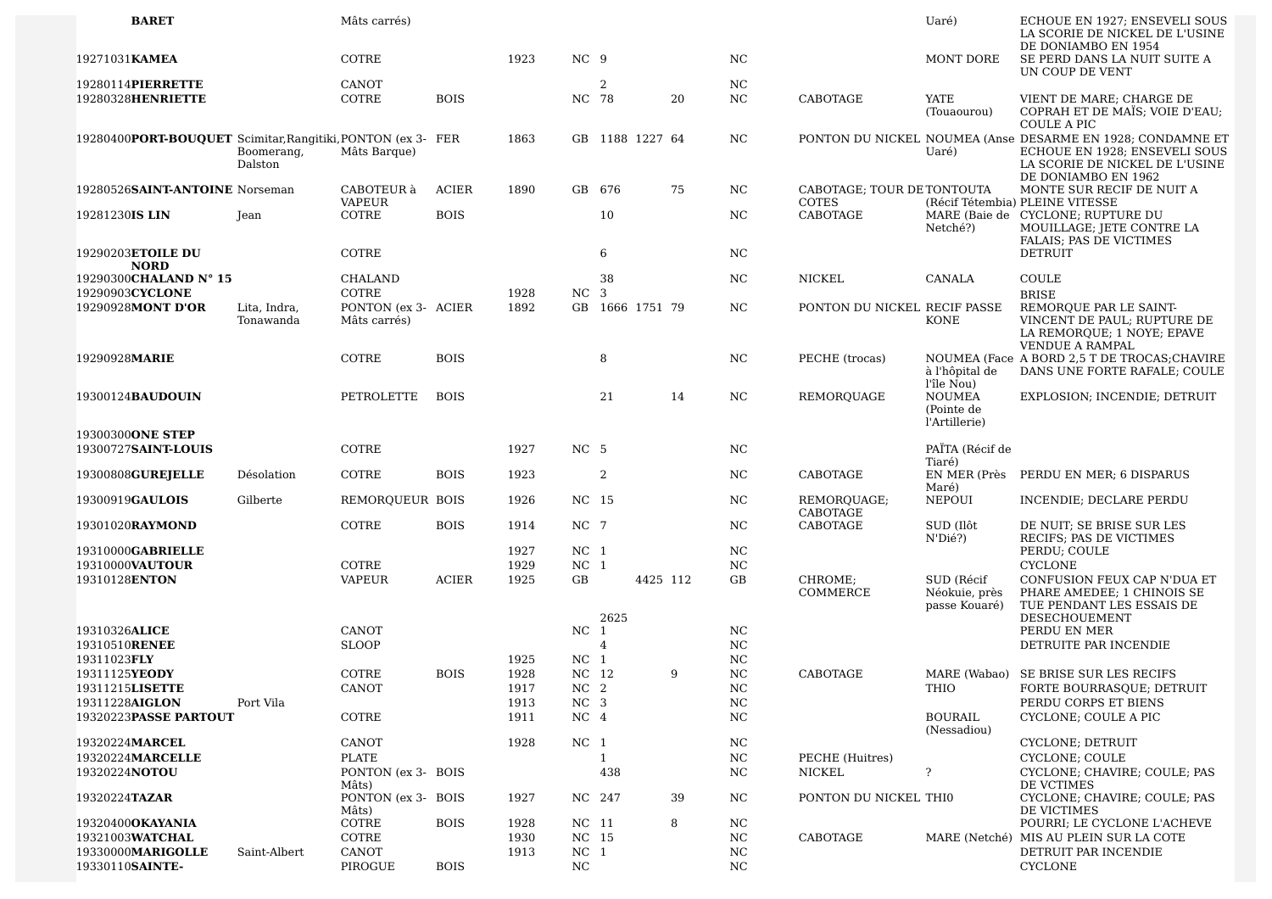| <b>BARET</b>                                                |                           | Mâts carrés)                        |              |              |                                    |            |                 |    |                   |                                            | Uaré)                                                      | ECHOUE EN 1927; ENSEVELI SOUS<br>LA SCORIE DE NICKEL DE L'USINE                                                                                      |
|-------------------------------------------------------------|---------------------------|-------------------------------------|--------------|--------------|------------------------------------|------------|-----------------|----|-------------------|--------------------------------------------|------------------------------------------------------------|------------------------------------------------------------------------------------------------------------------------------------------------------|
| 19271031 KAMEA                                              |                           | COTRE                               |              | 1923         | NC 9                               |            |                 |    | <b>NC</b>         |                                            | MONT DORE                                                  | DE DONIAMBO EN 1954<br>SE PERD DANS LA NUIT SUITE A<br>UN COUP DE VENT                                                                               |
| 19280114PIERRETTE                                           |                           | CANOT                               |              |              |                                    | 2          |                 |    | <b>NC</b>         |                                            |                                                            |                                                                                                                                                      |
| 19280328HENRIETTE                                           |                           | COTRE                               | <b>BOIS</b>  |              | NC 78                              |            |                 | 20 | NC                | CABOTAGE                                   | <b>YATE</b><br>(Touaourou)                                 | VIENT DE MARE; CHARGE DE<br>COPRAH ET DE MAÏS; VOIE D'EAU;<br>COULE A PIC                                                                            |
| 19280400PORT-BOUQUET Scimitar, Rangitiki, PONTON (ex 3- FER | Boomerang,<br>Dalston     | Mâts Barque)                        |              | 1863         |                                    |            | GB 1188 1227 64 |    | NC.               |                                            | Uaré)                                                      | PONTON DU NICKEL NOUMEA (Anse DESARME EN 1928; CONDAMNE ET<br>ECHOUE EN 1928; ENSEVELI SOUS<br>LA SCORIE DE NICKEL DE L'USINE<br>DE DONIAMBO EN 1962 |
| 19280526SAINT-ANTOINE Norseman                              |                           | CABOTEUR à<br>VAPEUR                | <b>ACIER</b> | 1890         |                                    | GB 676     |                 | 75 | NC.               | CABOTAGE: TOUR DE TONTOUTA<br><b>COTES</b> |                                                            | MONTE SUR RECIF DE NUIT A<br>(Récif Tétembia) PLEINE VITESSE                                                                                         |
| 19281230IS LIN                                              | Jean                      | COTRE                               | <b>BOIS</b>  |              |                                    | 10         |                 |    | NC                | <b>CABOTAGE</b>                            | Netché?)                                                   | MARE (Baie de CYCLONE; RUPTURE DU<br>MOUILLAGE; JETE CONTRE LA<br>FALAIS; PAS DE VICTIMES                                                            |
| 19290203ETOILE DU<br><b>NORD</b>                            |                           | COTRE                               |              |              |                                    | 6          |                 |    | NC                |                                            |                                                            | <b>DETRUIT</b>                                                                                                                                       |
| 19290300CHALAND N° 15<br>19290903CYCLONE                    |                           | <b>CHALAND</b><br>COTRE             |              | 1928         | NC <sub>3</sub>                    | 38         |                 |    | NC                | <b>NICKEL</b>                              | CANALA                                                     | COULE<br><b>BRISE</b>                                                                                                                                |
| 19290928MONT D'OR                                           | Lita, Indra,<br>Tonawanda | PONTON (ex 3- ACIER<br>Mâts carrés) |              | 1892         |                                    |            | GB 1666 1751 79 |    | NC                | PONTON DU NICKEL RECIF PASSE               | KONE                                                       | REMORQUE PAR LE SAINT-<br>VINCENT DE PAUL; RUPTURE DE<br>LA REMORQUE; 1 NOYE; EPAVE<br><b>VENDUE A RAMPAL</b>                                        |
| 19290928MARIE                                               |                           | COTRE                               | <b>BOIS</b>  |              |                                    | 8          |                 |    | NC                | PECHE (trocas)                             | à l'hôpital de                                             | NOUMEA (Face A BORD 2,5 T DE TROCAS; CHAVIRE<br>DANS UNE FORTE RAFALE; COULE                                                                         |
| 19300124BAUDOUIN                                            |                           | PETROLETTE                          | <b>BOIS</b>  |              |                                    | 21         |                 | 14 | NC                | REMORQUAGE                                 | l'île Nou)<br><b>NOUMEA</b><br>(Pointe de<br>l'Artillerie) | EXPLOSION; INCENDIE; DETRUIT                                                                                                                         |
| 19300300ONE STEP                                            |                           |                                     |              |              |                                    |            |                 |    |                   |                                            |                                                            |                                                                                                                                                      |
| 19300727SAINT-LOUIS                                         |                           | COTRE                               |              | 1927         | NC <sub>5</sub>                    |            |                 |    | NC                |                                            | PAÏTA (Récif de                                            |                                                                                                                                                      |
| 19300808 <b>GUREJELLE</b>                                   | Désolation                | COTRE                               | <b>BOIS</b>  | 1923         |                                    | 2          |                 |    | NC                | CABOTAGE                                   | Tiaré)<br>EN MER (Près<br>Maré)                            | PERDU EN MER; 6 DISPARUS                                                                                                                             |
| 19300919GAULOIS                                             | Gilberte                  | REMORQUEUR BOIS                     |              | 1926         | NC 15                              |            |                 |    | NC                | REMORQUAGE;<br>CABOTAGE                    | <b>NEPOUI</b>                                              | INCENDIE; DECLARE PERDU                                                                                                                              |
| 19301020RAYMOND                                             |                           | COTRE                               | <b>BOIS</b>  | 1914         | NC 7                               |            |                 |    | NC                | CABOTAGE                                   | SUD (Ilôt<br>N'Dié?)                                       | DE NUIT; SE BRISE SUR LES<br>RECIFS; PAS DE VICTIMES                                                                                                 |
| 19310000GABRIELLE                                           |                           |                                     |              | 1927         | NC <sub>1</sub>                    |            |                 |    | <b>NC</b>         |                                            |                                                            | PERDU; COULE                                                                                                                                         |
| 19310000VAUTOUR                                             |                           | COTRE                               |              | 1929         | NC <sub>1</sub>                    |            |                 |    | NC                |                                            |                                                            | <b>CYCLONE</b>                                                                                                                                       |
| 19310128ENTON                                               |                           | <b>VAPEUR</b>                       | <b>ACIER</b> | 1925         | GB                                 |            | 4425 112        |    | GB                | CHROME;<br>COMMERCE                        | SUD (Récif<br>Néokuie, près<br>passe Kouaré)               | CONFUSION FEUX CAP N'DUA ET<br>PHARE AMEDEE; 1 CHINOIS SE<br>TUE PENDANT LES ESSAIS DE                                                               |
| 19310326ALICE                                               |                           | CANOT                               |              |              | NC                                 | 2625<br>-1 |                 |    | <b>NC</b>         |                                            |                                                            | DESECHOUEMENT<br>PERDU EN MER                                                                                                                        |
| 19310510RENEE                                               |                           | <b>SLOOP</b>                        |              |              |                                    | 4          |                 |    | NC                |                                            |                                                            | DETRUITE PAR INCENDIE                                                                                                                                |
| 19311023FLY                                                 |                           |                                     |              | 1925         | NC <sub>1</sub>                    |            |                 |    | NC                |                                            |                                                            |                                                                                                                                                      |
| 19311125YEODY                                               |                           | COTRE                               | <b>BOIS</b>  | 1928         | NC 12                              |            |                 | 9  | NC                | CABOTAGE                                   |                                                            | MARE (Wabao) SE BRISE SUR LES RECIFS                                                                                                                 |
| 19311215LISETTE                                             |                           | <b>CANOT</b>                        |              | 1917         | NC <sub>2</sub>                    |            |                 |    | <b>NC</b>         |                                            | THIO                                                       | FORTE BOURRASQUE; DETRUIT                                                                                                                            |
| 19311228AIGLON<br>19320223PASSE PARTOUT                     | Port Vila                 | COTRE                               |              | 1913<br>1911 | NC <sub>3</sub><br>NC <sub>4</sub> |            |                 |    | NC<br>$_{\rm NC}$ |                                            | BOURAIL                                                    | PERDU CORPS ET BIENS<br>CYCLONE; COULE A PIC                                                                                                         |
|                                                             |                           |                                     |              |              |                                    |            |                 |    |                   |                                            | (Nessadiou)                                                |                                                                                                                                                      |
| 19320224MARCEL                                              |                           | CANOT                               |              | 1928         | NC <sub>1</sub>                    |            |                 |    | <b>NC</b>         |                                            |                                                            | CYCLONE; DETRUIT                                                                                                                                     |
| 19320224MARCELLE                                            |                           | PLATE                               |              |              |                                    | 1          |                 |    | NC                | PECHE (Huitres)                            |                                                            | CYCLONE; COULE                                                                                                                                       |
| 19320224NOTOU                                               |                           | PONTON (ex 3- BOIS<br>Mâts)         |              |              |                                    | 438        |                 |    | NC                | NICKEL                                     | $\ddot{\mathbf{?}}$                                        | CYCLONE; CHAVIRE; COULE; PAS<br>DE VCTIMES                                                                                                           |
| 19320224TAZAR                                               |                           | PONTON (ex 3- BOIS<br>Mâts)         |              | 1927         |                                    | NC 247     |                 | 39 | NC                | PONTON DU NICKEL THI0                      |                                                            | CYCLONE; CHAVIRE; COULE; PAS<br>DE VICTIMES                                                                                                          |
| 19320400 <b>OKAYANIA</b>                                    |                           | COTRE                               | <b>BOIS</b>  | 1928         | NC 11                              |            |                 | 8  | NC                |                                            |                                                            | POURRI; LE CYCLONE L'ACHEVE                                                                                                                          |
| 19321003WATCHAL                                             |                           | COTRE                               |              | 1930         | NC 15                              |            |                 |    | NC                | CABOTAGE                                   |                                                            | MARE (Netché) MIS AU PLEIN SUR LA COTE                                                                                                               |
| 19330000MARIGOLLE                                           | Saint-Albert              | CANOT                               |              | 1913         | NC <sub>1</sub>                    |            |                 |    | NC                |                                            |                                                            | DETRUIT PAR INCENDIE                                                                                                                                 |
| 19330110SAINTE-                                             |                           | PIROGUE                             | <b>BOIS</b>  |              | NC                                 |            |                 |    | NC.               |                                            |                                                            | <b>CYCLONE</b>                                                                                                                                       |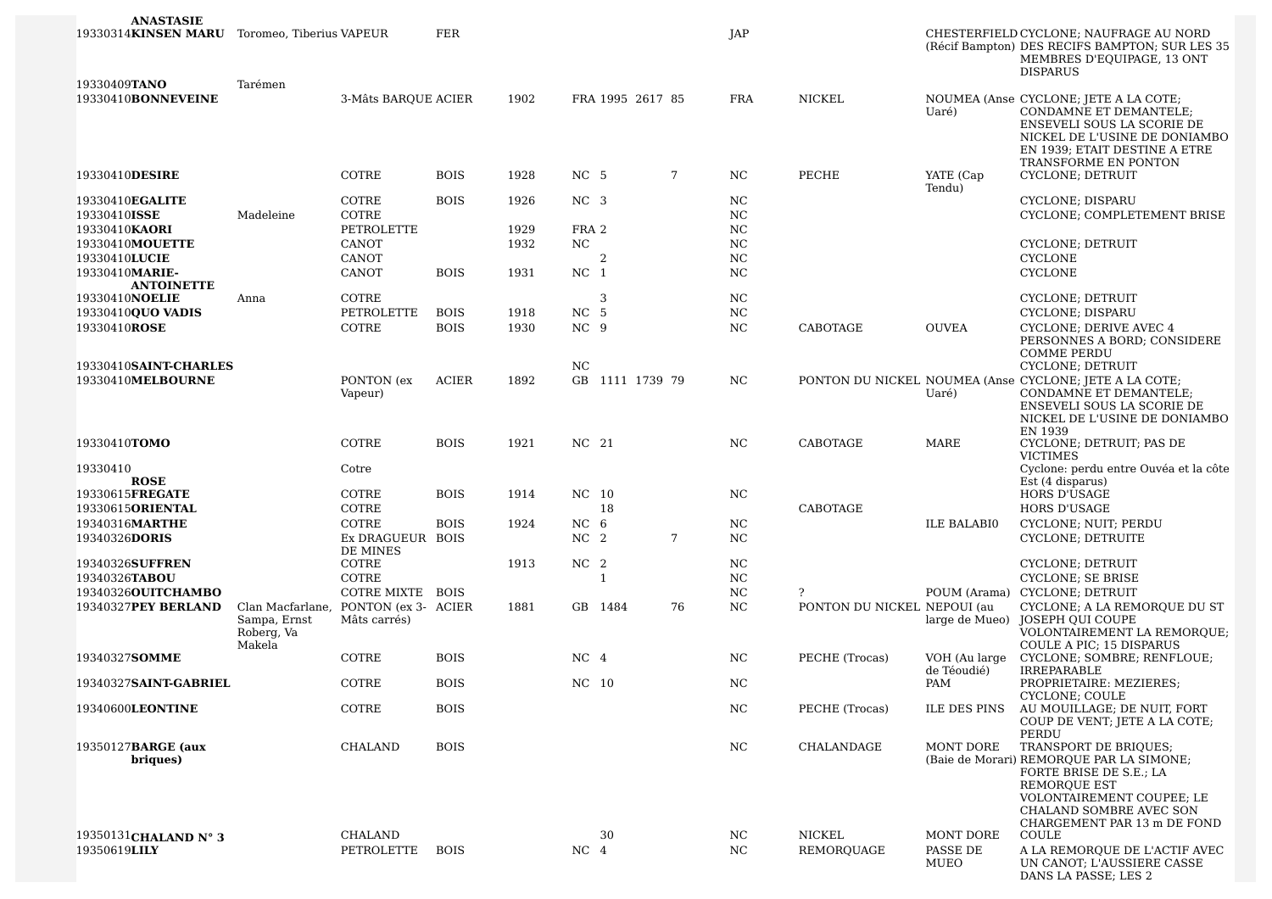| ANASTASIE<br>19330314KINSEN MARU Toromeo, Tiberius VAPEUR                                              |                                                          |                                                                              | FER                        |                              |                                                   |              |                  |    | JAP                                            |                             |                               | CHESTERFIELD CYCLONE; NAUFRAGE AU NORD<br>(Récif Bampton) DES RECIFS BAMPTON; SUR LES 35<br>MEMBRES D'EQUIPAGE, 13 ONT<br><b>DISPARUS</b>                                               |
|--------------------------------------------------------------------------------------------------------|----------------------------------------------------------|------------------------------------------------------------------------------|----------------------------|------------------------------|---------------------------------------------------|--------------|------------------|----|------------------------------------------------|-----------------------------|-------------------------------|-----------------------------------------------------------------------------------------------------------------------------------------------------------------------------------------|
| 19330409TANO<br>19330410BONNEVEINE                                                                     | Tarémen                                                  | 3-Mâts BARQUE ACIER                                                          |                            | 1902                         |                                                   |              | FRA 1995 2617 85 |    | <b>FRA</b>                                     | <b>NICKEL</b>               | Uaré)                         | NOUMEA (Anse CYCLONE; JETE A LA COTE;<br>CONDAMNE ET DEMANTELE;<br>ENSEVELI SOUS LA SCORIE DE<br>NICKEL DE L'USINE DE DONIAMBO<br>EN 1939; ETAIT DESTINE A ETRE<br>TRANSFORME EN PONTON |
| 19330410DESIRE                                                                                         |                                                          | COTRE                                                                        | <b>BOIS</b>                | 1928                         | NC 5                                              |              |                  | 7  | NC.                                            | PECHE                       | YATE (Cap<br>Tendu)           | CYCLONE; DETRUIT                                                                                                                                                                        |
| 19330410EGALITE<br>19330410ISSE<br>19330410KAORI<br>19330410MOUETTE<br>19330410LUCIE<br>19330410MARIE- | Madeleine                                                | COTRE<br>COTRE<br>PETROLETTE<br><b>CANOT</b><br><b>CANOT</b><br><b>CANOT</b> | <b>BOIS</b><br><b>BOIS</b> | 1926<br>1929<br>1932<br>1931 | NC <sub>3</sub><br>FRA 2<br>NC<br>NC <sub>1</sub> | 2            |                  |    | NC<br>NC<br>NC<br><b>NC</b><br><b>NC</b><br>NC |                             |                               | CYCLONE; DISPARU<br>CYCLONE; COMPLETEMENT BRISE<br>CYCLONE; DETRUIT<br><b>CYCLONE</b><br><b>CYCLONE</b>                                                                                 |
| <b>ANTOINETTE</b><br>19330410NOELIE                                                                    | Anna                                                     | COTRE                                                                        |                            |                              |                                                   | 3            |                  |    | NC                                             |                             |                               | CYCLONE; DETRUIT                                                                                                                                                                        |
| 19330410QUO VADIS                                                                                      |                                                          | PETROLETTE                                                                   | <b>BOIS</b>                | 1918                         | NC <sub>5</sub>                                   |              |                  |    | N <sub>C</sub>                                 |                             |                               | CYCLONE; DISPARU                                                                                                                                                                        |
| 19330410ROSE                                                                                           |                                                          | COTRE                                                                        | <b>BOIS</b>                | 1930                         | NC <sub>9</sub>                                   |              |                  |    | NC                                             | CABOTAGE                    | <b>OUVEA</b>                  | <b>CYCLONE: DERIVE AVEC 4</b><br>PERSONNES A BORD; CONSIDERE<br><b>COMME PERDU</b>                                                                                                      |
| 19330410SAINT-CHARLES<br>19330410MELBOURNE                                                             |                                                          | PONTON (ex<br>Vapeur)                                                        | <b>ACIER</b>               | 1892                         | NC.                                               |              | GB 1111 1739 79  |    | NC.                                            |                             | Uaré)                         | CYCLONE; DETRUIT<br>PONTON DU NICKEL NOUMEA (Anse CYCLONE; JETE A LA COTE;<br><b>CONDAMNE ET DEMANTELE:</b><br>ENSEVELI SOUS LA SCORIE DE<br>NICKEL DE L'USINE DE DONIAMBO              |
| 19330410TOMO                                                                                           |                                                          | COTRE                                                                        | <b>BOIS</b>                | 1921                         | NC 21                                             |              |                  |    | NC                                             | CABOTAGE                    | <b>MARE</b>                   | EN 1939<br>CYCLONE; DETRUIT; PAS DE<br><b>VICTIMES</b>                                                                                                                                  |
| 19330410<br><b>ROSE</b>                                                                                |                                                          | Cotre                                                                        |                            |                              |                                                   |              |                  |    |                                                |                             |                               | Cyclone: perdu entre Ouvéa et la côte<br>Est (4 disparus)                                                                                                                               |
| 19330615FREGATE                                                                                        |                                                          | COTRE                                                                        | <b>BOIS</b>                | 1914                         | NC 10                                             |              |                  |    | NC                                             |                             |                               | HORS D'USAGE                                                                                                                                                                            |
| 19330615ORIENTAL                                                                                       |                                                          | COTRE                                                                        |                            |                              |                                                   | 18           |                  |    |                                                | CABOTAGE                    |                               | <b>HORS D'USAGE</b>                                                                                                                                                                     |
| 19340316MARTHE<br>19340326DORIS                                                                        |                                                          | COTRE<br>Ex DRAGUEUR BOIS<br>DE MINES                                        | <b>BOIS</b>                | 1924                         | NC.<br>NC <sub>2</sub>                            | - 6          |                  | 7  | NC<br>NC                                       |                             | <b>ILE BALABIO</b>            | CYCLONE; NUIT; PERDU<br>CYCLONE; DETRUITE                                                                                                                                               |
| 19340326SUFFREN                                                                                        |                                                          | COTRE                                                                        |                            | 1913                         | NC <sub>2</sub>                                   |              |                  |    | NC                                             |                             |                               | CYCLONE; DETRUIT                                                                                                                                                                        |
| 19340326TABOU                                                                                          |                                                          | COTRE                                                                        |                            |                              |                                                   | $\mathbf{1}$ |                  |    | NC                                             |                             |                               | CYCLONE; SE BRISE                                                                                                                                                                       |
| 19340326OUITCHAMBO                                                                                     |                                                          | <b>COTRE MIXTE</b>                                                           | <b>BOIS</b>                |                              |                                                   |              |                  |    | NC                                             | ?                           | POUM (Arama)                  | CYCLONE; DETRUIT                                                                                                                                                                        |
| 19340327PEY BERLAND                                                                                    | Clan Macfarlane,<br>Sampa, Ernst<br>Roberg, Va<br>Makela | PONTON (ex 3- ACIER<br>Mâts carrés)                                          |                            | 1881                         |                                                   | GB 1484      |                  | 76 | NC                                             | PONTON DU NICKEL NEPOUI (au | large de Mueo)                | CYCLONE; A LA REMORQUE DU ST<br>JOSEPH OUI COUPE<br>VOLONTAIREMENT LA REMORQUE;<br>COULE A PIC; 15 DISPARUS                                                                             |
| 19340327SOMME                                                                                          |                                                          | COTRE                                                                        | <b>BOIS</b>                |                              | NC <sub>4</sub>                                   |              |                  |    | NC.                                            | PECHE (Trocas)              | VOH (Au large)                | CYCLONE; SOMBRE; RENFLOUE;                                                                                                                                                              |
| 19340327SAINT-GABRIEL                                                                                  |                                                          | COTRE                                                                        | <b>BOIS</b>                |                              | NC 10                                             |              |                  |    | NC                                             |                             | de Téoudié)<br>PAM            | <b>IRREPARABLE</b><br>PROPRIETAIRE: MEZIERES;<br>CYCLONE; COULE                                                                                                                         |
| 19340600LEONTINE                                                                                       |                                                          | COTRE                                                                        | <b>BOIS</b>                |                              |                                                   |              |                  |    | N <sub>C</sub>                                 | PECHE (Trocas)              | ILE DES PINS                  | AU MOUILLAGE; DE NUIT, FORT<br>COUP DE VENT; JETE A LA COTE;                                                                                                                            |
| 19350127BARGE (aux<br>briques)                                                                         |                                                          | CHALAND                                                                      | <b>BOIS</b>                |                              |                                                   |              |                  |    | NC.                                            | CHALANDAGE                  | MONT DORE                     | PERDU<br>TRANSPORT DE BRIOUES:<br>(Baie de Morari) REMORQUE PAR LA SIMONE;<br>FORTE BRISE DE S.E.; LA<br>REMORQUE EST<br>VOLONTAIREMENT COUPEE; LE<br>CHALAND SOMBRE AVEC SON           |
|                                                                                                        |                                                          |                                                                              |                            |                              |                                                   |              |                  |    |                                                |                             |                               | CHARGEMENT PAR 13 m DE FOND                                                                                                                                                             |
| 19350131 CHALAND N° 3<br>19350619LILY                                                                  |                                                          | CHALAND<br>PETROLETTE                                                        | <b>BOIS</b>                |                              | NC <sub>4</sub>                                   | 30           |                  |    | NC<br>NC                                       | NICKEL<br>REMORQUAGE        | MONT DORE<br>PASSE DE<br>MUEO | COULE<br>A LA REMORQUE DE L'ACTIF AVEC<br>UN CANOT; L'AUSSIERE CASSE<br>DANS LA PASSE; LES 2                                                                                            |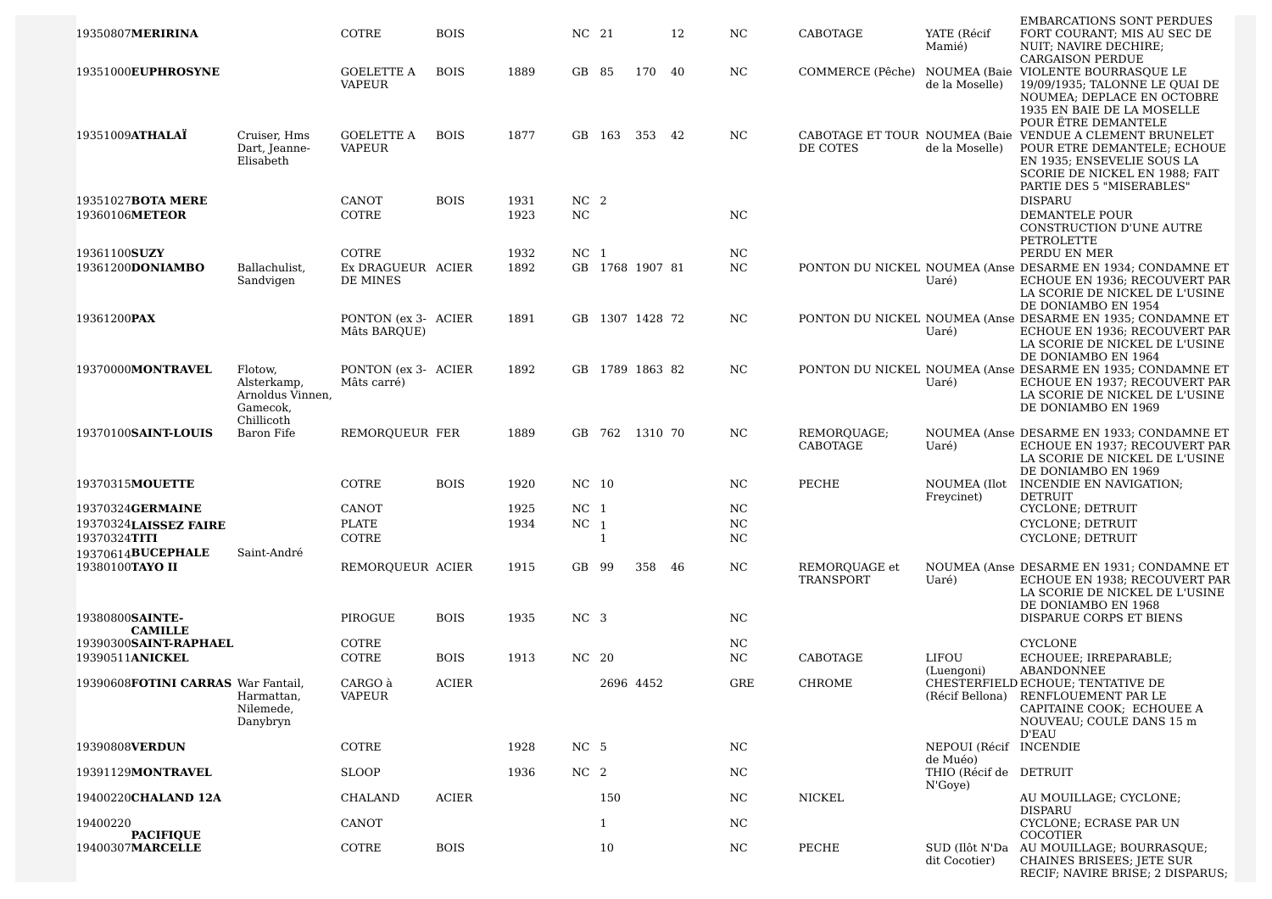|                                          |                         |                                    |              |      |                 |                |                 |    |           |                  |                                   | <b>EMBARCATIONS SONT PERDUES</b>                                                            |
|------------------------------------------|-------------------------|------------------------------------|--------------|------|-----------------|----------------|-----------------|----|-----------|------------------|-----------------------------------|---------------------------------------------------------------------------------------------|
| 19350807MERIRINA                         |                         | COTRE                              | <b>BOIS</b>  |      | NC 21           |                |                 | 12 | NC.       | CABOTAGE         | YATE (Récif<br>Mamié)             | FORT COURANT; MIS AU SEC DE<br>NUIT; NAVIRE DECHIRE;                                        |
|                                          |                         |                                    |              |      |                 |                |                 |    |           |                  |                                   | <b>CARGAISON PERDUE</b>                                                                     |
| 19351000EUPHROSYNE                       |                         | GOELETTE A<br><b>VAPEUR</b>        | <b>BOIS</b>  | 1889 | GB 85           |                | 170             | 40 | NC.       | COMMERCE (Pêche) |                                   | NOUMEA (Baie VIOLENTE BOURRASOUE LE                                                         |
|                                          |                         |                                    |              |      |                 |                |                 |    |           |                  | de la Moselle)                    | 19/09/1935; TALONNE LE QUAI DE<br>NOUMEA; DEPLACE EN OCTOBRE                                |
|                                          |                         |                                    |              |      |                 |                |                 |    |           |                  |                                   | 1935 EN BAIE DE LA MOSELLE                                                                  |
| 19351009ATHALAÏ                          | Cruiser, Hms            | GOELETTE A                         | <b>BOIS</b>  | 1877 |                 | GB 163         | 353 42          |    | NC.       |                  |                                   | POUR ËTRE DEMANTELE<br>CABOTAGE ET TOUR NOUMEA (Baie VENDUE A CLEMENT BRUNELET              |
|                                          | Dart, Jeanne-           | <b>VAPEUR</b>                      |              |      |                 |                |                 |    |           | DE COTES         | de la Moselle)                    | POUR ETRE DEMANTELE; ECHOUE                                                                 |
|                                          | Elisabeth               |                                    |              |      |                 |                |                 |    |           |                  |                                   | EN 1935; ENSEVELIE SOUS LA                                                                  |
|                                          |                         |                                    |              |      |                 |                |                 |    |           |                  |                                   | SCORIE DE NICKEL EN 1988; FAIT<br>PARTIE DES 5 "MISERABLES"                                 |
| 19351027 <b>BOTA MERE</b>                |                         | CANOT                              | <b>BOIS</b>  | 1931 | NC <sub>2</sub> |                |                 |    |           |                  |                                   | <b>DISPARU</b>                                                                              |
| 19360106METEOR                           |                         | COTRE                              |              | 1923 | NC              |                |                 |    | <b>NC</b> |                  |                                   | DEMANTELE POUR                                                                              |
|                                          |                         |                                    |              |      |                 |                |                 |    |           |                  |                                   | CONSTRUCTION D'UNE AUTRE<br>PETROLETTE                                                      |
| 19361100SUZY                             |                         | COTRE                              |              | 1932 | NC <sub>1</sub> |                |                 |    | NC        |                  |                                   | PERDU EN MER                                                                                |
| 19361200DONIAMBO                         | Ballachulist,           | Ex DRAGUEUR ACIER                  |              | 1892 |                 |                | GB 1768 1907 81 |    | NC.       |                  |                                   | PONTON DU NICKEL NOUMEA (Anse DESARME EN 1934; CONDAMNE ET                                  |
|                                          | Sandvigen               | DE MINES                           |              |      |                 |                |                 |    |           |                  | Uaré)                             | ECHOUE EN 1936; RECOUVERT PAR<br>LA SCORIE DE NICKEL DE L'USINE                             |
|                                          |                         |                                    |              |      |                 |                |                 |    |           |                  |                                   | DE DONIAMBO EN 1954                                                                         |
| 19361200PAX                              |                         | PONTON (ex 3- ACIER                |              | 1891 |                 |                | GB 1307 1428 72 |    | NC.       |                  | Uaré)                             | PONTON DU NICKEL NOUMEA (Anse DESARME EN 1935; CONDAMNE ET<br>ECHOUE EN 1936: RECOUVERT PAR |
|                                          |                         | Mâts BARQUE)                       |              |      |                 |                |                 |    |           |                  |                                   | LA SCORIE DE NICKEL DE L'USINE                                                              |
|                                          |                         |                                    |              |      |                 |                |                 |    |           |                  |                                   | DE DONIAMBO EN 1964                                                                         |
| 19370000MONTRAVEL                        | Flotow,<br>Alsterkamp,  | PONTON (ex 3- ACIER<br>Mâts carré) |              | 1892 |                 |                | GB 1789 1863 82 |    | NC        |                  | Uaré)                             | PONTON DU NICKEL NOUMEA (Anse DESARME EN 1935; CONDAMNE ET<br>ECHOUE EN 1937; RECOUVERT PAR |
|                                          | Arnoldus Vinnen,        |                                    |              |      |                 |                |                 |    |           |                  |                                   | LA SCORIE DE NICKEL DE L'USINE                                                              |
|                                          | Gamecok.<br>Chillicoth  |                                    |              |      |                 |                |                 |    |           |                  |                                   | DE DONIAMBO EN 1969                                                                         |
| 19370100SAINT-LOUIS                      | Baron Fife              | REMOROUEUR FER                     |              | 1889 |                 |                | GB 762 1310 70  |    | NC.       | REMORQUAGE;      |                                   | NOUMEA (Anse DESARME EN 1933; CONDAMNE ET                                                   |
|                                          |                         |                                    |              |      |                 |                |                 |    |           | CABOTAGE         | Uaré)                             | ECHOUE EN 1937; RECOUVERT PAR                                                               |
|                                          |                         |                                    |              |      |                 |                |                 |    |           |                  |                                   | LA SCORIE DE NICKEL DE L'USINE<br>DE DONIAMBO EN 1969                                       |
| 19370315MOUETTE                          |                         | COTRE                              | <b>BOIS</b>  | 1920 | NC 10           |                |                 |    | NC.       | PECHE            | NOUMEA (Ilot                      | INCENDIE EN NAVIGATION;                                                                     |
| 19370324GERMAINE                         |                         | CANOT                              |              | 1925 | NC <sub>1</sub> |                |                 |    | NC        |                  | Freycinet)                        | <b>DETRUIT</b><br>CYCLONE; DETRUIT                                                          |
| 19370324LAISSEZ FAIRE                    |                         | PLATE                              |              | 1934 | NC              | $\overline{1}$ |                 |    | NC        |                  |                                   | CYCLONE; DETRUIT                                                                            |
| 19370324TITI                             |                         | COTRE                              |              |      |                 | $\mathbf{1}$   |                 |    | NC        |                  |                                   | CYCLONE; DETRUIT                                                                            |
| 19370614BUCEPHALE<br>19380100TAYO II     | Saint-André             | REMOROUEUR ACIER                   |              | 1915 | GB 99           |                | 358 46          |    | NC        | REMORQUAGE et    |                                   | NOUMEA (Anse DESARME EN 1931; CONDAMNE ET                                                   |
|                                          |                         |                                    |              |      |                 |                |                 |    |           | TRANSPORT        | Uaré)                             | ECHOUE EN 1938; RECOUVERT PAR                                                               |
|                                          |                         |                                    |              |      |                 |                |                 |    |           |                  |                                   | LA SCORIE DE NICKEL DE L'USINE                                                              |
| 19380800SAINTE-                          |                         | PIROGUE                            | <b>BOIS</b>  | 1935 | NC <sub>3</sub> |                |                 |    | NC        |                  |                                   | DE DONIAMBO EN 1968<br>DISPARUE CORPS ET BIENS                                              |
| <b>CAMILLE</b>                           |                         |                                    |              |      |                 |                |                 |    |           |                  |                                   |                                                                                             |
| 19390300SAINT-RAPHAEL<br>19390511ANICKEL |                         | <b>COTRE</b><br>COTRE              | <b>BOIS</b>  | 1913 | NC 20           |                |                 |    | NC<br>NC  | CABOTAGE         | LIFOU                             | <b>CYCLONE</b><br>ECHOUEE; IRREPARABLE;                                                     |
|                                          |                         |                                    |              |      |                 |                |                 |    |           |                  | (Luengoni)                        | ABANDONNEE                                                                                  |
| 19390608FOTINI CARRAS War Fantail,       |                         | CARGO à                            | <b>ACIER</b> |      |                 |                | 2696 4452       |    | GRE       | <b>CHROME</b>    |                                   | CHESTERFIELD ECHOUE; TENTATIVE DE                                                           |
|                                          | Harmattan,<br>Nilemede, | <b>VAPEUR</b>                      |              |      |                 |                |                 |    |           |                  |                                   | (Récif Bellona) RENFLOUEMENT PAR LE<br>CAPITAINE COOK; ECHOUEE A                            |
|                                          | Danybryn                |                                    |              |      |                 |                |                 |    |           |                  |                                   | NOUVEAU; COULE DANS 15 m                                                                    |
| 19390808VERDUN                           |                         | COTRE                              |              | 1928 | NC 5            |                |                 |    | NC        |                  | NEPOUI (Récif INCENDIE            | D'EAU                                                                                       |
|                                          |                         |                                    |              |      |                 |                |                 |    |           |                  | de Muéo)                          |                                                                                             |
| 19391129MONTRAVEL                        |                         | <b>SLOOP</b>                       |              | 1936 | NC <sub>2</sub> |                |                 |    | NC.       |                  | THIO (Récif de DETRUIT<br>N'Goye) |                                                                                             |
| 19400220CHALAND 12A                      |                         | CHALAND                            | <b>ACIER</b> |      |                 | 150            |                 |    | NC.       | NICKEL           |                                   | AU MOUILLAGE; CYCLONE;                                                                      |
| 19400220                                 |                         | CANOT                              |              |      |                 | $\mathbf{1}$   |                 |    | NC.       |                  |                                   | <b>DISPARU</b><br>CYCLONE; ECRASE PAR UN                                                    |
| <b>PACIFIQUE</b>                         |                         |                                    |              |      |                 |                |                 |    |           |                  |                                   | COCOTIER                                                                                    |
| 19400307MARCELLE                         |                         | COTRE                              | <b>BOIS</b>  |      |                 | 10             |                 |    | NC.       | PECHE            |                                   | SUD (Ilôt N'Da AU MOUILLAGE; BOURRASQUE;                                                    |
|                                          |                         |                                    |              |      |                 |                |                 |    |           |                  | dit Cocotier)                     | <b>CHAINES BRISEES; JETE SUR</b><br>RECIF; NAVIRE BRISE; 2 DISPARUS;                        |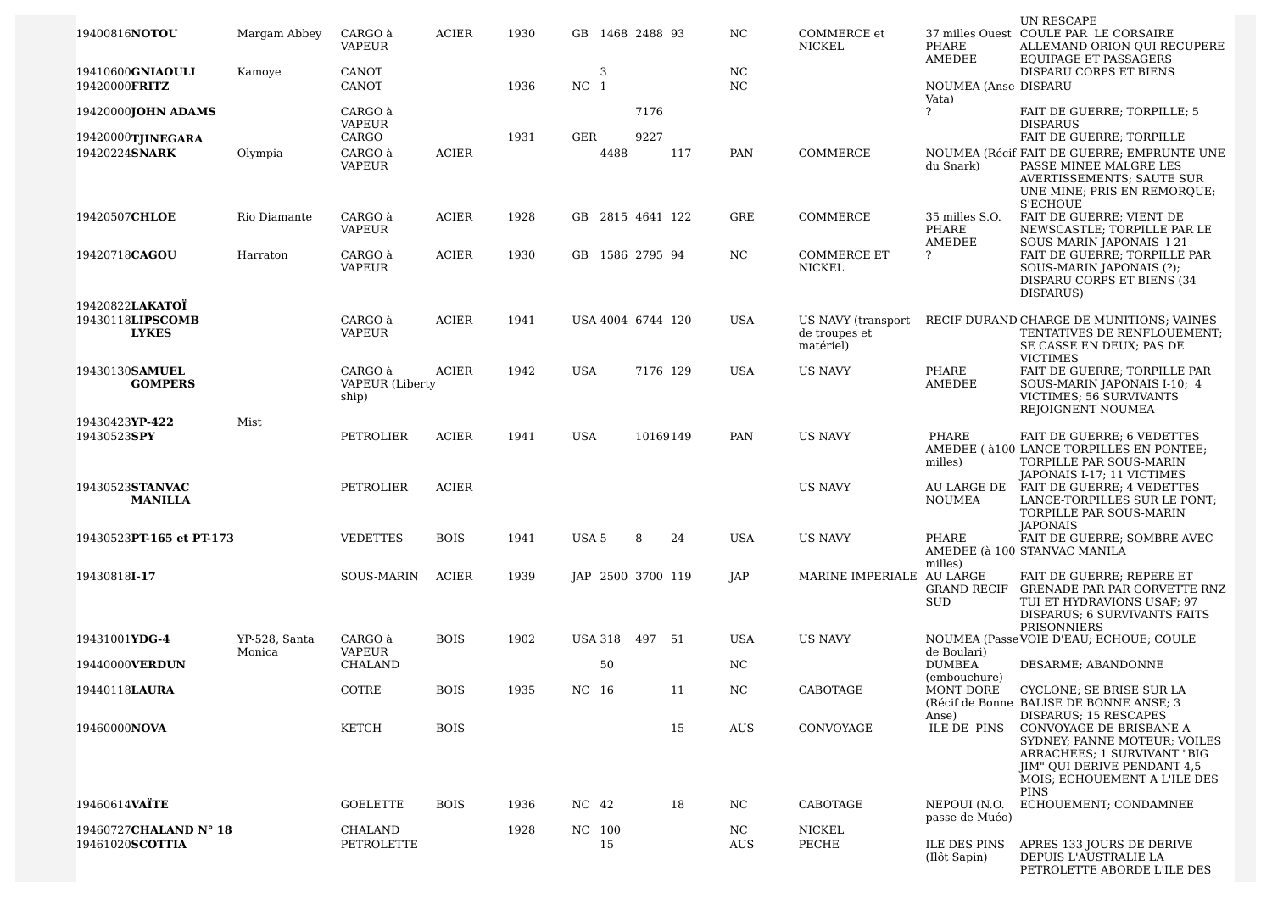| 19400816NOTOU                                       | Margam Abbey            | CARGO à<br>VAPEUR                          | <b>ACIER</b> | 1930 | GB 1468 2488 93      |          |     | NC.             | COMMERCE et<br>NICKEL                            | PHARE<br>AMEDEE                   | UN RESCAPE<br>37 milles Ouest COULE PAR LE CORSAIRE<br>ALLEMAND ORION QUI RECUPERE<br><b>EQUIPAGE ET PASSAGERS</b>                                            |
|-----------------------------------------------------|-------------------------|--------------------------------------------|--------------|------|----------------------|----------|-----|-----------------|--------------------------------------------------|-----------------------------------|---------------------------------------------------------------------------------------------------------------------------------------------------------------|
| 19410600GNIAOULI<br>19420000FRITZ                   | Kamoye                  | <b>CANOT</b><br>CANOT                      |              | 1936 | 3<br>NC <sub>1</sub> |          |     | NC<br><b>NC</b> |                                                  | NOUMEA (Anse DISPARU              | DISPARU CORPS ET BIENS                                                                                                                                        |
| 19420000 <b>JOHN ADAMS</b>                          |                         | CARGO à                                    |              |      |                      | 7176     |     |                 |                                                  | Vata)<br>?                        | FAIT DE GUERRE; TORPILLE; 5                                                                                                                                   |
| 19420000TJINEGARA                                   |                         | <b>VAPEUR</b><br>CARGO                     |              | 1931 | GER                  | 9227     |     |                 |                                                  |                                   | <b>DISPARUS</b><br>FAIT DE GUERRE; TORPILLE                                                                                                                   |
| 19420224SNARK                                       | Olympia                 | CARGO à<br><b>VAPEUR</b>                   | <b>ACIER</b> |      | 4488                 |          | 117 | PAN             | COMMERCE                                         | du Snark)                         | NOUMEA (Récif FAIT DE GUERRE; EMPRUNTE UNE<br>PASSE MINEE MALGRE LES<br>AVERTISSEMENTS; SAUTE SUR<br>UNE MINE; PRIS EN REMORQUE;<br>S'ECHOUE                  |
| 19420507CHLOE                                       | Rio Diamante            | CARGO à<br><b>VAPEUR</b>                   | <b>ACIER</b> | 1928 | GB 2815 4641 122     |          |     | <b>GRE</b>      | COMMERCE                                         | 35 milles S.O.<br>PHARE<br>AMEDEE | FAIT DE GUERRE; VIENT DE<br>NEWSCASTLE; TORPILLE PAR LE<br>SOUS-MARIN JAPONAIS I-21                                                                           |
| 19420718CAGOU                                       | Harraton                | CARGO à<br><b>VAPEUR</b>                   | <b>ACIER</b> | 1930 | GB 1586 2795 94      |          |     | NC.             | <b>COMMERCE ET</b><br>NICKEL                     | ?                                 | FAIT DE GUERRE; TORPILLE PAR<br>SOUS-MARIN JAPONAIS (?);<br>DISPARU CORPS ET BIENS (34<br>DISPARUS)                                                           |
| 19420822LAKATOÏ<br>19430118LIPSCOMB<br><b>LYKES</b> |                         | CARGO à<br><b>VAPEUR</b>                   | <b>ACIER</b> | 1941 | USA 4004 6744 120    |          |     | <b>USA</b>      | US NAVY (transport<br>de troupes et<br>matériel) |                                   | RECIF DURAND CHARGE DE MUNITIONS; VAINES<br>TENTATIVES DE RENFLOUEMENT;<br>SE CASSE EN DEUX; PAS DE<br><b>VICTIMES</b>                                        |
| 19430130SAMUEL<br><b>GOMPERS</b>                    |                         | CARGO à<br><b>VAPEUR</b> (Liberty<br>ship) | <b>ACIER</b> | 1942 | <b>USA</b>           | 7176 129 |     | USA             | <b>US NAVY</b>                                   | PHARE<br>AMEDEE                   | FAIT DE GUERRE; TORPILLE PAR<br>SOUS-MARIN JAPONAIS I-10; 4<br>VICTIMES; 56 SURVIVANTS<br>REJOIGNENT NOUMEA                                                   |
| 19430423YP-422<br>19430523SPY                       | Mist                    | PETROLIER                                  | <b>ACIER</b> | 1941 | <b>USA</b>           | 10169149 |     | PAN             | <b>US NAVY</b>                                   | PHARE<br>milles)                  | FAIT DE GUERRE; 6 VEDETTES<br>AMEDEE ( à 100 LANCE-TORPILLES EN PONTEE;<br>TORPILLE PAR SOUS-MARIN                                                            |
| 19430523STANVAC<br><b>MANILLA</b>                   |                         | PETROLIER                                  | <b>ACIER</b> |      |                      |          |     |                 | <b>US NAVY</b>                                   | AU LARGE DE<br><b>NOUMEA</b>      | JAPONAIS I-17; 11 VICTIMES<br>FAIT DE GUERRE; 4 VEDETTES<br>LANCE-TORPILLES SUR LE PONT;<br>TORPILLE PAR SOUS-MARIN<br><b>JAPONAIS</b>                        |
| 19430523PT-165 et PT-173                            |                         | <b>VEDETTES</b>                            | <b>BOIS</b>  | 1941 | USA <sub>5</sub>     | 8        | 24  | <b>USA</b>      | <b>US NAVY</b>                                   | PHARE<br>milles)                  | FAIT DE GUERRE; SOMBRE AVEC<br>AMEDEE (à 100 STANVAC MANILA                                                                                                   |
| 19430818I-17                                        |                         | <b>SOUS-MARIN</b>                          | <b>ACIER</b> | 1939 | JAP 2500 3700 119    |          |     | JAP             | MARINE IMPERIALE AU LARGE                        | <b>SUD</b>                        | FAIT DE GUERRE; REPERE ET<br>GRAND RECIF GRENADE PAR PAR CORVETTE RNZ<br>TUI ET HYDRAVIONS USAF; 97<br>DISPARUS; 6 SURVIVANTS FAITS<br>PRISONNIERS            |
| 19431001YDG-4                                       | YP-528, Santa<br>Monica | CARGO à<br><b>VAPEUR</b>                   | <b>BOIS</b>  | 1902 | USA 318 497 51       |          |     | USA             | <b>US NAVY</b>                                   | de Boulari)                       | NOUMEA (Passe VOIE D'EAU; ECHOUE; COULE                                                                                                                       |
| 19440000VERDUN                                      |                         | CHALAND                                    |              |      | 50                   |          |     | NC.             |                                                  | <b>DUMBEA</b><br>(embouchure)     | DESARME; ABANDONNE                                                                                                                                            |
| 19440118LAURA                                       |                         | COTRE                                      | <b>BOIS</b>  | 1935 | NC 16                |          | 11  | NC              | CABOTAGE                                         | MONT DORE<br>Anse)                | CYCLONE; SE BRISE SUR LA<br>(Récif de Bonne BALISE DE BONNE ANSE; 3)<br><b>DISPARUS: 15 RESCAPES</b>                                                          |
| 19460000NOVA                                        |                         | <b>KETCH</b>                               | <b>BOIS</b>  |      |                      |          | 15  | AUS             | CONVOYAGE                                        | ILE DE PINS                       | CONVOYAGE DE BRISBANE A<br>SYDNEY; PANNE MOTEUR; VOILES<br>ARRACHEES; 1 SURVIVANT "BIG<br>JIM" QUI DERIVE PENDANT 4,5<br>MOIS: ECHOUEMENT A L'ILE DES<br>PINS |
| 19460614VAÏTE                                       |                         | <b>GOELETTE</b>                            | <b>BOIS</b>  | 1936 | NC 42                |          | 18  | NC.             | CABOTAGE                                         | NEPOUI (N.O.<br>passe de Muéo)    | ECHOUEMENT; CONDAMNEE                                                                                                                                         |
| 19460727CHALAND N° 18                               |                         | CHALAND                                    |              | 1928 | NC 100               |          |     | NC.             | <b>NICKEL</b>                                    |                                   |                                                                                                                                                               |
| 19461020SCOTTIA                                     |                         | PETROLETTE                                 |              |      | 15                   |          |     | AUS             | PECHE                                            | ILE DES PINS<br>(Ilôt Sapin)      | APRES 133 JOURS DE DERIVE<br>DEPUIS L'AUSTRALIE LA<br>PETROLETTE ABORDE L'ILE DES                                                                             |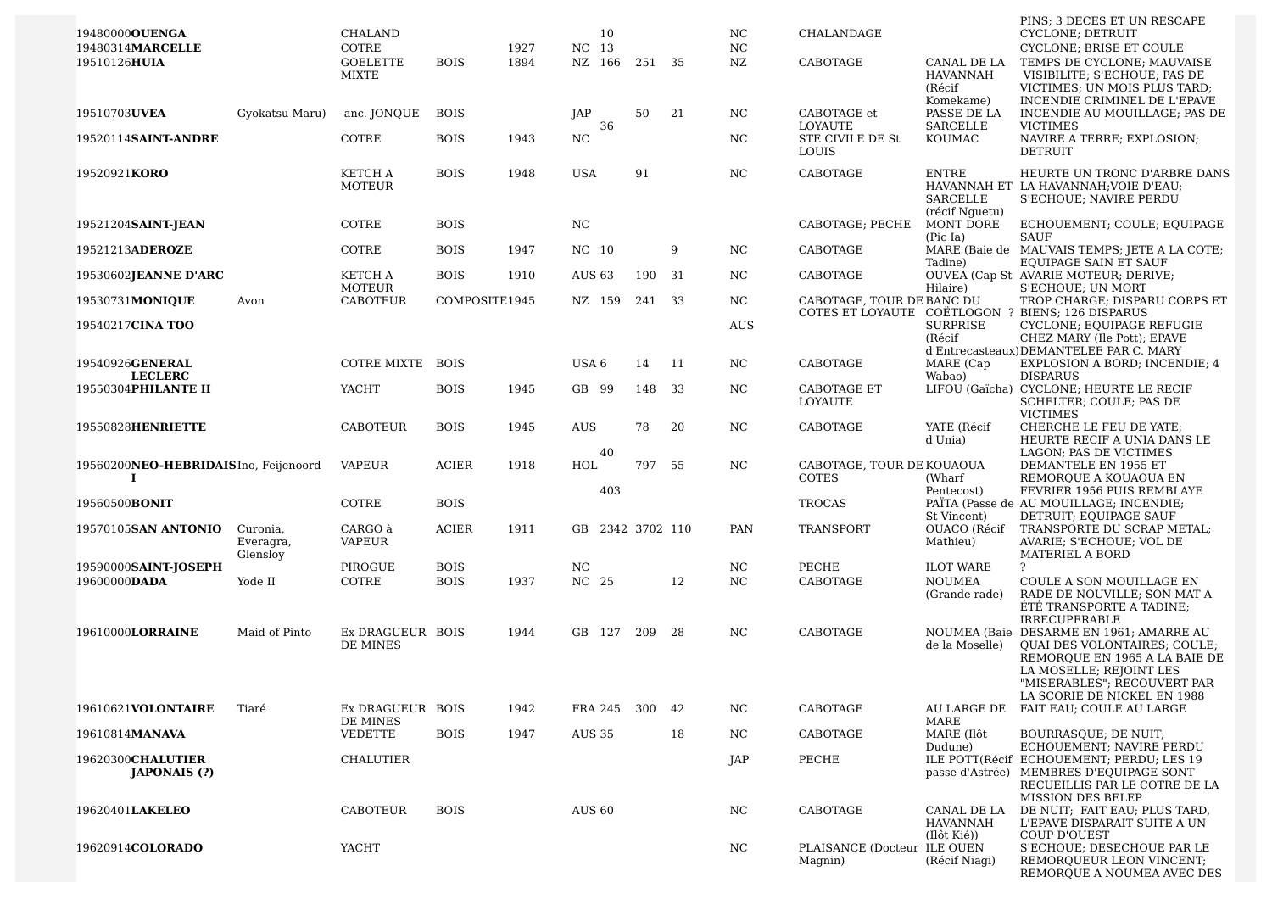| 19480000 <b>0UENGA</b><br>19480314MARCELLE |                                   | CHALAND<br>COTRE             |               | 1927 | 10<br>NC 13    |     |               |     | NC.<br>NC      | CHALANDAGE                             |                                          | PINS; 3 DECES ET UN RESCAPE<br>CYCLONE; DETRUIT<br>CYCLONE; BRISE ET COULE                                                                                         |
|--------------------------------------------|-----------------------------------|------------------------------|---------------|------|----------------|-----|---------------|-----|----------------|----------------------------------------|------------------------------------------|--------------------------------------------------------------------------------------------------------------------------------------------------------------------|
| 19510126HUIA                               |                                   | <b>GOELETTE</b><br>MIXTE     | <b>BOIS</b>   | 1894 | NZ 166         |     | 251 35        |     | NZ             | CABOTAGE                               | CANAL DE LA<br><b>HAVANNAH</b><br>(Récif | TEMPS DE CYCLONE; MAUVAISE<br>VISIBILITE; S'ECHOUE; PAS DE<br>VICTIMES; UN MOIS PLUS TARD;                                                                         |
| 19510703UVEA                               | Gyokatsu Maru)                    | anc. JONQUE                  | <b>BOIS</b>   |      | JAP            |     | 50            | 21  | NC             | CABOTAGE et                            | Komekame)<br>PASSE DE LA                 | INCENDIE CRIMINEL DE L'EPAVE<br>INCENDIE AU MOUILLAGE; PAS DE                                                                                                      |
| 19520114SAINT-ANDRE                        |                                   | COTRE                        | <b>BOIS</b>   | 1943 | N <sub>C</sub> | 36  |               |     | N <sub>C</sub> | LOYAUTE<br>STE CIVILE DE St<br>LOUIS   | SARCELLE<br>KOUMAC                       | <b>VICTIMES</b><br>NAVIRE A TERRE; EXPLOSION;<br>DETRUIT                                                                                                           |
| 19520921KORO                               |                                   | KETCH A<br>MOTEUR            | <b>BOIS</b>   | 1948 | <b>USA</b>     |     | 91            |     | NC             | <b>CABOTAGE</b>                        | <b>ENTRE</b><br>SARCELLE                 | HEURTE UN TRONC D'ARBRE DANS<br>HAVANNAH ET LA HAVANNAH; VOIE D'EAU;<br>S'ECHOUE; NAVIRE PERDU                                                                     |
| 19521204 <b>SAINT-JEAN</b>                 |                                   | COTRE                        | <b>BOIS</b>   |      | NC             |     |               |     |                | CABOTAGE; PECHE                        | (récif Nguetu)<br>MONT DORE<br>(Pic Ia)  | ECHOUEMENT; COULE; EQUIPAGE<br><b>SAUF</b>                                                                                                                         |
| 19521213ADEROZE                            |                                   | COTRE                        | <b>BOIS</b>   | 1947 | NC 10          |     |               | 9   | N <sub>C</sub> | CABOTAGE                               | Tadine)                                  | MARE (Baie de MAUVAIS TEMPS; JETE A LA COTE;<br>EQUIPAGE SAIN ET SAUF                                                                                              |
| 19530602JEANNE D'ARC                       |                                   | KETCH A<br>MOTEUR            | <b>BOIS</b>   | 1910 | AUS 63         |     | 190           | -31 | NC             | CABOTAGE                               | Hilaire)                                 | OUVEA (Cap St AVARIE MOTEUR; DERIVE;<br>S'ECHOUE; UN MORT                                                                                                          |
| 19530731MONIQUE                            | Avon                              | CABOTEUR                     | COMPOSITE1945 |      | NZ 159         |     | 241           | 33  | NC             | CABOTAGE, TOUR DE BANC DU              |                                          | TROP CHARGE; DISPARU CORPS ET<br>COTES ET LOYAUTE COËTLOGON ? BIENS; 126 DISPARUS                                                                                  |
| 19540217CINA TOO                           |                                   |                              |               |      |                |     |               |     | <b>AUS</b>     |                                        | <b>SURPRISE</b><br>(Récif                | CYCLONE; EQUIPAGE REFUGIE<br>CHEZ MARY (Ile Pott); EPAVE<br>d'Entrecasteaux) DEMANTELEE PAR C. MARY                                                                |
| 19540926GENERAL<br><b>LECLERC</b>          |                                   | COTRE MIXTE                  | <b>BOIS</b>   |      | USA 6          |     | 14            | 11  | NC             | CABOTAGE                               | MARE (Cap<br>Wabao)                      | EXPLOSION A BORD; INCENDIE; 4<br><b>DISPARUS</b>                                                                                                                   |
| 19550304PHILANTE II                        |                                   | YACHT                        | <b>BOIS</b>   | 1945 | GB 99          |     | 148 33        |     | NC             | CABOTAGE ET<br><b>LOYAUTE</b>          |                                          | LIFOU (Gaïcha) CYCLONE; HEURTE LE RECIF<br>SCHELTER; COULE; PAS DE<br><b>VICTIMES</b>                                                                              |
| 19550828HENRIETTE                          |                                   | <b>CABOTEUR</b>              | <b>BOIS</b>   | 1945 | AUS            |     | 78            | 20  | NC.            | CABOTAGE                               | YATE (Récif<br>d'Unia)                   | CHERCHE LE FEU DE YATE;<br>HEURTE RECIF A UNIA DANS LE                                                                                                             |
| 19560200NEO-HEBRIDAISIno, Feijenoord<br>I  |                                   | <b>VAPEUR</b>                | <b>ACIER</b>  | 1918 | 40<br>HOL      |     | 797           | 55  | NC             | CABOTAGE, TOUR DE KOUAOUA<br>COTES     | (Wharf                                   | LAGON; PAS DE VICTIMES<br>DEMANTELE EN 1955 ET<br>REMORQUE A KOUAOUA EN                                                                                            |
| 19560500BONIT                              |                                   | COTRE                        | <b>BOIS</b>   |      |                | 403 |               |     |                | <b>TROCAS</b>                          | Pentecost)                               | FEVRIER 1956 PUIS REMBLAYE<br>PAÏTA (Passe de AU MOUILLAGE; INCENDIE;                                                                                              |
| 19570105SAN ANTONIO                        | Curonia,<br>Everagra,<br>Glensloy | CARGO à<br>VAPEUR            | <b>ACIER</b>  | 1911 | GB.            |     | 2342 3702 110 |     | PAN            | TRANSPORT                              | St Vincent)<br>OUACO (Récif<br>Mathieu)  | DETRUIT; EQUIPAGE SAUF<br>TRANSPORTE DU SCRAP METAL;<br>AVARIE; S'ECHOUE; VOL DE<br><b>MATERIEL A BORD</b>                                                         |
| 19590000SAINT-JOSEPH                       |                                   | PIROGUE                      | <b>BOIS</b>   |      | NC             |     |               |     | NC             | PECHE                                  | <b>ILOT WARE</b>                         | ?                                                                                                                                                                  |
| 19600000DADA                               | Yode II                           | COTRE                        | <b>BOIS</b>   | 1937 | NC 25          |     |               | 12  | NC             | CABOTAGE                               | <b>NOUMEA</b><br>(Grande rade)           | COULE A SON MOUILLAGE EN<br>RADE DE NOUVILLE; SON MAT A<br>ÉTÉ TRANSPORTE A TADINE:<br><b>IRRECUPERABLE</b>                                                        |
| 19610000LORRAINE                           | Maid of Pinto                     | Ex DRAGUEUR BOIS<br>DE MINES |               | 1944 | GB 127         |     | 209           | 28  | N <sub>C</sub> | CABOTAGE                               | de la Moselle)                           | NOUMEA (Baie DESARME EN 1961: AMARRE AU<br>QUAI DES VOLONTAIRES; COULE;<br>REMORQUE EN 1965 A LA BAIE DE<br>LA MOSELLE; REJOINT LES<br>"MISERABLES"; RECOUVERT PAR |
| 19610621VOLONTAIRE                         | Tiaré                             | Ex DRAGUEUR BOIS             |               | 1942 | FRA 245 300 42 |     |               |     | NC             | CABOTAGE                               |                                          | LA SCORIE DE NICKEL EN 1988<br>AU LARGE DE FAIT EAU; COULE AU LARGE                                                                                                |
| 19610814MANAVA                             |                                   | DE MINES<br>VEDETTE          | <b>BOIS</b>   | 1947 | AUS 35         |     |               | 18  | NC.            | CABOTAGE                               | MARE<br>MARE (Ilôt                       | BOURRASQUE; DE NUIT;                                                                                                                                               |
| 19620300CHALUTIER<br><b>JAPONAIS</b> (?)   |                                   | <b>CHALUTIER</b>             |               |      |                |     |               |     | JAP            | PECHE                                  | Dudune)                                  | ECHOUEMENT; NAVIRE PERDU<br>ILE POTT(Récif ECHOUEMENT; PERDU; LES 19<br>passe d'Astrée) MEMBRES D'EQUIPAGE SONT<br>RECUEILLIS PAR LE COTRE DE LA                   |
| 19620401LAKELEO                            |                                   | CABOTEUR                     | <b>BOIS</b>   |      | <b>AUS 60</b>  |     |               |     | NC             | CABOTAGE                               | CANAL DE LA<br><b>HAVANNAH</b>           | MISSION DES BELEP<br>DE NUIT; FAIT EAU; PLUS TARD,<br>L'EPAVE DISPARAIT SUITE A UN                                                                                 |
| 19620914 <b>COLORADO</b>                   |                                   | YACHT                        |               |      |                |     |               |     | NC             | PLAISANCE (Docteur ILE OUEN<br>Magnin) | (Ilôt Kié))<br>(Récif Niagi)             | COUP D'OUEST<br>S'ECHOUE; DESECHOUE PAR LE<br>REMORQUEUR LEON VINCENT;<br>REMOROUE A NOUMEA AVEC DES                                                               |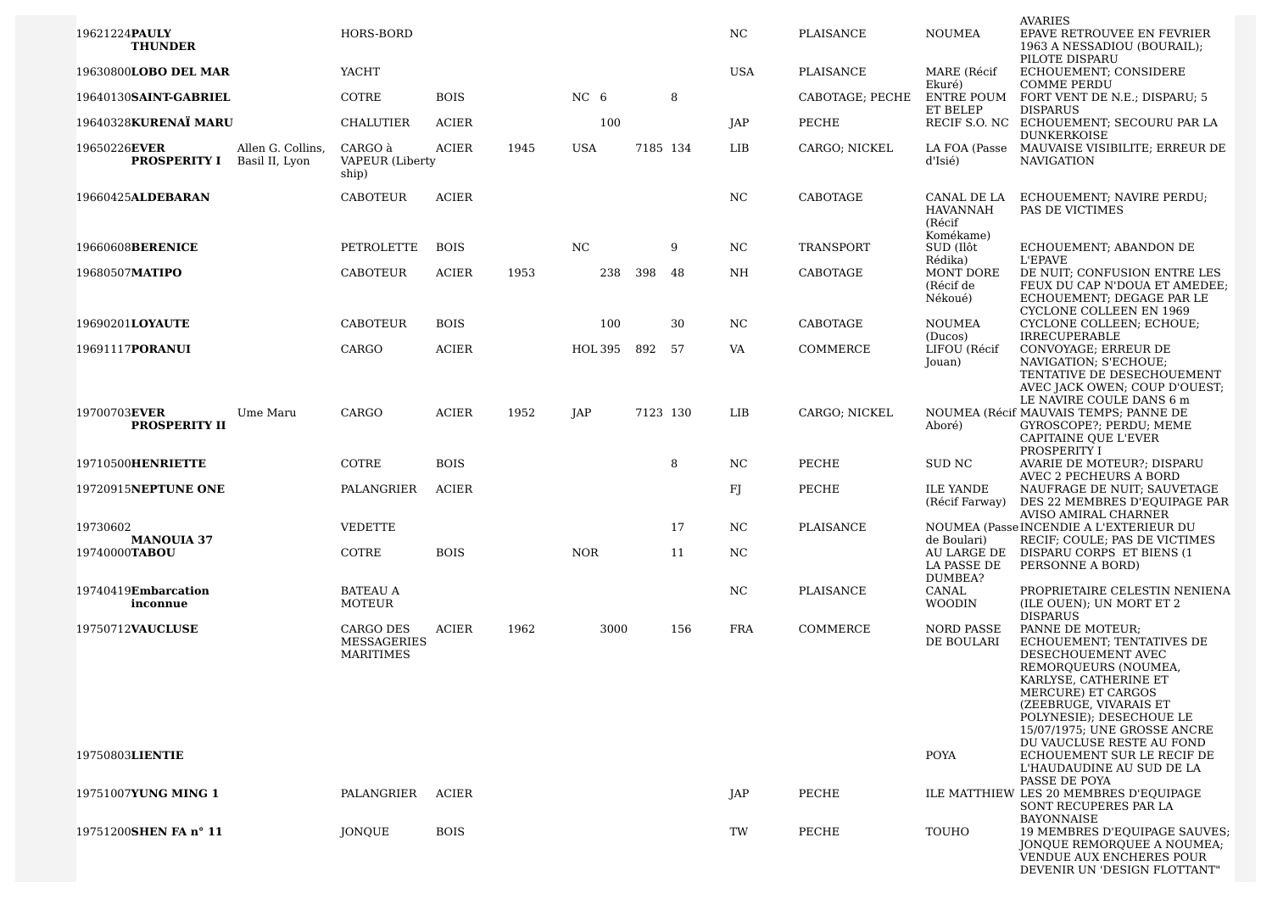|                                                                            |                                                     |              |      |                 |          |          |            |                 |                                                      | <b>AVARIES</b>                                                                                                                       |
|----------------------------------------------------------------------------|-----------------------------------------------------|--------------|------|-----------------|----------|----------|------------|-----------------|------------------------------------------------------|--------------------------------------------------------------------------------------------------------------------------------------|
| 19621224PAULY<br><b>THUNDER</b>                                            | HORS-BORD                                           |              |      |                 |          |          | NC.        | PLAISANCE       | <b>NOUMEA</b>                                        | EPAVE RETROUVEE EN FEVRIER<br>1963 A NESSADIOU (BOURAIL);<br>PILOTE DISPARU                                                          |
| 19630800LOBO DEL MAR                                                       | YACHT                                               |              |      |                 |          |          | <b>USA</b> | PLAISANCE       | MARE (Récif<br>Ekuré)                                | ECHOUEMENT; CONSIDERE<br><b>COMME PERDU</b>                                                                                          |
| 19640130SAINT-GABRIEL                                                      | COTRE                                               | <b>BOIS</b>  |      | NC <sub>6</sub> |          | 8        |            | CABOTAGE; PECHE | ENTRE POUM                                           | FORT VENT DE N.E.; DISPARU; 5                                                                                                        |
| 19640328KURENAÏ MARU                                                       | <b>CHALUTIER</b>                                    | <b>ACIER</b> |      | 100             |          |          | JAP        | PECHE           | ET BELEP<br>RECIF S.O. NC                            | <b>DISPARUS</b><br>ECHOUEMENT; SECOURU PAR LA<br><b>DUNKERKOISE</b>                                                                  |
| 19650226EVER<br>Allen G. Collins,<br><b>PROSPERITY I</b><br>Basil II, Lyon | CARGO à<br>VAPEUR (Liberty<br>ship)                 | <b>ACIER</b> | 1945 | <b>USA</b>      | 7185 134 |          | LIB        | CARGO; NICKEL   | LA FOA (Passe<br>d'Isié)                             | MAUVAISE VISIBILITE; ERREUR DE<br><b>NAVIGATION</b>                                                                                  |
| 19660425ALDEBARAN                                                          | <b>CABOTEUR</b>                                     | <b>ACIER</b> |      |                 |          |          | NC         | CABOTAGE        | CANAL DE LA<br>HAVANNAH<br>(Récif                    | ECHOUEMENT; NAVIRE PERDU;<br>PAS DE VICTIMES                                                                                         |
| 19660608BERENICE                                                           | PETROLETTE                                          | <b>BOIS</b>  |      | NC              |          | 9        | NC.        | TRANSPORT       | Komékame)<br>SUD (Ilôt<br>Rédika)                    | ECHOUEMENT; ABANDON DE<br><b>L'EPAVE</b>                                                                                             |
| 19680507MATIPO                                                             | CABOTEUR                                            | <b>ACIER</b> | 1953 | 238             | 398      | 48       | NH         | CABOTAGE        | MONT DORE<br>(Récif de<br>Nékoué)                    | DE NUIT; CONFUSION ENTRE LES<br>FEUX DU CAP N'DOUA ET AMEDEE;<br>ECHOUEMENT; DEGAGE PAR LE                                           |
| 19690201LOYAUTE                                                            | <b>CABOTEUR</b>                                     | <b>BOIS</b>  |      | 100             |          | 30       | NC.        | CABOTAGE        | <b>NOUMEA</b><br>(Ducos)                             | CYCLONE COLLEEN EN 1969<br>CYCLONE COLLEEN; ECHOUE;<br><b>IRRECUPERABLE</b>                                                          |
| 19691117PORANUI                                                            | CARGO                                               | <b>ACIER</b> |      | HOL 395         | 892      | 57       | VA         | COMMERCE        | LIFOU (Récif<br>Jouan)                               | CONVOYAGE; ERREUR DE<br>NAVIGATION; S'ECHOUE;<br>TENTATIVE DE DESECHOUEMENT<br>AVEC JACK OWEN; COUP D'OUEST;                         |
| 19700703EVER<br>Ume Maru<br><b>PROSPERITY II</b>                           | CARGO                                               | <b>ACIER</b> | 1952 | JAP             |          | 7123 130 | LIB        | CARGO; NICKEL   | Aboré)                                               | LE NAVIRE COULE DANS 6 m<br>NOUMEA (Récif MAUVAIS TEMPS; PANNE DE<br>GYROSCOPE?; PERDU; MEME<br>CAPITAINE OUE L'EVER<br>PROSPERITY I |
| 19710500HENRIETTE                                                          | COTRE                                               | <b>BOIS</b>  |      |                 |          | 8        | NC.        | PECHE           | SUD NC                                               | AVARIE DE MOTEUR?; DISPARU<br>AVEC 2 PECHEURS A BORD                                                                                 |
| 19720915NEPTUNE ONE                                                        | PALANGRIER                                          | <b>ACIER</b> |      |                 |          |          | F          | PECHE           | <b>ILE YANDE</b><br>(Récif Farway)                   | NAUFRAGE DE NUIT; SAUVETAGE<br>DES 22 MEMBRES D'EQUIPAGE PAR<br>AVISO AMIRAL CHARNER                                                 |
| 19730602<br><b>MANOUIA 37</b>                                              | <b>VEDETTE</b>                                      |              |      |                 |          | 17       | NC         | PLAISANCE       |                                                      | NOUMEA (Passe INCENDIE A L'EXTERIEUR DU                                                                                              |
| 19740000TABOU                                                              | COTRE                                               | <b>BOIS</b>  |      | <b>NOR</b>      |          | 11       | NC.        |                 | de Boulari)<br>AU LARGE DE<br>LA PASSE DE<br>DUMBEA? | RECIF; COULE; PAS DE VICTIMES<br>DISPARU CORPS ET BIENS (1<br>PERSONNE A BORD)                                                       |
| 19740419Embarcation<br>inconnue                                            | <b>BATEAU A</b><br>MOTEUR                           |              |      |                 |          |          | NC         | PLAISANCE       | CANAL<br><b>WOODIN</b>                               | PROPRIETAIRE CELESTIN NENIENA<br>(ILE OUEN); UN MORT ET 2<br><b>DISPARUS</b>                                                         |
| 19750712VAUCLUSE                                                           | CARGO DES<br><b>MESSAGERIES</b><br><b>MARITIMES</b> | <b>ACIER</b> | 1962 | 3000            |          | 156      | <b>FRA</b> | COMMERCE        | <b>NORD PASSE</b><br>DE BOULARI                      | PANNE DE MOTEUR;<br>ECHOUEMENT; TENTATIVES DE<br>DESECHOUEMENT AVEC<br>REMOROUEURS (NOUMEA,                                          |
|                                                                            |                                                     |              |      |                 |          |          |            |                 |                                                      | KARLYSE, CATHERINE ET<br>MERCURE) ET CARGOS<br>(ZEEBRUGE, VIVARAIS ET<br>POLYNESIE); DESECHOUE LE<br>15/07/1975; UNE GROSSE ANCRE    |
| 19750803LIENTIE                                                            |                                                     |              |      |                 |          |          |            |                 | <b>POYA</b>                                          | DU VAUCLUSE RESTE AU FOND<br>ECHOUEMENT SUR LE RECIF DE<br>L'HAUDAUDINE AU SUD DE LA<br>PASSE DE POYA                                |
| 19751007YUNG MING 1                                                        | PALANGRIER                                          | ACIER        |      |                 |          |          | JAP        | PECHE           |                                                      | ILE MATTHIEW LES 20 MEMBRES D'EQUIPAGE<br>SONT RECUPERES PAR LA<br>BAYONNAISE                                                        |
| 19751200SHEN FA n° 11                                                      | JONQUE                                              | <b>BOIS</b>  |      |                 |          |          | TW         | PECHE           | TOUHO                                                | 19 MEMBRES D'EQUIPAGE SAUVES;<br>JONQUE REMORQUEE A NOUMEA;<br><b>VENDUE AUX ENCHERES POUR</b><br>DEVENIR UN 'DESIGN FLOTTANT"       |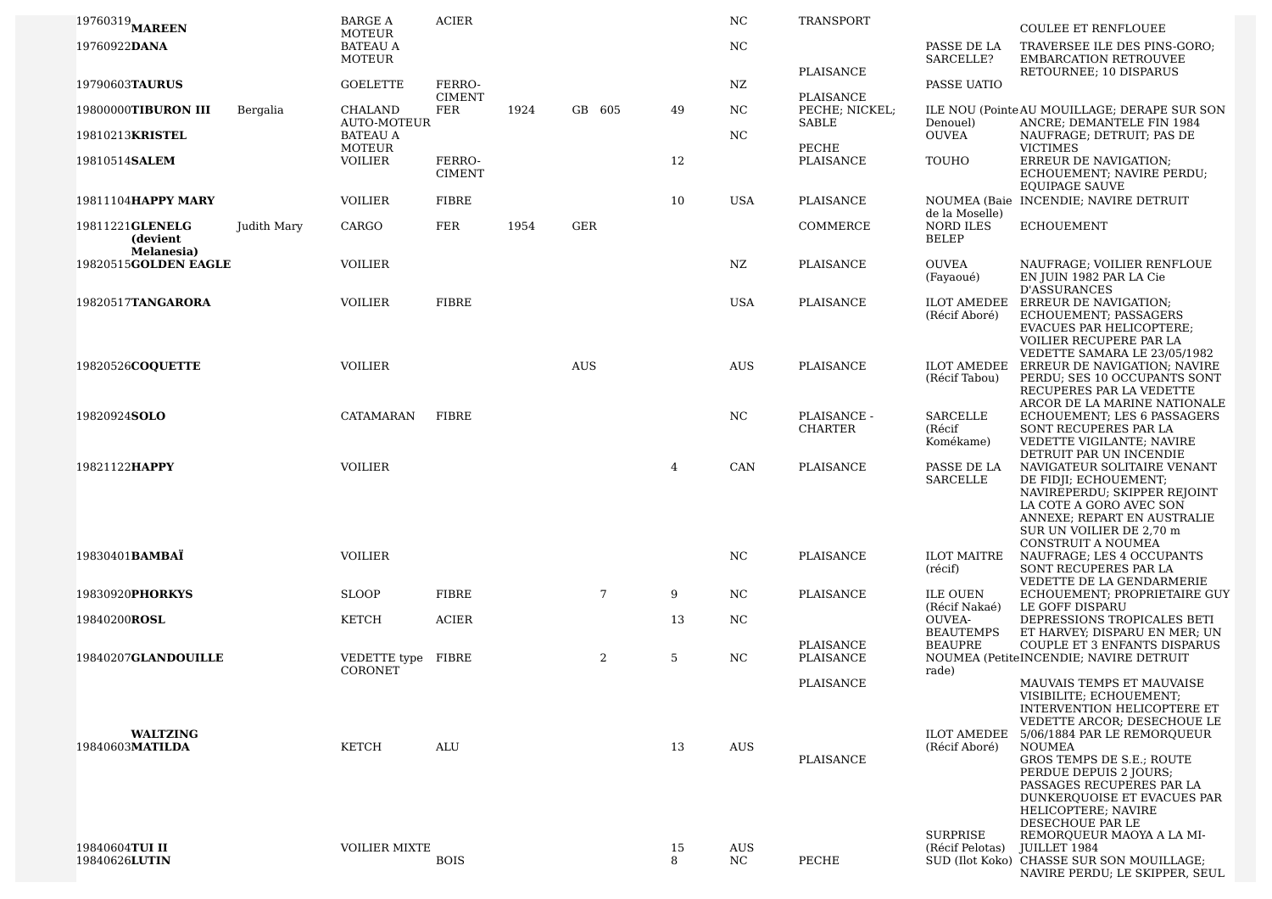| $19760319$ MAREEN                         |             | <b>BARGE A</b>                             | <b>ACIER</b>                |      |              |                | NC         | <b>TRANSPORT</b>            |                                             | <b>COULEE ET RENFLOUEE</b>                                                                                                                                                                            |
|-------------------------------------------|-------------|--------------------------------------------|-----------------------------|------|--------------|----------------|------------|-----------------------------|---------------------------------------------|-------------------------------------------------------------------------------------------------------------------------------------------------------------------------------------------------------|
| 19760922DANA                              |             | <b>MOTEUR</b><br><b>BATEAU A</b><br>MOTEUR |                             |      |              |                | NC         |                             | PASSE DE LA<br>SARCELLE?                    | TRAVERSEE ILE DES PINS-GORO;<br><b>EMBARCATION RETROUVEE</b>                                                                                                                                          |
| 19790603TAURUS                            |             | <b>GOELETTE</b>                            | FERRO-                      |      |              |                | NZ         | PLAISANCE                   | PASSE UATIO                                 | RETOURNEE; 10 DISPARUS                                                                                                                                                                                |
| 19800000TIBURON III                       | Bergalia    | CHALAND                                    | <b>CIMENT</b><br><b>FER</b> | 1924 | GB 605       | 49             | NC         | PLAISANCE<br>PECHE; NICKEL; |                                             | ILE NOU (Pointe AU MOUILLAGE; DERAPE SUR SON                                                                                                                                                          |
| 19810213KRISTEL                           |             | <b>AUTO-MOTEUR</b><br><b>BATEAU A</b>      |                             |      |              |                | NC         | SABLE                       | Denouel)<br><b>OUVEA</b>                    | ANCRE; DEMANTELE FIN 1984<br>NAUFRAGE; DETRUIT; PAS DE                                                                                                                                                |
| 19810514SALEM                             |             | MOTEUR<br><b>VOILIER</b>                   | FERRO-<br><b>CIMENT</b>     |      |              | 12             |            | PECHE<br>PLAISANCE          | TOUHO                                       | <b>VICTIMES</b><br>ERREUR DE NAVIGATION;<br>ECHOUEMENT; NAVIRE PERDU;<br><b>EOUIPAGE SAUVE</b>                                                                                                        |
| 19811104HAPPY MARY                        |             | <b>VOILIER</b>                             | FIBRE                       |      |              | 10             | USA        | PLAISANCE                   |                                             | NOUMEA (Baie INCENDIE: NAVIRE DETRUIT                                                                                                                                                                 |
| 19811221GLENELG<br>(devient<br>Melanesia) | Judith Mary | CARGO                                      | <b>FER</b>                  | 1954 | GER          |                |            | COMMERCE                    | de la Moselle)<br>NORD ILES<br>BELEP        | <b>ECHOUEMENT</b>                                                                                                                                                                                     |
| 19820515GOLDEN EAGLE                      |             | <b>VOILIER</b>                             |                             |      |              |                | NZ.        | PLAISANCE                   | <b>OUVEA</b><br>(Fayaoué)                   | NAUFRAGE; VOILIER RENFLOUE<br>EN JUIN 1982 PAR LA Cie<br><b>D'ASSURANCES</b>                                                                                                                          |
| 19820517TANGARORA                         |             | <b>VOILIER</b>                             | <b>FIBRE</b>                |      |              |                | USA        | PLAISANCE                   | <b>ILOT AMEDEE</b><br>(Récif Aboré)         | ERREUR DE NAVIGATION;<br>ECHOUEMENT; PASSAGERS<br><b>EVACUES PAR HELICOPTERE:</b><br>VOILIER RECUPERE PAR LA<br>VEDETTE SAMARA LE 23/05/1982                                                          |
| 19820526COOUETTE                          |             | <b>VOILIER</b>                             |                             |      | <b>AUS</b>   |                | <b>AUS</b> | PLAISANCE                   | <b>ILOT AMEDEE</b><br>(Récif Tabou)         | ERREUR DE NAVIGATION; NAVIRE<br>PERDU; SES 10 OCCUPANTS SONT<br>RECUPERES PAR LA VEDETTE<br>ARCOR DE LA MARINE NATIONALE                                                                              |
| 19820924SOLO                              |             | <b>CATAMARAN</b>                           | <b>FIBRE</b>                |      |              |                | NC         | PLAISANCE -<br>CHARTER      | SARCELLE<br>(Récif<br>Komékame)             | ECHOUEMENT; LES 6 PASSAGERS<br>SONT RECUPERES PAR LA<br>VEDETTE VIGILANTE; NAVIRE                                                                                                                     |
| 19821122HAPPY                             |             | <b>VOILIER</b>                             |                             |      |              | $\overline{4}$ | CAN        | PLAISANCE                   | PASSE DE LA<br><b>SARCELLE</b>              | DETRUIT PAR UN INCENDIE<br>NAVIGATEUR SOLITAIRE VENANT<br>DE FIDJI; ECHOUEMENT;<br>NAVIREPERDU; SKIPPER REJOINT<br>LA COTE A GORO AVEC SON<br>ANNEXE; REPART EN AUSTRALIE<br>SUR UN VOILIER DE 2,70 m |
| 19830401 <b>BAMBAÏ</b>                    |             | <b>VOILIER</b>                             |                             |      |              |                | NC         | PLAISANCE                   | <b>ILOT MAITRE</b><br>(récif)               | CONSTRUIT A NOUMEA<br>NAUFRAGE; LES 4 OCCUPANTS<br>SONT RECUPERES PAR LA                                                                                                                              |
| 19830920PHORKYS                           |             | <b>SLOOP</b>                               | <b>FIBRE</b>                |      | 7            | 9              | NC         | PLAISANCE                   | <b>ILE OUEN</b>                             | VEDETTE DE LA GENDARMERIE<br>ECHOUEMENT; PROPRIETAIRE GUY                                                                                                                                             |
| 19840200ROSL                              |             | <b>KETCH</b>                               | <b>ACIER</b>                |      |              | 13             | NC.        |                             | (Récif Nakaé)<br><b>OUVEA-</b>              | LE GOFF DISPARU<br>DEPRESSIONS TROPICALES BETI                                                                                                                                                        |
| 19840207GLANDOUILLE                       |             | VEDETTE type FIBRE<br>CORONET              |                             |      | $\mathbf{2}$ | 5              | NC         | PLAISANCE<br>PLAISANCE      | <b>BEAUTEMPS</b><br><b>BEAUPRE</b><br>rade) | ET HARVEY; DISPARU EN MER; UN<br>COUPLE ET 3 ENFANTS DISPARUS<br>NOUMEA (PetiteINCENDIE; NAVIRE DETRUIT                                                                                               |
|                                           |             |                                            |                             |      |              |                |            | PLAISANCE                   |                                             | MAUVAIS TEMPS ET MAUVAISE<br>VISIBILITE; ECHOUEMENT;<br><b>INTERVENTION HELICOPTERE ET</b><br>VEDETTE ARCOR; DESECHOUE LE                                                                             |
| <b>WALTZING</b><br>19840603MATILDA        |             | KETCH                                      | ALU                         |      |              | 13             | <b>AUS</b> | PLAISANCE                   | <b>ILOT AMEDEE</b><br>(Récif Aboré)         | 5/06/1884 PAR LE REMOROUEUR<br>NOUMEA<br>GROS TEMPS DE S.E.; ROUTE<br>PERDUE DEPUIS 2 JOURS;<br>PASSAGES RECUPERES PAR LA<br>DUNKERQUOISE ET EVACUES PAR                                              |
| 19840604TUI II<br>19840626LUTIN           |             | <b>VOILIER MIXTE</b>                       | <b>BOIS</b>                 |      |              | 15<br>8        | AUS<br>NC. | PECHE                       | <b>SURPRISE</b><br>(Récif Pelotas)          | HELICOPTERE; NAVIRE<br>DESECHOUE PAR LE<br>REMORQUEUR MAOYA A LA MI-<br>JUILLET 1984<br>SUD (Ilot Koko) CHASSE SUR SON MOUILLAGE;<br>NAVIRE PERDU; LE SKIPPER, SEUL                                   |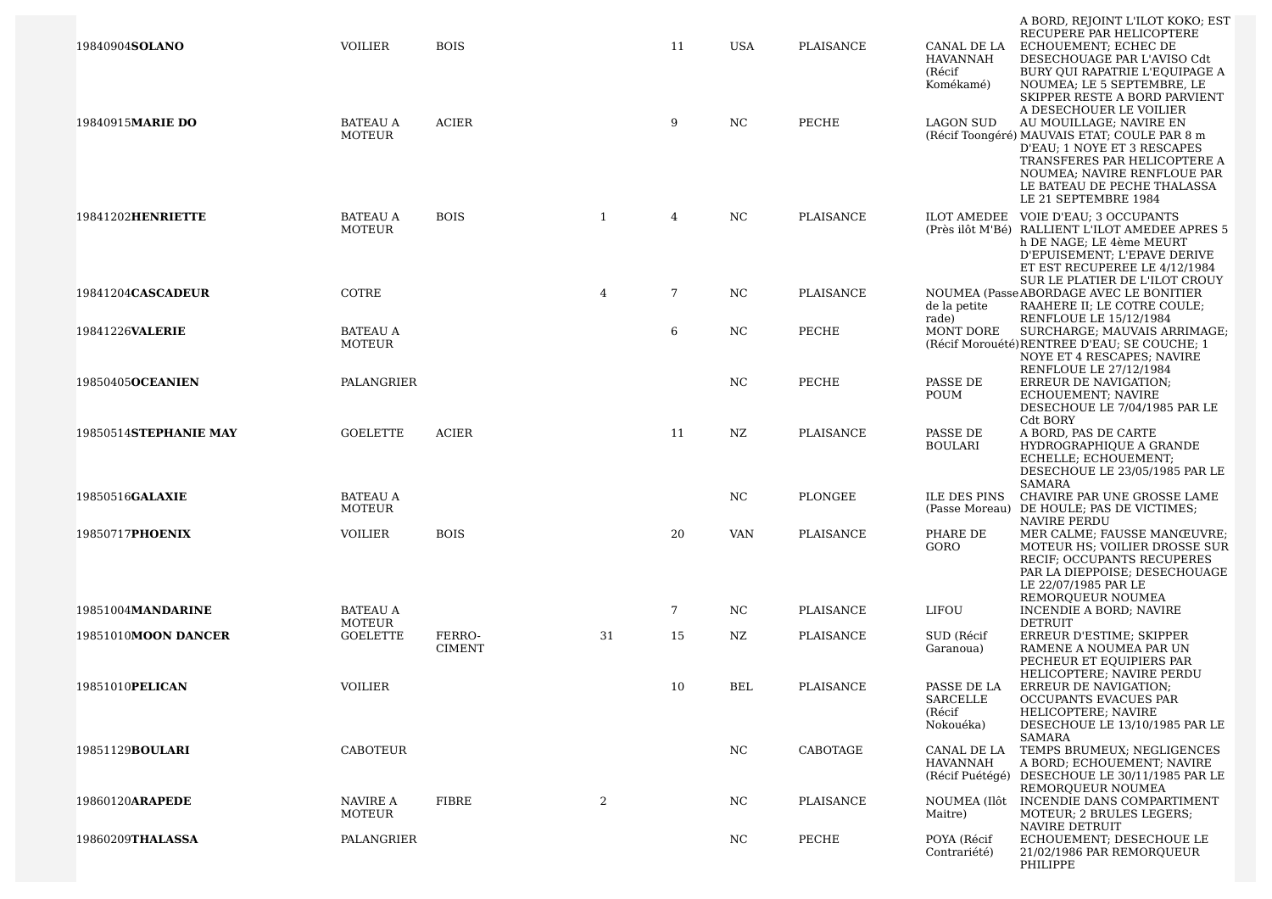| 19840904 <b>SOLANO</b>  | <b>VOILIER</b>                   | <b>BOIS</b>             |    | 11 | <b>USA</b>       | PLAISANCE | CANAL DE LA<br><b>HAVANNAH</b><br>(Récif<br>Komékamé) | A BORD, REJOINT L'ILOT KOKO; EST<br>RECUPERE PAR HELICOPTERE<br>ECHOUEMENT; ECHEC DE<br>DESECHOUAGE PAR L'AVISO Cdt<br>BURY OUI RAPATRIE L'EQUIPAGE A<br>NOUMEA; LE 5 SEPTEMBRE, LE<br>SKIPPER RESTE A BORD PARVIENT                                    |
|-------------------------|----------------------------------|-------------------------|----|----|------------------|-----------|-------------------------------------------------------|---------------------------------------------------------------------------------------------------------------------------------------------------------------------------------------------------------------------------------------------------------|
| 19840915MARIE DO        | <b>BATEAU A</b><br>MOTEUR        | <b>ACIER</b>            |    | 9  | NC               | PECHE     | <b>LAGON SUD</b>                                      | A DESECHOUER LE VOILIER<br>AU MOUILLAGE; NAVIRE EN<br>(Récif Toongéré) MAUVAIS ETAT; COULE PAR 8 m<br>D'EAU; 1 NOYE ET 3 RESCAPES<br>TRANSFERES PAR HELICOPTERE A<br>NOUMEA; NAVIRE RENFLOUE PAR<br>LE BATEAU DE PECHE THALASSA<br>LE 21 SEPTEMBRE 1984 |
| 19841202HENRIETTE       | <b>BATEAU A</b><br>MOTEUR        | <b>BOIS</b>             | 1  | 4  | NC.              | PLAISANCE |                                                       | ILOT AMEDEE VOIE D'EAU: 3 OCCUPANTS<br>(Près ilôt M'Bé) RALLIENT L'ILOT AMEDEE APRES 5<br>h DE NAGE; LE 4ème MEURT<br>D'EPUISEMENT; L'EPAVE DERIVE<br>ET EST RECUPEREE LE 4/12/1984<br>SUR LE PLATIER DE L'ILOT CROUY                                   |
| 19841204CASCADEUR       | COTRE                            |                         | 4  | 7  | NC               | PLAISANCE | de la petite<br>rade)                                 | NOUMEA (Passe ABORDAGE AVEC LE BONITIER<br>RAAHERE II; LE COTRE COULE;<br><b>RENFLOUE LE 15/12/1984</b>                                                                                                                                                 |
| 19841226VALERIE         | <b>BATEAU A</b><br><b>MOTEUR</b> |                         |    | 6  | NC               | PECHE     | MONT DORE                                             | SURCHARGE; MAUVAIS ARRIMAGE;<br>(Récif Morouété) RENTREE D'EAU; SE COUCHE; 1<br>NOYE ET 4 RESCAPES; NAVIRE<br>RENFLOUE LE 27/12/1984                                                                                                                    |
| 19850405OCEANIEN        | PALANGRIER                       |                         |    |    | NC               | PECHE     | PASSE DE<br>POUM                                      | ERREUR DE NAVIGATION;<br>ECHOUEMENT; NAVIRE<br>DESECHOUE LE 7/04/1985 PAR LE<br>Cdt BORY                                                                                                                                                                |
| 19850514STEPHANIE MAY   | GOELETTE                         | <b>ACIER</b>            |    | 11 | NZ               | PLAISANCE | PASSE DE<br><b>BOULARI</b>                            | A BORD, PAS DE CARTE<br>HYDROGRAPHIQUE A GRANDE<br>ECHELLE; ECHOUEMENT;<br>DESECHOUE LE 23/05/1985 PAR LE<br><b>SAMARA</b>                                                                                                                              |
| 19850516GALAXIE         | <b>BATEAU A</b><br>MOTEUR        |                         |    |    | NC               | PLONGEE   | <b>ILE DES PINS</b>                                   | CHAVIRE PAR UNE GROSSE LAME<br>(Passe Moreau) DE HOULE; PAS DE VICTIMES;<br>NAVIRE PERDU                                                                                                                                                                |
| 19850717PHOENIX         | <b>VOILIER</b>                   | <b>BOIS</b>             |    | 20 | <b>VAN</b>       | PLAISANCE | PHARE DE<br>GORO                                      | MER CALME; FAUSSE MANŒUVRE;<br>MOTEUR HS; VOILIER DROSSE SUR<br>RECIF; OCCUPANTS RECUPERES<br>PAR LA DIEPPOISE; DESECHOUAGE<br>LE 22/07/1985 PAR LE<br>REMORQUEUR NOUMEA                                                                                |
| 19851004MANDARINE       | <b>BATEAU A</b><br>MOTEUR        |                         |    | 7  | NC.              | PLAISANCE | LIFOU                                                 | INCENDIE A BORD; NAVIRE<br><b>DETRUIT</b>                                                                                                                                                                                                               |
| 19851010MOON DANCER     | GOELETTE                         | FERRO-<br><b>CIMENT</b> | 31 | 15 | NZ.              | PLAISANCE | SUD (Récif<br>Garanoua)                               | ERREUR D'ESTIME; SKIPPER<br>RAMENE A NOUMEA PAR UN<br>PECHEUR ET EQUIPIERS PAR                                                                                                                                                                          |
| 19851010PELICAN         | <b>VOILIER</b>                   |                         |    | 10 | BEL              | PLAISANCE | PASSE DE LA<br>SARCELLE<br>(Récif<br>Nokouéka)        | HELICOPTERE; NAVIRE PERDU<br>ERREUR DE NAVIGATION;<br>OCCUPANTS EVACUES PAR<br>HELICOPTERE; NAVIRE<br>DESECHOUE LE 13/10/1985 PAR LE<br><b>SAMARA</b>                                                                                                   |
| 19851129 <b>BOULARI</b> | <b>CABOTEUR</b>                  |                         |    |    | $_{\mathrm{NC}}$ | CABOTAGE  | <b>CANAL DE LA</b><br><b>HAVANNAH</b>                 | TEMPS BRUMEUX; NEGLIGENCES<br>A BORD; ECHOUEMENT; NAVIRE<br>(Récif Puétégé) DESECHOUE LE 30/11/1985 PAR LE<br>REMORQUEUR NOUMEA                                                                                                                         |
| 19860120ARAPEDE         | NAVIRE A<br>MOTEUR               | <b>FIBRE</b>            | 2  |    | NC               | PLAISANCE | NOUMEA (Ilôt<br>Maitre)                               | INCENDIE DANS COMPARTIMENT<br>MOTEUR: 2 BRULES LEGERS:<br>NAVIRE DETRUIT                                                                                                                                                                                |
| 19860209THALASSA        | PALANGRIER                       |                         |    |    | NC               | PECHE     | POYA (Récif<br>Contrariété)                           | ECHOUEMENT; DESECHOUE LE<br>21/02/1986 PAR REMOROUEUR<br>PHILIPPE                                                                                                                                                                                       |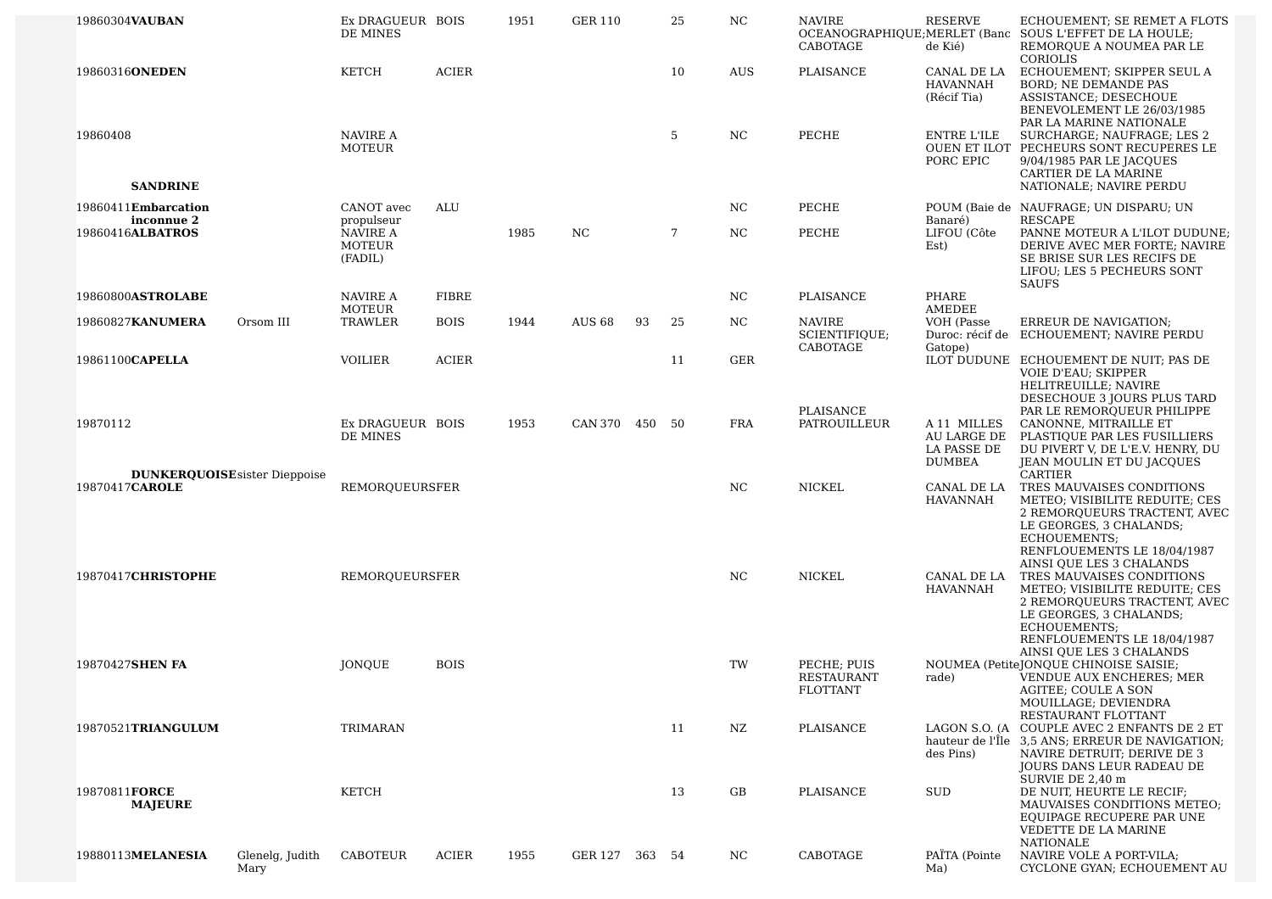| 19860304VAUBAN                                         | Ex DRAGUEUR BOIS<br>DE MINES         |              | 1951 | <b>GER 110</b> |    | 25 | NC  | <b>NAVIRE</b><br>CABOTAGE                           | <b>RESERVE</b><br>de Kié)                                  | ECHOUEMENT; SE REMET A FLOTS<br>OCEANOGRAPHIQUE; MERLET (Banc SOUS L'EFFET DE LA HOULE;<br>REMORQUE A NOUMEA PAR LE<br>CORIOLIS                                                                                                                  |
|--------------------------------------------------------|--------------------------------------|--------------|------|----------------|----|----|-----|-----------------------------------------------------|------------------------------------------------------------|--------------------------------------------------------------------------------------------------------------------------------------------------------------------------------------------------------------------------------------------------|
| 19860316ONEDEN                                         | <b>KETCH</b>                         | <b>ACIER</b> |      |                |    | 10 | AUS | PLAISANCE                                           | CANAL DE LA<br><b>HAVANNAH</b><br>(Récif Tia)              | ECHOUEMENT; SKIPPER SEUL A<br><b>BORD; NE DEMANDE PAS</b><br>ASSISTANCE; DESECHOUE<br>BENEVOLEMENT LE 26/03/1985<br>PAR LA MARINE NATIONALE                                                                                                      |
| 19860408                                               | NAVIRE A<br><b>MOTEUR</b>            |              |      |                |    | 5  | NC  | PECHE                                               | ENTRE L'ILE<br>PORC EPIC                                   | SURCHARGE; NAUFRAGE; LES 2<br>OUEN ET ILOT PECHEURS SONT RECUPERES LE<br>9/04/1985 PAR LE JACQUES<br>CARTIER DE LA MARINE                                                                                                                        |
| <b>SANDRINE</b>                                        |                                      |              |      |                |    |    |     |                                                     |                                                            | NATIONALE; NAVIRE PERDU                                                                                                                                                                                                                          |
| 19860411Embarcation<br>inconnue 2                      | CANOT avec<br>propulseur             | ALU          |      |                |    |    | NC. | PECHE                                               | Banaré)                                                    | POUM (Baie de NAUFRAGE; UN DISPARU; UN<br><b>RESCAPE</b>                                                                                                                                                                                         |
| 19860416ALBATROS                                       | NAVIRE A<br><b>MOTEUR</b><br>(FADIL) |              | 1985 | NC.            |    | 7  | NC. | PECHE                                               | LIFOU (Côte<br>Est)                                        | PANNE MOTEUR A L'ILOT DUDUNE;<br>DERIVE AVEC MER FORTE; NAVIRE<br>SE BRISE SUR LES RECIFS DE<br>LIFOU; LES 5 PECHEURS SONT<br><b>SAUFS</b>                                                                                                       |
| 19860800ASTROLABE                                      | NAVIRE A                             | <b>FIBRE</b> |      |                |    |    | NC. | PLAISANCE                                           | PHARE                                                      |                                                                                                                                                                                                                                                  |
| Orsom III<br>19860827KANUMERA                          | MOTEUR<br>TRAWLER                    | <b>BOIS</b>  | 1944 | <b>AUS 68</b>  | 93 | 25 | NC. | <b>NAVIRE</b><br>SCIENTIFIQUE;<br>CABOTAGE          | AMEDEE<br>VOH (Passe<br>Gatope)                            | ERREUR DE NAVIGATION;<br>Duroc: récif de ECHOUEMENT; NAVIRE PERDU                                                                                                                                                                                |
| 19861100CAPELLA                                        | <b>VOILIER</b>                       | <b>ACIER</b> |      |                |    | 11 | GER |                                                     |                                                            | ILOT DUDUNE ECHOUEMENT DE NUIT; PAS DE                                                                                                                                                                                                           |
| 19870112                                               | Ex DRAGUEUR BOIS<br>DE MINES         |              | 1953 | CAN 370 450 50 |    |    | FRA | PLAISANCE<br><b>PATROUILLEUR</b>                    | A 11 MILLES<br>AU LARGE DE<br>LA PASSE DE<br><b>DUMBEA</b> | VOIE D'EAU; SKIPPER<br>HELITREUILLE; NAVIRE<br>DESECHOUE 3 JOURS PLUS TARD<br>PAR LE REMORQUEUR PHILIPPE<br>CANONNE, MITRAILLE ET<br>PLASTIQUE PAR LES FUSILLIERS<br>DU PIVERT V, DE L'E.V. HENRY, DU<br>JEAN MOULIN ET DU JACQUES               |
| <b>DUNKERQUOISE</b> sister Dieppoise<br>19870417CAROLE | REMORQUEURSFER                       |              |      |                |    |    | NC  | NICKEL                                              | CANAL DE LA<br><b>HAVANNAH</b>                             | <b>CARTIER</b><br>TRES MAUVAISES CONDITIONS<br>METEO; VISIBILITE REDUITE; CES<br>2 REMORQUEURS TRACTENT, AVEC<br>LE GEORGES, 3 CHALANDS;                                                                                                         |
| 19870417CHRISTOPHE                                     | REMOROUEURSFER                       |              |      |                |    |    | NC  | <b>NICKEL</b>                                       | CANAL DE LA<br><b>HAVANNAH</b>                             | ECHOUEMENTS;<br>RENFLOUEMENTS LE 18/04/1987<br>AINSI QUE LES 3 CHALANDS<br>TRES MAUVAISES CONDITIONS<br>METEO; VISIBILITE REDUITE; CES<br>2 REMOROUEURS TRACTENT, AVEC<br>LE GEORGES, 3 CHALANDS;<br>ECHOUEMENTS;<br>RENFLOUEMENTS LE 18/04/1987 |
| 19870427SHEN FA                                        | JONQUE                               | <b>BOIS</b>  |      |                |    |    | TW  | PECHE; PUIS<br><b>RESTAURANT</b><br><b>FLOTTANT</b> | rade)                                                      | AINSI OUE LES 3 CHALANDS<br>NOUMEA (PetiteJONQUE CHINOISE SAISIE;<br>VENDUE AUX ENCHERES; MER<br>AGITEE; COULE A SON<br>MOUILLAGE; DEVIENDRA                                                                                                     |
| 19870521TRIANGULUM                                     | TRIMARAN                             |              |      |                |    | 11 | NZ  | PLAISANCE                                           | des Pins)                                                  | RESTAURANT FLOTTANT<br>LAGON S.O. (A COUPLE AVEC 2 ENFANTS DE 2 ET<br>hauteur de l'Île 3.5 ANS: ERREUR DE NAVIGATION:<br>NAVIRE DETRUIT; DERIVE DE 3<br>JOURS DANS LEUR RADEAU DE<br>SURVIE DE 2.40 m                                            |
| 19870811FORCE<br><b>MAJEURE</b>                        | <b>KETCH</b>                         |              |      |                |    | 13 | GB  | PLAISANCE                                           | SUD                                                        | DE NUIT, HEURTE LE RECIF;<br>MAUVAISES CONDITIONS METEO:<br>EQUIPAGE RECUPERE PAR UNE<br>VEDETTE DE LA MARINE<br><b>NATIONALE</b>                                                                                                                |
| 19880113MELANESIA<br>Glenelg, Judith<br>Mary           | CABOTEUR                             | ACIER        | 1955 | GER 127 363 54 |    |    | NC. | CABOTAGE                                            | PAÏTA (Pointe<br>Ma)                                       | NAVIRE VOLE A PORT-VILA;<br>CYCLONE GYAN; ECHOUEMENT AU                                                                                                                                                                                          |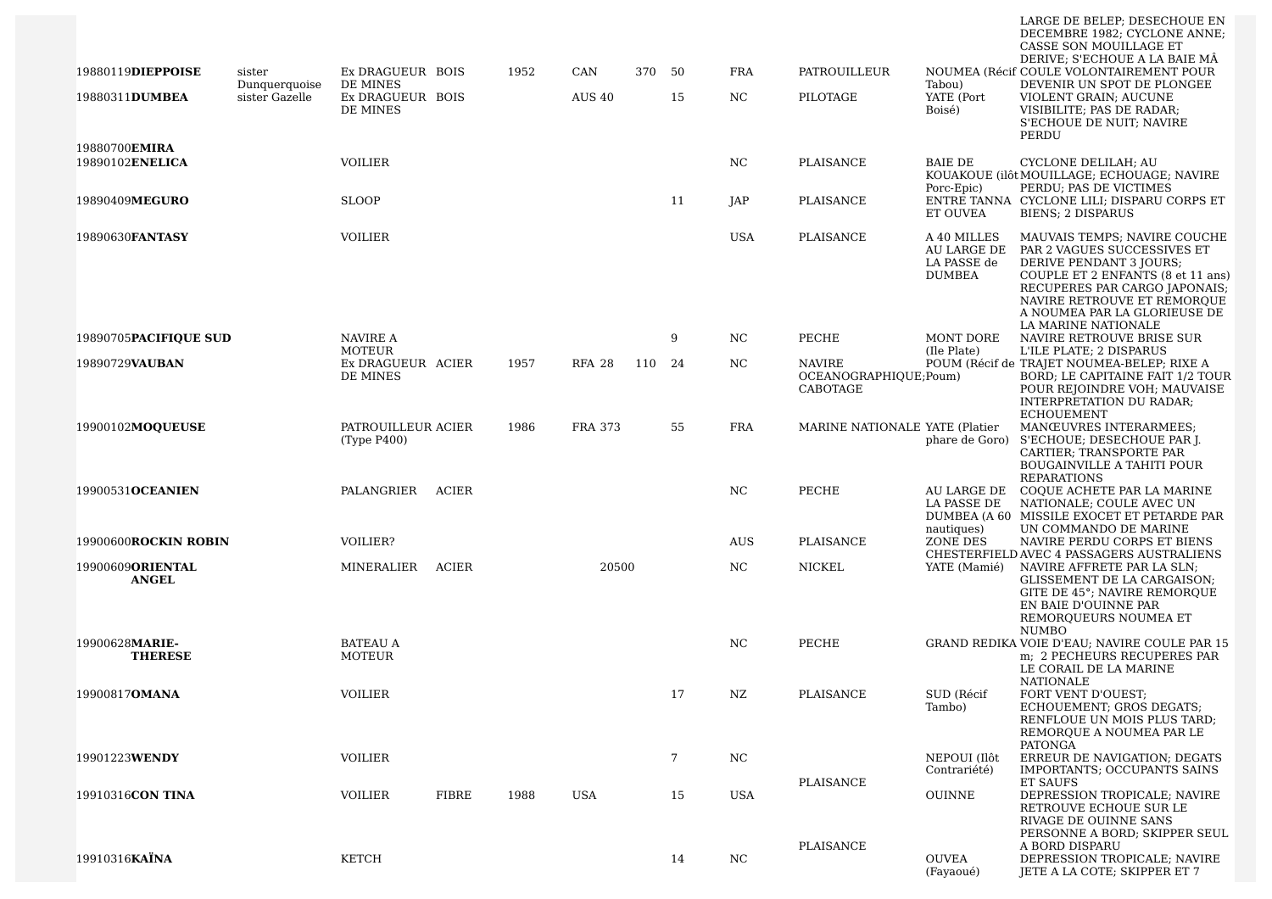|                                          |                         |                                   |       |      |                |     |    |            |                                         |                                                            | LARGE DE BELEP; DESECHOUE EN<br>DECEMBRE 1982; CYCLONE ANNE;<br>CASSE SON MOUILLAGE ET<br>DERIVE; S'ECHOUE A LA BAIE MÂ                                                                                                                            |
|------------------------------------------|-------------------------|-----------------------------------|-------|------|----------------|-----|----|------------|-----------------------------------------|------------------------------------------------------------|----------------------------------------------------------------------------------------------------------------------------------------------------------------------------------------------------------------------------------------------------|
| 19880119DIEPPOISE                        | sister<br>Dunquerquoise | Ex DRAGUEUR BOIS<br>DE MINES      |       | 1952 | CAN            | 370 | 50 | <b>FRA</b> | PATROUILLEUR                            | Tabou)                                                     | NOUMEA (Récif COULE VOLONTAIREMENT POUR<br>DEVENIR UN SPOT DE PLONGEE                                                                                                                                                                              |
| 19880311DUMBEA                           | sister Gazelle          | Ex DRAGUEUR BOIS<br>DE MINES      |       |      | <b>AUS 40</b>  |     | 15 | NC.        | PILOTAGE                                | YATE (Port<br>Boisé)                                       | VIOLENT GRAIN; AUCUNE<br>VISIBILITE; PAS DE RADAR;<br>S'ECHOUE DE NUIT; NAVIRE<br>PERDU                                                                                                                                                            |
| 19880700EMIRA<br>19890102ENELICA         |                         | <b>VOILIER</b>                    |       |      |                |     |    | NC         | <b>PLAISANCE</b>                        | <b>BAIE DE</b>                                             | CYCLONE DELILAH; AU<br>KOUAKOUE (ilôt MOUILLAGE; ECHOUAGE; NAVIRE                                                                                                                                                                                  |
| 19890409MEGURO                           |                         | <b>SLOOP</b>                      |       |      |                |     | 11 | JAP        | PLAISANCE                               | Porc-Epic)<br><b>ET OUVEA</b>                              | PERDU; PAS DE VICTIMES<br>ENTRE TANNA CYCLONE LILI; DISPARU CORPS ET<br><b>BIENS: 2 DISPARUS</b>                                                                                                                                                   |
| 19890630FANTASY                          |                         | <b>VOILIER</b>                    |       |      |                |     |    | <b>USA</b> | PLAISANCE                               | A 40 MILLES<br>AU LARGE DE<br>LA PASSE de<br><b>DUMBEA</b> | MAUVAIS TEMPS; NAVIRE COUCHE<br>PAR 2 VAGUES SUCCESSIVES ET<br>DERIVE PENDANT 3 JOURS;<br>COUPLE ET 2 ENFANTS (8 et 11 ans)<br>RECUPERES PAR CARGO JAPONAIS;<br>NAVIRE RETROUVE ET REMORQUE<br>A NOUMEA PAR LA GLORIEUSE DE<br>LA MARINE NATIONALE |
| 19890705PACIFIQUE SUD                    |                         | NAVIRE A<br><b>MOTEUR</b>         |       |      |                |     | 9  | NC         | PECHE                                   | MONT DORE<br>(Ile Plate)                                   | NAVIRE RETROUVE BRISE SUR<br>L'ILE PLATE; 2 DISPARUS                                                                                                                                                                                               |
| 19890729VAUBAN                           |                         | Ex DRAGUEUR ACIER<br>DE MINES     |       | 1957 | <b>RFA 28</b>  | 110 | 24 | NC.        | <b>NAVIRE</b><br>OCEANOGRAPHIQUE; Poum) |                                                            | POUM (Récif de TRAJET NOUMEA-BELEP; RIXE A<br>BORD; LE CAPITAINE FAIT 1/2 TOUR                                                                                                                                                                     |
|                                          |                         |                                   |       |      |                |     |    |            | CABOTAGE                                |                                                            | POUR REJOINDRE VOH; MAUVAISE<br>INTERPRETATION DU RADAR;<br><b>ECHOUEMENT</b>                                                                                                                                                                      |
| 19900102MOOUEUSE                         |                         | PATROUILLEUR ACIER<br>(Type P400) |       | 1986 | <b>FRA 373</b> |     | 55 | <b>FRA</b> | MARINE NATIONALE YATE (Platier          | phare de Goro)                                             | MANŒUVRES INTERARMEES:<br>S'ECHOUE; DESECHOUE PAR J.<br>CARTIER; TRANSPORTE PAR<br><b>BOUGAINVILLE A TAHITI POUR</b><br><b>REPARATIONS</b>                                                                                                         |
| 19900531OCEANIEN                         |                         | PALANGRIER                        | ACIER |      |                |     |    | NC         | PECHE                                   | AU LARGE DE<br>LA PASSE DE<br>nautiques)                   | COQUE ACHETE PAR LA MARINE<br>NATIONALE; COULE AVEC UN<br>DUMBEA (A 60 MISSILE EXOCET ET PETARDE PAR<br>UN COMMANDO DE MARINE                                                                                                                      |
| 19900600ROCKIN ROBIN                     |                         | VOILIER?                          |       |      |                |     |    | <b>AUS</b> | PLAISANCE                               | ZONE DES                                                   | NAVIRE PERDU CORPS ET BIENS<br>CHESTERFIELD AVEC 4 PASSAGERS AUSTRALIENS                                                                                                                                                                           |
| 19900609 <b>ORIENTAL</b><br><b>ANGEL</b> |                         | MINERALIER                        | ACIER |      | 20500          |     |    | NC         | NICKEL                                  | YATE (Mamié)                                               | NAVIRE AFFRETE PAR LA SLN;<br>GLISSEMENT DE LA CARGAISON;<br>GITE DE 45°; NAVIRE REMORQUE<br>EN BAIE D'OUINNE PAR<br>REMOROUEURS NOUMEA ET<br><b>NUMBO</b>                                                                                         |
| 19900628MARIE-<br><b>THERESE</b>         |                         | <b>BATEAU A</b><br>MOTEUR         |       |      |                |     |    | NC         | PECHE                                   |                                                            | GRAND REDIKA VOIE D'EAU; NAVIRE COULE PAR 15<br>m; 2 PECHEURS RECUPERES PAR<br>LE CORAIL DE LA MARINE<br>NATIONALE                                                                                                                                 |
| 19900817 <b>OMANA</b>                    |                         | VOILIER                           |       |      |                |     | 17 | NZ         | PLAISANCE                               | SUD (Récif<br>Tambo)                                       | FORT VENT D'OUEST;<br>ECHOUEMENT; GROS DEGATS;<br>RENFLOUE UN MOIS PLUS TARD;<br>REMORQUE A NOUMEA PAR LE<br>PATONGA                                                                                                                               |
| 19901223WENDY                            |                         | <b>VOILIER</b>                    |       |      |                |     | 7  | NC         |                                         | NEPOUI (Ilôt<br>Contrariété)                               | ERREUR DE NAVIGATION; DEGATS<br>IMPORTANTS; OCCUPANTS SAINS                                                                                                                                                                                        |
| 19910316CON TINA                         |                         | <b>VOILIER</b>                    | FIBRE | 1988 | USA            |     | 15 | <b>USA</b> | PLAISANCE                               | <b>OUINNE</b>                                              | ET SAUFS<br>DEPRESSION TROPICALE; NAVIRE<br>RETROUVE ECHOUE SUR LE                                                                                                                                                                                 |
|                                          |                         |                                   |       |      |                |     |    |            | PLAISANCE                               |                                                            | RIVAGE DE OUINNE SANS<br>PERSONNE A BORD; SKIPPER SEUL<br>A BORD DISPARU                                                                                                                                                                           |
| 19910316KAÏNA                            |                         | KETCH                             |       |      |                |     | 14 | NC         |                                         | OUVEA<br>(Fayaoué)                                         | DEPRESSION TROPICALE; NAVIRE<br>JETE A LA COTE; SKIPPER ET 7                                                                                                                                                                                       |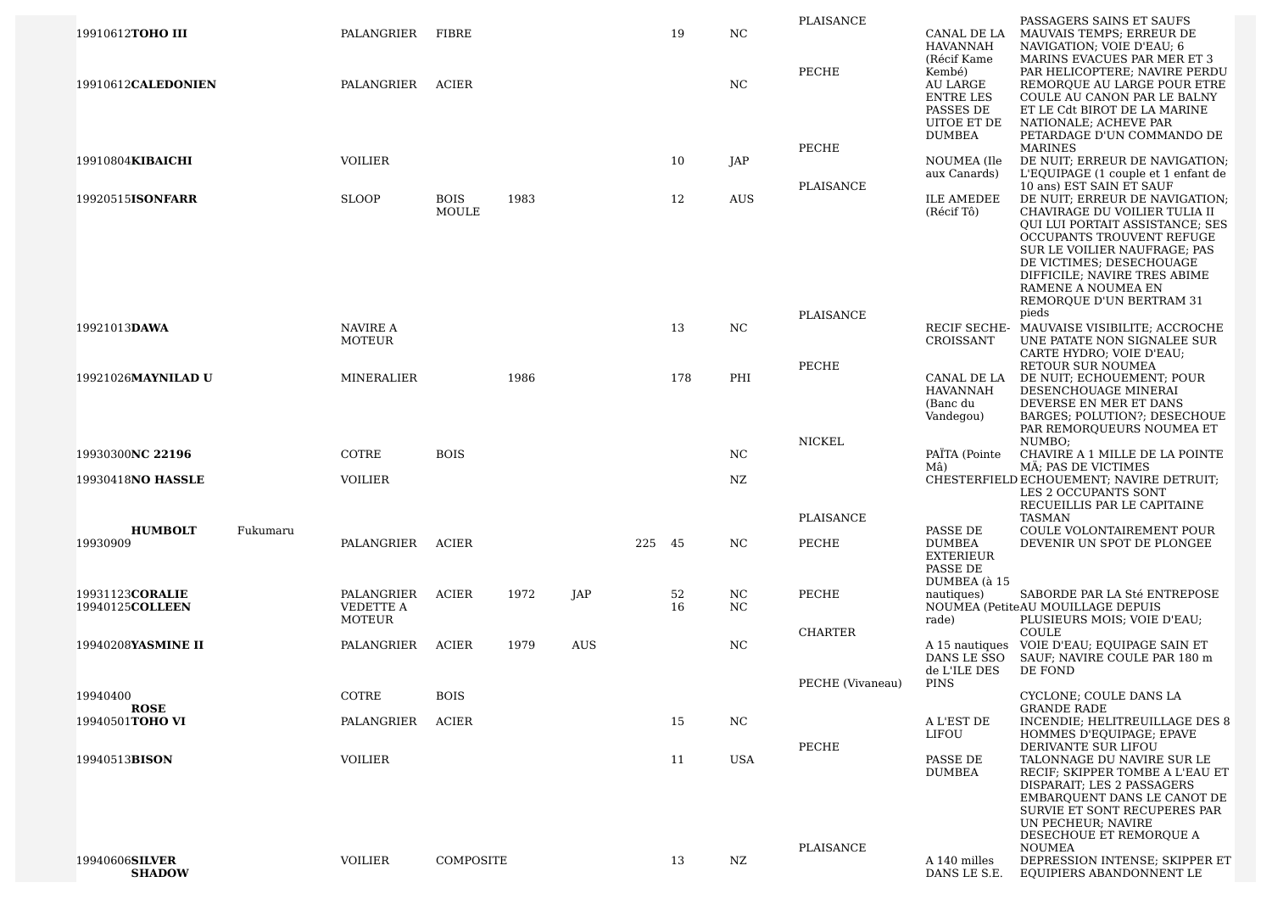| 19910612TOHO III                   | PALANGRIER                        | FIBRE                       |      |            |        | 19       | NC               | PLAISANCE        | CANAL DE LA<br><b>HAVANNAH</b>                                                           | PASSAGERS SAINS ET SAUFS<br>MAUVAIS TEMPS; ERREUR DE<br>NAVIGATION; VOIE D'EAU; 6                                                                                                                                                                                             |
|------------------------------------|-----------------------------------|-----------------------------|------|------------|--------|----------|------------------|------------------|------------------------------------------------------------------------------------------|-------------------------------------------------------------------------------------------------------------------------------------------------------------------------------------------------------------------------------------------------------------------------------|
| 19910612CALEDONIEN                 | PALANGRIER                        | <b>ACIER</b>                |      |            |        |          | NC               | PECHE            | (Récif Kame<br>Kembé)<br>AU LARGE<br><b>ENTRE LES</b><br>PASSES DE<br><b>UITOE ET DE</b> | MARINS EVACUES PAR MER ET 3<br>PAR HELICOPTERE; NAVIRE PERDU<br>REMORQUE AU LARGE POUR ETRE<br>COULE AU CANON PAR LE BALNY<br>ET LE Cdt BIROT DE LA MARINE<br>NATIONALE; ACHEVE PAR                                                                                           |
|                                    |                                   |                             |      |            |        |          |                  | PECHE            | <b>DUMBEA</b>                                                                            | PETARDAGE D'UN COMMANDO DE<br><b>MARINES</b>                                                                                                                                                                                                                                  |
| 19910804KIBAICHI                   | <b>VOILIER</b>                    |                             |      |            |        | 10       | JAP              | PLAISANCE        | NOUMEA (Ile<br>aux Canards)                                                              | DE NUIT; ERREUR DE NAVIGATION;<br>L'EQUIPAGE (1 couple et 1 enfant de<br>10 ans) EST SAIN ET SAUF                                                                                                                                                                             |
| 19920515ISONFARR                   | <b>SLOOP</b>                      | <b>BOIS</b><br><b>MOULE</b> | 1983 |            |        | 12       | <b>AUS</b>       |                  | ILE AMEDEE<br>(Récif Tô)                                                                 | DE NUIT; ERREUR DE NAVIGATION;<br>CHAVIRAGE DU VOILIER TULIA II<br>QUI LUI PORTAIT ASSISTANCE; SES<br>OCCUPANTS TROUVENT REFUGE<br>SUR LE VOILIER NAUFRAGE; PAS<br>DE VICTIMES; DESECHOUAGE<br>DIFFICILE; NAVIRE TRES ABIME<br>RAMENE A NOUMEA EN<br>REMOROUE D'UN BERTRAM 31 |
| 19921013DAWA                       | <b>NAVIRE A</b>                   |                             |      |            |        | 13       | NC               | PLAISANCE        |                                                                                          | pieds<br>RECIF SECHE- MAUVAISE VISIBILITE; ACCROCHE                                                                                                                                                                                                                           |
|                                    | MOTEUR                            |                             |      |            |        |          |                  | PECHE            | CROISSANT                                                                                | UNE PATATE NON SIGNALEE SUR<br>CARTE HYDRO; VOIE D'EAU;<br><b>RETOUR SUR NOUMEA</b>                                                                                                                                                                                           |
| 19921026MAYNILAD U                 | MINERALIER                        |                             | 1986 |            |        | 178      | PHI              |                  | CANAL DE LA<br><b>HAVANNAH</b><br>(Banc du<br>Vandegou)                                  | DE NUIT; ECHOUEMENT; POUR<br>DESENCHOUAGE MINERAI<br>DEVERSE EN MER ET DANS<br>BARGES; POLUTION?; DESECHOUE<br>PAR REMOROUEURS NOUMEA ET                                                                                                                                      |
|                                    |                                   |                             |      |            |        |          |                  | NICKEL           |                                                                                          | NUMBO;                                                                                                                                                                                                                                                                        |
| 19930300NC 22196                   | COTRE                             | <b>BOIS</b>                 |      |            |        |          | NC               |                  | PAÏTA (Pointe<br>Mâ)                                                                     | CHAVIRE A 1 MILLE DE LA POINTE<br>MÂ; PAS DE VICTIMES                                                                                                                                                                                                                         |
| 19930418NO HASSLE                  | <b>VOILIER</b>                    |                             |      |            |        |          | NZ               |                  |                                                                                          | CHESTERFIELD ECHOUEMENT; NAVIRE DETRUIT;<br>LES 2 OCCUPANTS SONT<br>RECUEILLIS PAR LE CAPITAINE                                                                                                                                                                               |
| <b>HUMBOLT</b><br>Fukumaru         |                                   |                             |      |            |        |          |                  | <b>PLAISANCE</b> |                                                                                          | <b>TASMAN</b><br>COULE VOLONTAIREMENT POUR                                                                                                                                                                                                                                    |
| 19930909                           | PALANGRIER                        | <b>ACIER</b>                |      |            | 225 45 |          | NC               | PECHE            | PASSE DE<br><b>DUMBEA</b><br><b>EXTERIEUR</b><br>PASSE DE<br>DUMBEA (à 15                | DEVENIR UN SPOT DE PLONGEE                                                                                                                                                                                                                                                    |
| 19931123CORALIE<br>19940125COLLEEN | PALANGRIER<br>VEDETTE A<br>MOTEUR | ACIER                       | 1972 | JAP        |        | 52<br>16 | NC<br>NC         | PECHE            | nautiques)<br>rade)                                                                      | SABORDE PAR LA Sté ENTREPOSE<br>NOUMEA (PetiteAU MOUILLAGE DEPUIS<br>PLUSIEURS MOIS; VOIE D'EAU;                                                                                                                                                                              |
| 19940208YASMINE II                 | PALANGRIER                        | ACIER                       | 1979 | <b>AUS</b> |        |          | NC               | <b>CHARTER</b>   | DANS LE SSO<br>de L'ILE DES                                                              | <b>COULE</b><br>A 15 nautiques VOIE D'EAU; EQUIPAGE SAIN ET<br>SAUF; NAVIRE COULE PAR 180 m<br>DE FOND                                                                                                                                                                        |
|                                    |                                   |                             |      |            |        |          |                  | PECHE (Vivaneau) | PINS                                                                                     |                                                                                                                                                                                                                                                                               |
| 19940400<br><b>ROSE</b>            | <b>COTRE</b>                      | <b>BOIS</b>                 |      |            |        |          |                  |                  |                                                                                          | CYCLONE; COULE DANS LA<br><b>GRANDE RADE</b>                                                                                                                                                                                                                                  |
| 19940501TOHO VI                    | PALANGRIER                        | <b>ACIER</b>                |      |            |        | 15       | $_{\mathrm{NC}}$ | PECHE            | A L'EST DE<br>LIFOU                                                                      | INCENDIE; HELITREUILLAGE DES 8<br>HOMMES D'EQUIPAGE; EPAVE<br>DERIVANTE SUR LIFOU                                                                                                                                                                                             |
| 19940513 <b>BISON</b>              | VOILIER                           |                             |      |            |        | 11       | USA              | PLAISANCE        | PASSE DE<br><b>DUMBEA</b>                                                                | TALONNAGE DU NAVIRE SUR LE<br>RECIF: SKIPPER TOMBE A L'EAU ET<br>DISPARAIT; LES 2 PASSAGERS<br>EMBAROUENT DANS LE CANOT DE<br>SURVIE ET SONT RECUPERES PAR<br>UN PECHEUR; NAVIRE<br>DESECHOUE ET REMORQUE A<br>NOUMEA                                                         |
| 19940606SILVER<br><b>SHADOW</b>    | <b>VOILIER</b>                    | COMPOSITE                   |      |            |        | 13       | NZ               |                  | A 140 milles<br>DANS LE S.E.                                                             | DEPRESSION INTENSE; SKIPPER ET<br>EQUIPIERS ABANDONNENT LE                                                                                                                                                                                                                    |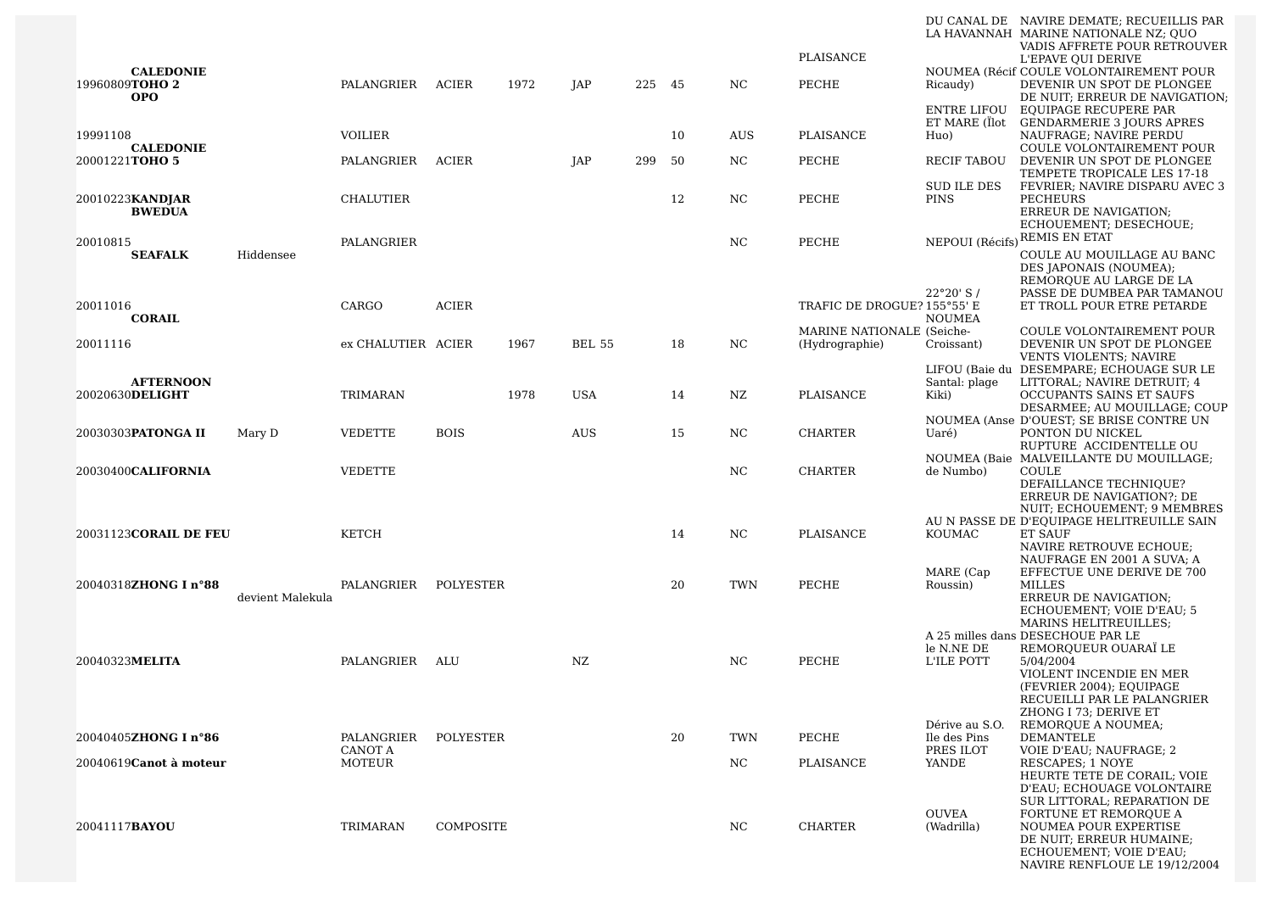|                                                  |                  |                          |              |      |               |     |     |                | PLAISANCE                                   |                                | DU CANAL DE NAVIRE DEMATE; RECUEILLIS PAR<br>LA HAVANNAH MARINE NATIONALE NZ: OUO<br>VADIS AFFRETE POUR RETROUVER                                                            |
|--------------------------------------------------|------------------|--------------------------|--------------|------|---------------|-----|-----|----------------|---------------------------------------------|--------------------------------|------------------------------------------------------------------------------------------------------------------------------------------------------------------------------|
| <b>CALEDONIE</b><br>19960809TOHO 2<br><b>OPO</b> |                  | PALANGRIER ACIER         |              | 1972 | JAP           | 225 | -45 | N <sub>C</sub> | PECHE                                       | Ricaudy)                       | L'EPAVE QUI DERIVE<br>NOUMEA (Récif COULE VOLONTAIREMENT POUR<br>DEVENIR UN SPOT DE PLONGEE<br>DE NUIT; ERREUR DE NAVIGATION;                                                |
| 19991108                                         |                  | <b>VOILIER</b>           |              |      |               |     | 10  | <b>AUS</b>     | PLAISANCE                                   | ENTRE LIFOU<br>Huo)            | EQUIPAGE RECUPERE PAR<br>ET MARE (Ïlot GENDARMERIE 3 JOURS APRES<br>NAUFRAGE; NAVIRE PERDU                                                                                   |
| <b>CALEDONIE</b><br>20001221TOHO 5               |                  | PALANGRIER               | ACIER        |      | JAP           | 299 | 50  | NC.            | PECHE                                       | RECIF TABOU                    | COULE VOLONTAIREMENT POUR<br>DEVENIR UN SPOT DE PLONGEE                                                                                                                      |
| 20010223KANDJAR<br><b>BWEDUA</b>                 |                  | <b>CHALUTIER</b>         |              |      |               |     | 12  | NC             | PECHE                                       | SUD ILE DES<br>PINS            | TEMPETE TROPICALE LES 17-18<br>FEVRIER; NAVIRE DISPARU AVEC 3<br><b>PECHEURS</b><br>ERREUR DE NAVIGATION;                                                                    |
| 20010815<br><b>SEAFALK</b>                       | Hiddensee        | PALANGRIER               |              |      |               |     |     | NC.            | PECHE                                       | NEPOUI (Récifs)                | ECHOUEMENT; DESECHOUE;<br>REMIS EN ETAT<br>COULE AU MOUILLAGE AU BANC                                                                                                        |
| 20011016<br><b>CORAIL</b>                        |                  | CARGO                    | <b>ACIER</b> |      |               |     |     |                | TRAFIC DE DROGUE? 155°55' E                 | 22°20' S/<br><b>NOUMEA</b>     | DES JAPONAIS (NOUMEA);<br>REMORQUE AU LARGE DE LA<br>PASSE DE DUMBEA PAR TAMANOU<br>ET TROLL POUR ETRE PETARDE                                                               |
| 20011116                                         |                  | ex CHALUTIER ACIER       |              | 1967 | <b>BEL 55</b> |     | 18  | NC.            | MARINE NATIONALE (Seiche-<br>(Hydrographie) | Croissant)                     | <b>COULE VOLONTAIREMENT POUR</b><br>DEVENIR UN SPOT DE PLONGEE                                                                                                               |
| <b>AFTERNOON</b>                                 |                  |                          |              |      |               |     |     |                |                                             | Santal: plage                  | VENTS VIOLENTS; NAVIRE<br>LIFOU (Baie du DESEMPARE; ECHOUAGE SUR LE<br>LITTORAL; NAVIRE DETRUIT; 4                                                                           |
| 20020630DELIGHT                                  |                  | <b>TRIMARAN</b>          |              | 1978 | <b>USA</b>    |     | 14  | NZ             | PLAISANCE                                   | Kiki)                          | OCCUPANTS SAINS ET SAUFS<br>DESARMEE; AU MOUILLAGE; COUP                                                                                                                     |
| 20030303PATONGA II                               | Mary D           | <b>VEDETTE</b>           | <b>BOIS</b>  |      | AUS           |     | 15  | NC             | <b>CHARTER</b>                              | Uaré)                          | NOUMEA (Anse D'OUEST; SE BRISE CONTRE UN<br>PONTON DU NICKEL<br>RUPTURE ACCIDENTELLE OU                                                                                      |
| 20030400 <b>CALIFORNIA</b>                       |                  | <b>VEDETTE</b>           |              |      |               |     |     | NC             | <b>CHARTER</b>                              | de Numbo)                      | NOUMEA (Baie MALVEILLANTE DU MOUILLAGE;<br>COULE                                                                                                                             |
|                                                  |                  |                          |              |      |               |     |     |                |                                             |                                | DEFAILLANCE TECHNIQUE?<br>ERREUR DE NAVIGATION?; DE<br>NUIT; ECHOUEMENT; 9 MEMBRES                                                                                           |
| 20031123 <b>CORAIL DE FEU</b>                    |                  | KETCH                    |              |      |               |     | 14  | NC.            | PLAISANCE                                   | KOUMAC                         | AU N PASSE DE D'EQUIPAGE HELITREUILLE SAIN<br>ET SAUF<br>NAVIRE RETROUVE ECHOUE;                                                                                             |
| 20040318ZHONG I n°88                             | devient Malekula | PALANGRIER               | POLYESTER    |      |               |     | 20  | <b>TWN</b>     | PECHE                                       | MARE (Cap<br>Roussin)          | NAUFRAGE EN 2001 A SUVA; A<br>EFFECTUE UNE DERIVE DE 700<br><b>MILLES</b><br><b>ERREUR DE NAVIGATION:</b>                                                                    |
|                                                  |                  |                          |              |      |               |     |     |                |                                             |                                | ECHOUEMENT; VOIE D'EAU; 5<br><b>MARINS HELITREUILLES:</b><br>A 25 milles dans DESECHOUE PAR LE                                                                               |
| 20040323MELITA                                   |                  | PALANGRIER               | ALU          |      | NZ.           |     |     | NC.            | PECHE                                       | le N.NE DE<br>L'ILE POTT       | REMOROUEUR OUARAÏ LE<br>5/04/2004                                                                                                                                            |
|                                                  |                  |                          |              |      |               |     |     |                |                                             |                                | VIOLENT INCENDIE EN MER<br>(FEVRIER 2004); EQUIPAGE<br>RECUEILLI PAR LE PALANGRIER<br>ZHONG I 73; DERIVE ET                                                                  |
| 20040405ZHONG I n°86                             |                  | PALANGRIER               | POLYESTER    |      |               |     | 20  | TWN            | PECHE                                       | Dérive au S.O.<br>Ile des Pins | REMOROUE A NOUMEA;<br>DEMANTELE                                                                                                                                              |
| 20040619Canot à moteur                           |                  | <b>CANOT A</b><br>MOTEUR |              |      |               |     |     | $_{\rm NC}$    | PLAISANCE                                   | PRES ILOT<br>YANDE             | <b>VOIE D'EAU; NAUFRAGE; 2</b><br>RESCAPES; 1 NOYE                                                                                                                           |
|                                                  |                  |                          |              |      |               |     |     |                |                                             |                                | HEURTE TETE DE CORAIL; VOIE<br><b>D'EAU: ECHOUAGE VOLONTAIRE</b>                                                                                                             |
| 20041117 <b>BAYOU</b>                            |                  | TRIMARAN                 | COMPOSITE    |      |               |     |     | NC             | <b>CHARTER</b>                              | <b>OUVEA</b><br>(Wadrilla)     | SUR LITTORAL; REPARATION DE<br><b>FORTUNE ET REMORQUE A</b><br>NOUMEA POUR EXPERTISE<br>DE NUIT; ERREUR HUMAINE;<br>ECHOUEMENT; VOIE D'EAU;<br>NAVIRE RENFLOUE LE 19/12/2004 |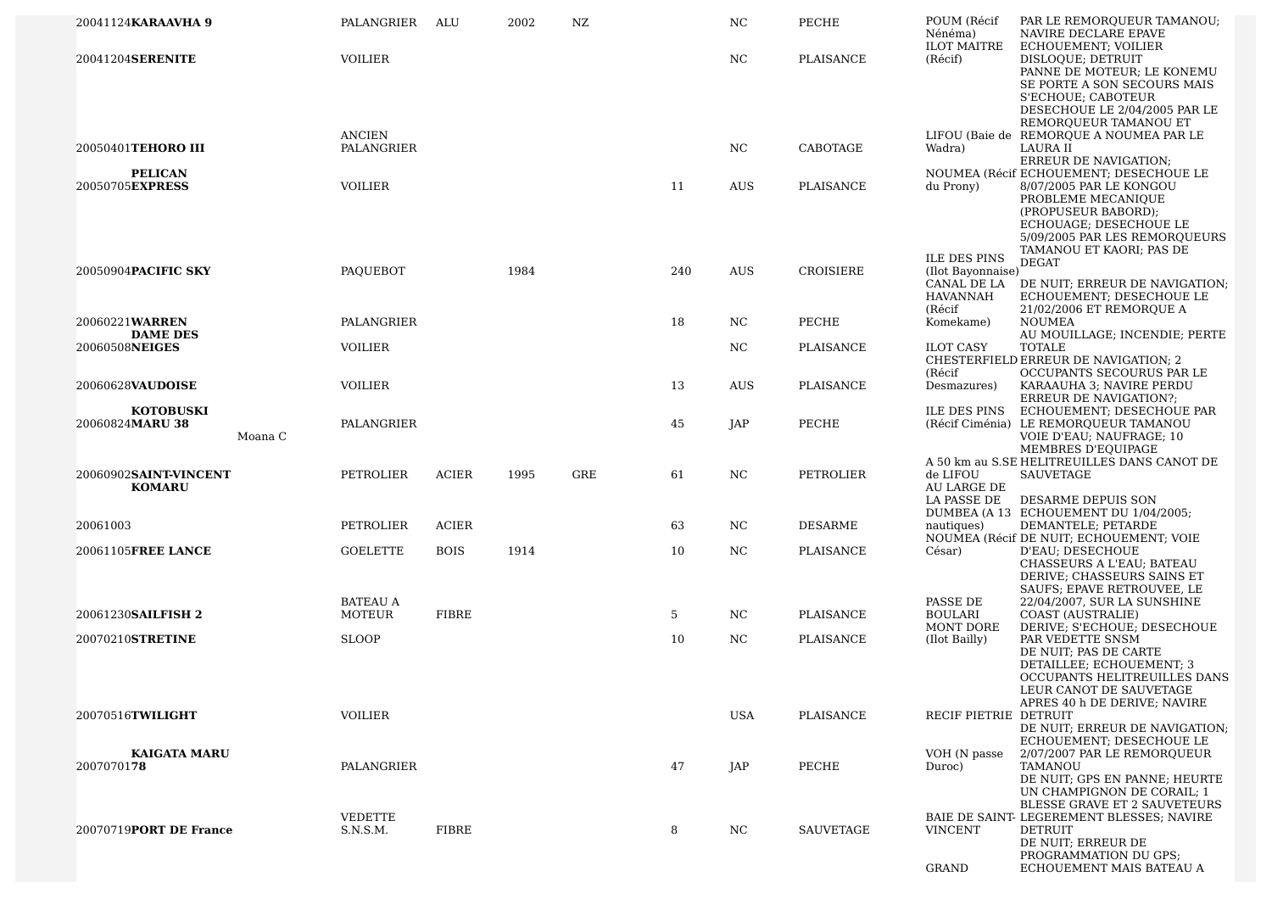| 20041124KARAAVHA 9                             | PALANGRIER                       | ALU          | 2002 | NZ  |     | NC         | PECHE            | POUM (Récif<br>Nénéma)                                              | PAR LE REMORQUEUR TAMANOU;<br>NAVIRE DECLARE EPAVE                                                                                                                     |
|------------------------------------------------|----------------------------------|--------------|------|-----|-----|------------|------------------|---------------------------------------------------------------------|------------------------------------------------------------------------------------------------------------------------------------------------------------------------|
| 20041204SERENITE                               | <b>VOILIER</b>                   |              |      |     |     | NC         | PLAISANCE        | <b>ILOT MAITRE</b><br>(Récif)                                       | ECHOUEMENT; VOILIER<br>DISLOQUE; DETRUIT<br>PANNE DE MOTEUR; LE KONEMU<br>SE PORTE A SON SECOURS MAIS<br>S'ECHOUE: CABOTEUR<br>DESECHOUE LE 2/04/2005 PAR LE           |
| 20050401TEHORO III                             | <b>ANCIEN</b><br>PALANGRIER      |              |      |     |     | NC         | CABOTAGE         | Wadra)                                                              | REMORQUEUR TAMANOU ET<br>LIFOU (Baie de REMORQUE A NOUMEA PAR LE<br>LAURA II<br>ERREUR DE NAVIGATION;                                                                  |
| <b>PELICAN</b><br>20050705EXPRESS              | <b>VOILIER</b>                   |              |      |     | 11  | AUS        | PLAISANCE        | du Prony)                                                           | NOUMEA (Récif ECHOUEMENT; DESECHOUE LE<br>8/07/2005 PAR LE KONGOU                                                                                                      |
|                                                |                                  |              |      |     |     |            |                  |                                                                     | PROBLEME MECANIQUE<br>(PROPUSEUR BABORD);<br>ECHOUAGE; DESECHOUE LE<br>5/09/2005 PAR LES REMORQUEURS<br>TAMANOU ET KAORI; PAS DE                                       |
| 20050904PACIFIC SKY                            | PAQUEBOT                         |              | 1984 |     | 240 | <b>AUS</b> | CROISIERE        | <b>ILE DES PINS</b><br>(Ilot Bayonnaise)<br>CANAL DE LA<br>HAVANNAH | <b>DEGAT</b><br>DE NUIT; ERREUR DE NAVIGATION;<br>ECHOUEMENT; DESECHOUE LE                                                                                             |
| 20060221WARREN<br><b>DAME DES</b>              | PALANGRIER                       |              |      |     | 18  | NC.        | PECHE            | (Récif<br>Komekame)                                                 | 21/02/2006 ET REMORQUE A<br><b>NOUMEA</b><br>AU MOUILLAGE; INCENDIE; PERTE                                                                                             |
| 20060508NEIGES                                 | <b>VOILIER</b>                   |              |      |     |     | NC         | PLAISANCE        | <b>ILOT CASY</b><br>(Récif                                          | <b>TOTALE</b><br>CHESTERFIELD ERREUR DE NAVIGATION; 2<br>OCCUPANTS SECOURUS PAR LE                                                                                     |
| 20060628 <b>VAUDOISE</b>                       | <b>VOILIER</b>                   |              |      |     | 13  | <b>AUS</b> | <b>PLAISANCE</b> | Desmazures)                                                         | KARAAUHA 3; NAVIRE PERDU<br><b>ERREUR DE NAVIGATION?;</b>                                                                                                              |
| <b>KOTOBUSKI</b><br>20060824MARU 38<br>Moana C | PALANGRIER                       |              |      |     | 45  | JAP        | PECHE            | <b>ILE DES PINS</b>                                                 | ECHOUEMENT; DESECHOUE PAR<br>(Récif Ciménia) LE REMORQUEUR TAMANOU<br>VOIE D'EAU; NAUFRAGE; 10<br>MEMBRES D'EOUIPAGE                                                   |
| 20060902SAINT-VINCENT<br><b>KOMARU</b>         | PETROLIER                        | <b>ACIER</b> | 1995 | GRE | 61  | NC         | PETROLIER        | de LIFOU<br>AU LARGE DE<br>LA PASSE DE                              | A 50 km au S.SE HELITREUILLES DANS CANOT DE<br>SAUVETAGE<br>DESARME DEPUIS SON                                                                                         |
| 20061003                                       | PETROLIER                        | ACIER        |      |     | 63  | NC.        | <b>DESARME</b>   | nautiques)                                                          | DUMBEA (A 13 ECHOUEMENT DU 1/04/2005;<br>DEMANTELE; PETARDE                                                                                                            |
| 20061105FREE LANCE                             | <b>GOELETTE</b>                  | <b>BOIS</b>  | 1914 |     | 10  | NC.        | PLAISANCE        | César)                                                              | NOUMEA (Récif DE NUIT; ECHOUEMENT; VOIE<br>D'EAU; DESECHOUE<br>CHASSEURS A L'EAU; BATEAU<br>DERIVE; CHASSEURS SAINS ET                                                 |
| 20061230SAILFISH 2                             | <b>BATEAU A</b><br><b>MOTEUR</b> | <b>FIBRE</b> |      |     | 5   | NC.        | PLAISANCE        | PASSE DE<br><b>BOULARI</b>                                          | SAUFS; EPAVE RETROUVEE, LE<br>22/04/2007, SUR LA SUNSHINE<br>COAST (AUSTRALIE)                                                                                         |
| 20070210STRETINE                               | <b>SLOOP</b>                     |              |      |     | 10  | NC         | PLAISANCE        | <b>MONT DORE</b><br>(Ilot Bailly)                                   | DERIVE; S'ECHOUE; DESECHOUE<br>PAR VEDETTE SNSM<br>DE NUIT; PAS DE CARTE<br>DETAILLEE; ECHOUEMENT; 3<br>OCCUPANTS HELITREUILLES DANS                                   |
| 20070516TWILIGHT                               | <b>VOILIER</b>                   |              |      |     |     | <b>USA</b> | PLAISANCE        | RECIF PIETRIE DETRUIT                                               | LEUR CANOT DE SAUVETAGE<br>APRES 40 h DE DERIVE; NAVIRE<br>DE NUIT; ERREUR DE NAVIGATION;<br>ECHOUEMENT; DESECHOUE LE                                                  |
| <b>KAIGATA MARU</b><br>2007070178              | PALANGRIER                       |              |      |     | 47  | JAP        | PECHE            | VOH (N passe<br>Duroc)                                              | 2/07/2007 PAR LE REMORQUEUR<br>TAMANOU<br>DE NUIT; GPS EN PANNE; HEURTE<br>UN CHAMPIGNON DE CORAIL; 1                                                                  |
| 20070719PORT DE France                         | <b>VEDETTE</b><br>S.N.S.M.       | FIBRE        |      |     | 8   | NC         | SAUVETAGE        | <b>VINCENT</b><br><b>GRAND</b>                                      | BLESSE GRAVE ET 2 SAUVETEURS<br>BAIE DE SAINT- LEGEREMENT BLESSES; NAVIRE<br><b>DETRUIT</b><br>DE NUIT: ERREUR DE<br>PROGRAMMATION DU GPS;<br>ECHOUEMENT MAIS BATEAU A |
|                                                |                                  |              |      |     |     |            |                  |                                                                     |                                                                                                                                                                        |